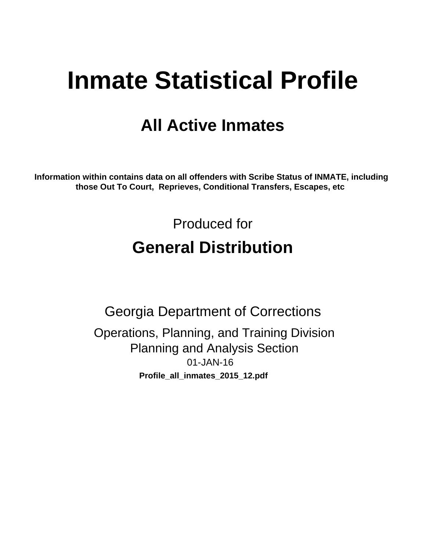# **Inmate Statistical Profile**

# **All Active Inmates**

Information within contains data on all offenders with Scribe Status of INMATE, including those Out To Court, Reprieves, Conditional Transfers, Escapes, etc

> Produced for **General Distribution**

**Georgia Department of Corrections** Operations, Planning, and Training Division **Planning and Analysis Section** 01-JAN-16 Profile\_all\_inmates\_2015\_12.pdf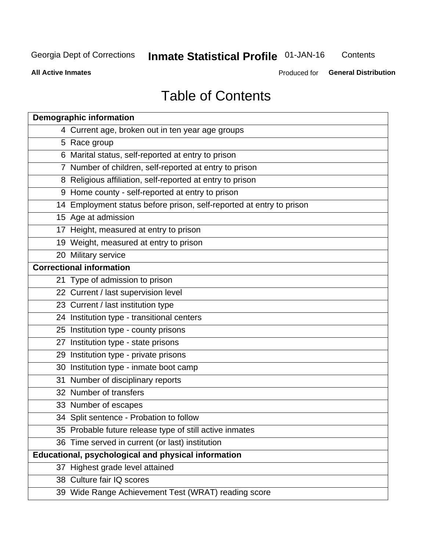# **Inmate Statistical Profile 01-JAN-16**

Contents

**All Active Inmates** 

Produced for General Distribution

# **Table of Contents**

| <b>Demographic information</b>                                       |
|----------------------------------------------------------------------|
| 4 Current age, broken out in ten year age groups                     |
| 5 Race group                                                         |
| 6 Marital status, self-reported at entry to prison                   |
| 7 Number of children, self-reported at entry to prison               |
| 8 Religious affiliation, self-reported at entry to prison            |
| 9 Home county - self-reported at entry to prison                     |
| 14 Employment status before prison, self-reported at entry to prison |
| 15 Age at admission                                                  |
| 17 Height, measured at entry to prison                               |
| 19 Weight, measured at entry to prison                               |
| 20 Military service                                                  |
| <b>Correctional information</b>                                      |
| 21 Type of admission to prison                                       |
| 22 Current / last supervision level                                  |
| 23 Current / last institution type                                   |
| 24 Institution type - transitional centers                           |
| 25 Institution type - county prisons                                 |
| 27 Institution type - state prisons                                  |
| 29 Institution type - private prisons                                |
| 30 Institution type - inmate boot camp                               |
| 31 Number of disciplinary reports                                    |
| 32 Number of transfers                                               |
| 33 Number of escapes                                                 |
| 34 Split sentence - Probation to follow                              |
| 35 Probable future release type of still active inmates              |
| 36 Time served in current (or last) institution                      |
| <b>Educational, psychological and physical information</b>           |
| 37 Highest grade level attained                                      |
| 38 Culture fair IQ scores                                            |
| 39 Wide Range Achievement Test (WRAT) reading score                  |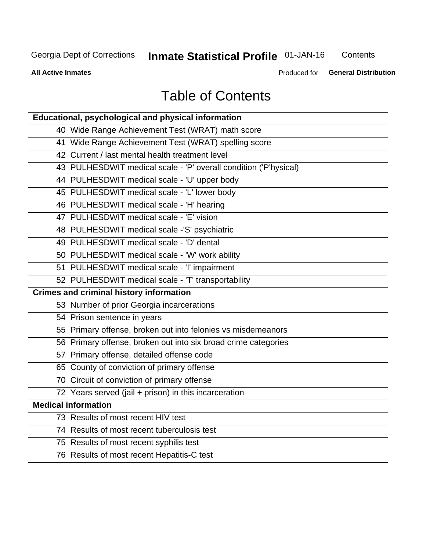# **Inmate Statistical Profile 01-JAN-16**

Contents

**All Active Inmates** 

Produced for General Distribution

# **Table of Contents**

| <b>Educational, psychological and physical information</b>       |
|------------------------------------------------------------------|
| 40 Wide Range Achievement Test (WRAT) math score                 |
| 41 Wide Range Achievement Test (WRAT) spelling score             |
| 42 Current / last mental health treatment level                  |
| 43 PULHESDWIT medical scale - 'P' overall condition ('P'hysical) |
| 44 PULHESDWIT medical scale - 'U' upper body                     |
| 45 PULHESDWIT medical scale - 'L' lower body                     |
| 46 PULHESDWIT medical scale - 'H' hearing                        |
| 47 PULHESDWIT medical scale - 'E' vision                         |
| 48 PULHESDWIT medical scale -'S' psychiatric                     |
| 49 PULHESDWIT medical scale - 'D' dental                         |
| 50 PULHESDWIT medical scale - 'W' work ability                   |
| 51 PULHESDWIT medical scale - 'I' impairment                     |
| 52 PULHESDWIT medical scale - 'T' transportability               |
|                                                                  |
| <b>Crimes and criminal history information</b>                   |
| 53 Number of prior Georgia incarcerations                        |
| 54 Prison sentence in years                                      |
| 55 Primary offense, broken out into felonies vs misdemeanors     |
| 56 Primary offense, broken out into six broad crime categories   |
| 57 Primary offense, detailed offense code                        |
| 65 County of conviction of primary offense                       |
| 70 Circuit of conviction of primary offense                      |
| 72 Years served (jail + prison) in this incarceration            |
| <b>Medical information</b>                                       |
| 73 Results of most recent HIV test                               |
| 74 Results of most recent tuberculosis test                      |
| 75 Results of most recent syphilis test                          |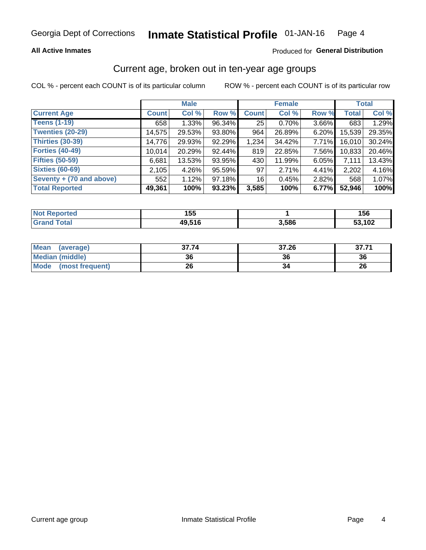### **All Active Inmates**

### Produced for General Distribution

### Current age, broken out in ten-year age groups

COL % - percent each COUNT is of its particular column

|                          | <b>Male</b>  |        |        | <b>Female</b> |        |          | <b>Total</b> |        |
|--------------------------|--------------|--------|--------|---------------|--------|----------|--------------|--------|
| <b>Current Age</b>       | <b>Count</b> | Col %  | Row %  | <b>Count</b>  | Col %  | Row %    | <b>Total</b> | Col %  |
| <b>Teens (1-19)</b>      | 658          | 1.33%  | 96.34% | 25            | 0.70%  | 3.66%    | 683          | 1.29%  |
| <b>Twenties (20-29)</b>  | 14,575       | 29.53% | 93.80% | 964           | 26.89% | 6.20%    | 15,539       | 29.35% |
| Thirties (30-39)         | 14,776       | 29.93% | 92.29% | 1,234         | 34.42% | $7.71\%$ | 16,010       | 30.24% |
| <b>Forties (40-49)</b>   | 10,014       | 20.29% | 92.44% | 819           | 22.85% | 7.56%    | 10,833       | 20.46% |
| <b>Fifties (50-59)</b>   | 6,681        | 13.53% | 93.95% | 430           | 11.99% | $6.05\%$ | 7,111        | 13.43% |
| <b>Sixties (60-69)</b>   | 2,105        | 4.26%  | 95.59% | 97            | 2.71%  | 4.41%    | 2,202        | 4.16%  |
| Seventy + (70 and above) | 552          | 1.12%  | 97.18% | 16            | 0.45%  | 2.82%    | 568          | 1.07%  |
| <b>Total Reported</b>    | 49,361       | 100%   | 93.23% | 3,585         | 100%   | 6.77%    | 52,946       | 100%   |

| <b>Not Reported</b> | 155   |       | 156    |
|---------------------|-------|-------|--------|
| <b>Total</b>        | 4951F | 3,586 | 53,102 |

| <b>Mean</b><br>(average)       | 37.74 | 37.26 | 37.71 |
|--------------------------------|-------|-------|-------|
| Median (middle)                | 36    |       | 36    |
| <b>Mode</b><br>(most frequent) | 26    | 34    | 26    |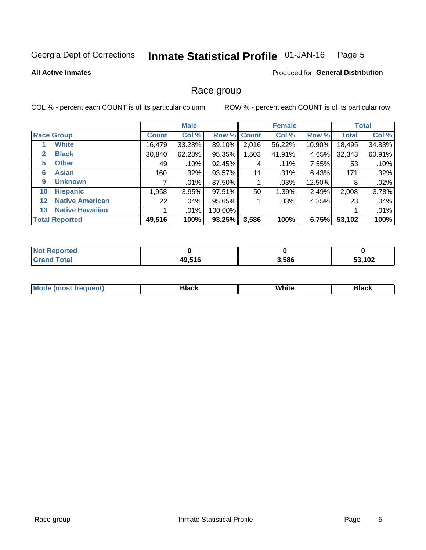#### **Inmate Statistical Profile 01-JAN-16** Page 5

### **All Active Inmates**

### **Produced for General Distribution**

### Race group

COL % - percent each COUNT is of its particular column

|                   |                        | <b>Male</b>  |         |         | <b>Female</b> |         |        | <b>Total</b> |        |
|-------------------|------------------------|--------------|---------|---------|---------------|---------|--------|--------------|--------|
|                   | <b>Race Group</b>      | <b>Count</b> | Col %   |         | Row % Count   | Col %   | Row %  | <b>Total</b> | Col %  |
|                   | <b>White</b>           | 16,479       | 33.28%  | 89.10%  | 2,016         | 56.22%  | 10.90% | 18,495       | 34.83% |
| $\mathbf{2}$      | <b>Black</b>           | 30,840       | 62.28%  | 95.35%  | 1,503         | 41.91%  | 4.65%  | 32,343       | 60.91% |
| 5.                | <b>Other</b>           | 49           | .10%    | 92.45%  | 4             | $.11\%$ | 7.55%  | 53           | .10%   |
| 6                 | <b>Asian</b>           | 160          | $.32\%$ | 93.57%  | 11            | $.31\%$ | 6.43%  | 171          | .32%   |
| 9                 | <b>Unknown</b>         |              | .01%    | 87.50%  |               | .03%    | 12.50% | 8            | .02%   |
| 10                | <b>Hispanic</b>        | 1,958        | 3.95%   | 97.51%  | 50            | 1.39%   | 2.49%  | 2,008        | 3.78%  |
| $12 \overline{ }$ | <b>Native American</b> | 22           | $.04\%$ | 95.65%  |               | .03%    | 4.35%  | 23           | .04%   |
| 13                | <b>Native Hawaiian</b> |              | .01%    | 100.00% |               |         |        |              | .01%   |
|                   | <b>Total Reported</b>  | 49,516       | 100%    | 93.25%  | 3,586         | 100%    | 6.75%  | 53,102       | 100%   |

| <b>Not Reported</b>   |        |       |               |
|-----------------------|--------|-------|---------------|
| <b>Total</b><br>Gran' | 49,516 | 3,586 | 53,102<br>эə. |

| <b>Mode</b><br>---<br>most frequent) | Black | White | <b>Black</b> |
|--------------------------------------|-------|-------|--------------|
|                                      |       |       |              |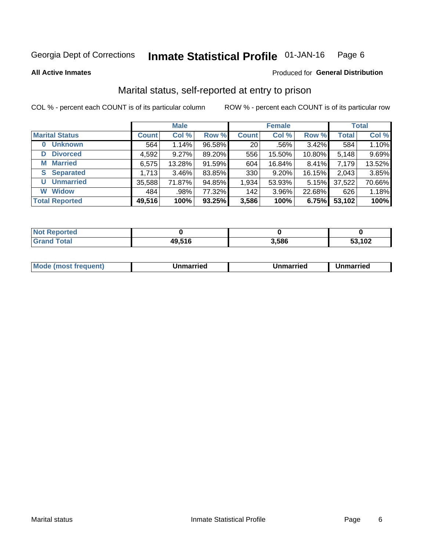#### Inmate Statistical Profile 01-JAN-16 Page 6

**All Active Inmates** 

### Produced for General Distribution

### Marital status, self-reported at entry to prison

COL % - percent each COUNT is of its particular column

|                            | <b>Male</b>  |        |        |                 | <b>Female</b> | <b>Total</b> |              |        |
|----------------------------|--------------|--------|--------|-----------------|---------------|--------------|--------------|--------|
| <b>Marital Status</b>      | <b>Count</b> | Col %  | Row %  | <b>Count</b>    | Col %         | Row %        | <b>Total</b> | Col %  |
| <b>Unknown</b><br>$\bf{0}$ | 564          | 1.14%  | 96.58% | 20 <sub>1</sub> | $.56\%$       | 3.42%        | 584          | 1.10%  |
| <b>Divorced</b><br>D       | 4,592        | 9.27%  | 89.20% | 556             | 15.50%        | 10.80%       | 5,148        | 9.69%  |
| <b>Married</b><br>М        | 6,575        | 13.28% | 91.59% | 604             | 16.84%        | 8.41%        | 7,179        | 13.52% |
| <b>Separated</b><br>S.     | 1,713        | 3.46%  | 83.85% | 330             | 9.20%         | 16.15%       | 2,043        | 3.85%  |
| <b>Unmarried</b><br>U      | 35,588       | 71.87% | 94.85% | 1,934           | 53.93%        | 5.15%        | 37,522       | 70.66% |
| <b>Widow</b><br>W          | 484          | .98%   | 77.32% | 142             | 3.96%         | 22.68%       | 626          | 1.18%  |
| <b>Total Reported</b>      | 49,516       | 100%   | 93.25% | 3,586           | 100%          | 6.75%        | 53,102       | 100%   |

| <b>orted</b><br>I NOT |       |       |        |
|-----------------------|-------|-------|--------|
| $\sim$ 10<br>. Gr     | 9.516 | 3.586 | 53,102 |

|--|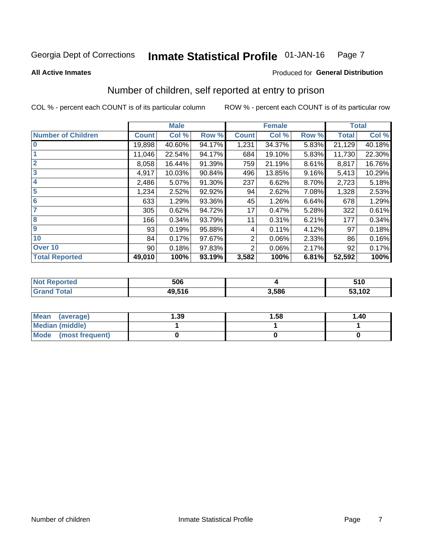#### **Inmate Statistical Profile 01-JAN-16** Page 7

**All Active Inmates** 

### **Produced for General Distribution**

### Number of children, self reported at entry to prison

COL % - percent each COUNT is of its particular column

|                           |                 | <b>Male</b> |        |              | <b>Female</b> |       |              | <b>Total</b> |
|---------------------------|-----------------|-------------|--------|--------------|---------------|-------|--------------|--------------|
| <b>Number of Children</b> | <b>Count</b>    | Col %       | Row %  | <b>Count</b> | Col %         | Row % | <b>Total</b> | Col %        |
| $\overline{\mathbf{0}}$   | 19,898          | 40.60%      | 94.17% | 1,231        | 34.37%        | 5.83% | 21,129       | 40.18%       |
|                           | 11,046          | 22.54%      | 94.17% | 684          | 19.10%        | 5.83% | 11,730       | 22.30%       |
| $\overline{2}$            | 8,058           | 16.44%      | 91.39% | 759          | 21.19%        | 8.61% | 8,817        | 16.76%       |
| $\overline{\mathbf{3}}$   | 4,917           | 10.03%      | 90.84% | 496          | 13.85%        | 9.16% | 5,413        | 10.29%       |
| 4                         | 2,486           | 5.07%       | 91.30% | 237          | 6.62%         | 8.70% | 2,723        | 5.18%        |
| $\overline{\mathbf{5}}$   | 1,234           | 2.52%       | 92.92% | 94           | 2.62%         | 7.08% | 1,328        | 2.53%        |
| 6                         | 633             | 1.29%       | 93.36% | 45           | 1.26%         | 6.64% | 678          | 1.29%        |
| 7                         | 305             | 0.62%       | 94.72% | 17           | 0.47%         | 5.28% | 322          | 0.61%        |
| $\overline{\mathbf{8}}$   | 166             | 0.34%       | 93.79% | 11           | 0.31%         | 6.21% | 177          | 0.34%        |
| 9                         | 93              | 0.19%       | 95.88% | 4            | 0.11%         | 4.12% | 97           | 0.18%        |
| 10                        | 84              | 0.17%       | 97.67% | 2            | 0.06%         | 2.33% | 86           | 0.16%        |
| Over 10                   | 90 <sub>1</sub> | 0.18%       | 97.83% | 2            | 0.06%         | 2.17% | 92           | 0.17%        |
| <b>Total Reported</b>     | 49,010          | 100%        | 93.19% | 3,582        | 100%          | 6.81% | 52,592       | 100%         |

| rteo<br>NG | 506          |      | 510           |
|------------|--------------|------|---------------|
|            | 40 516<br>ıю | .586 | 53,102<br>JJ, |

| <b>Mean</b><br>(average) | 1.39 | 1.58 | 1.40 |
|--------------------------|------|------|------|
| <b>Median (middle)</b>   |      |      |      |
| Mode<br>(most frequent)  |      |      |      |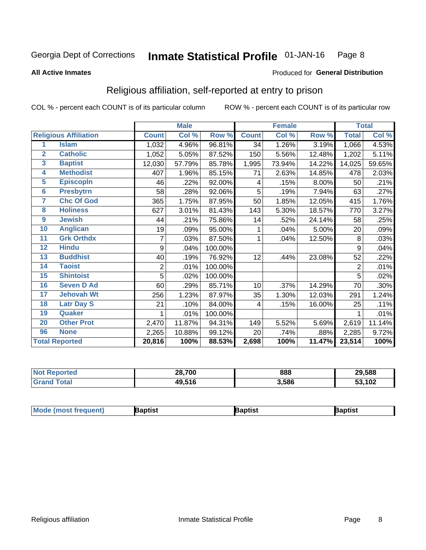#### **Inmate Statistical Profile 01-JAN-16** Page 8

### **All Active Inmates**

### Produced for General Distribution

### Religious affiliation, self-reported at entry to prison

COL % - percent each COUNT is of its particular column

|                |                              |                | <b>Male</b> |         |              | <b>Female</b>             |        |                | <b>Total</b> |
|----------------|------------------------------|----------------|-------------|---------|--------------|---------------------------|--------|----------------|--------------|
|                | <b>Religious Affiliation</b> | <b>Count</b>   | Col %       | Row %   | <b>Count</b> | $\overline{\text{Col}}$ % | Row %  | <b>Total</b>   | Col %        |
| 1              | <b>Islam</b>                 | 1,032          | 4.96%       | 96.81%  | 34           | 1.26%                     | 3.19%  | 1,066          | 4.53%        |
| $\overline{2}$ | <b>Catholic</b>              | 1,052          | 5.05%       | 87.52%  | 150          | 5.56%                     | 12.48% | 1,202          | 5.11%        |
| 3              | <b>Baptist</b>               | 12,030         | 57.79%      | 85.78%  | 1,995        | 73.94%                    | 14.22% | 14,025         | 59.65%       |
| 4              | <b>Methodist</b>             | 407            | 1.96%       | 85.15%  | 71           | 2.63%                     | 14.85% | 478            | 2.03%        |
| 5              | <b>EpiscopIn</b>             | 46             | .22%        | 92.00%  | 4            | .15%                      | 8.00%  | 50             | .21%         |
| 6              | <b>Presbytrn</b>             | 58             | .28%        | 92.06%  | 5            | .19%                      | 7.94%  | 63             | .27%         |
| 7              | <b>Chc Of God</b>            | 365            | 1.75%       | 87.95%  | 50           | 1.85%                     | 12.05% | 415            | 1.76%        |
| 8              | <b>Holiness</b>              | 627            | 3.01%       | 81.43%  | 143          | 5.30%                     | 18.57% | 770            | 3.27%        |
| 9              | <b>Jewish</b>                | 44             | .21%        | 75.86%  | 14           | .52%                      | 24.14% | 58             | .25%         |
| 10             | <b>Anglican</b>              | 19             | .09%        | 95.00%  | 1            | .04%                      | 5.00%  | 20             | .09%         |
| 11             | <b>Grk Orthdx</b>            | 7              | .03%        | 87.50%  | 1            | .04%                      | 12.50% | 8              | .03%         |
| 12             | <b>Hindu</b>                 | 9              | .04%        | 100.00% |              |                           |        | 9              | .04%         |
| 13             | <b>Buddhist</b>              | 40             | .19%        | 76.92%  | 12           | .44%                      | 23.08% | 52             | .22%         |
| 14             | <b>Taoist</b>                | $\overline{2}$ | .01%        | 100.00% |              |                           |        | $\overline{2}$ | .01%         |
| 15             | <b>Shintoist</b>             | 5              | .02%        | 100.00% |              |                           |        | 5              | .02%         |
| 16             | <b>Seven D Ad</b>            | 60             | .29%        | 85.71%  | 10           | .37%                      | 14.29% | 70             | .30%         |
| 17             | <b>Jehovah Wt</b>            | 256            | 1.23%       | 87.97%  | 35           | 1.30%                     | 12.03% | 291            | 1.24%        |
| 18             | <b>Latr Day S</b>            | 21             | .10%        | 84.00%  | 4            | .15%                      | 16.00% | 25             | .11%         |
| 19             | <b>Quaker</b>                |                | .01%        | 100.00% |              |                           |        |                | .01%         |
| 20             | <b>Other Prot</b>            | 2,470          | 11.87%      | 94.31%  | 149          | 5.52%                     | 5.69%  | 2,619          | 11.14%       |
| 96             | <b>None</b>                  | 2,265          | 10.88%      | 99.12%  | 20           | .74%                      | .88%   | 2,285          | 9.72%        |
|                | <b>Total Reported</b>        | 20,816         | 100%        | 88.53%  | 2,698        | 100%                      | 11.47% | 23,514         | 100%         |

| วorteo<br>NO. | 28,700 | 888   | 29,588            |
|---------------|--------|-------|-------------------|
| <b>otal</b>   | 49,516 | 3,586 | ,102<br>Ε9.<br>ວວ |

|  | <b>Mode (most frequent)</b> | ıntist<br>ິ | <b>'a</b> ptist | aptist |
|--|-----------------------------|-------------|-----------------|--------|
|--|-----------------------------|-------------|-----------------|--------|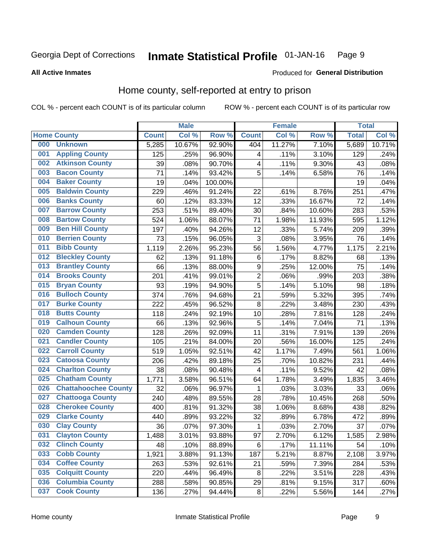#### Inmate Statistical Profile 01-JAN-16 Page 9

**All Active Inmates** 

### Produced for General Distribution

### Home county, self-reported at entry to prison

COL % - percent each COUNT is of its particular column

|     |                             |              | <b>Male</b> |         |                  | <b>Female</b> |        | <b>Total</b> |        |
|-----|-----------------------------|--------------|-------------|---------|------------------|---------------|--------|--------------|--------|
|     | <b>Home County</b>          | <b>Count</b> | Col %       | Row %   | <b>Count</b>     | Col %         | Row %  | <b>Total</b> | Col %  |
| 000 | <b>Unknown</b>              | 5,285        | 10.67%      | 92.90%  | 404              | 11.27%        | 7.10%  | 5,689        | 10.71% |
| 001 | <b>Appling County</b>       | 125          | .25%        | 96.90%  | 4                | .11%          | 3.10%  | 129          | .24%   |
| 002 | <b>Atkinson County</b>      | 39           | .08%        | 90.70%  | 4                | .11%          | 9.30%  | 43           | .08%   |
| 003 | <b>Bacon County</b>         | 71           | .14%        | 93.42%  | 5                | .14%          | 6.58%  | 76           | .14%   |
| 004 | <b>Baker County</b>         | 19           | .04%        | 100.00% |                  |               |        | 19           | .04%   |
| 005 | <b>Baldwin County</b>       | 229          | .46%        | 91.24%  | 22               | .61%          | 8.76%  | 251          | .47%   |
| 006 | <b>Banks County</b>         | 60           | .12%        | 83.33%  | 12               | .33%          | 16.67% | 72           | .14%   |
| 007 | <b>Barrow County</b>        | 253          | .51%        | 89.40%  | 30               | .84%          | 10.60% | 283          | .53%   |
| 008 | <b>Bartow County</b>        | 524          | 1.06%       | 88.07%  | 71               | 1.98%         | 11.93% | 595          | 1.12%  |
| 009 | <b>Ben Hill County</b>      | 197          | .40%        | 94.26%  | 12               | .33%          | 5.74%  | 209          | .39%   |
| 010 | <b>Berrien County</b>       | 73           | .15%        | 96.05%  | 3                | .08%          | 3.95%  | 76           | .14%   |
| 011 | <b>Bibb County</b>          | 1,119        | 2.26%       | 95.23%  | 56               | 1.56%         | 4.77%  | 1,175        | 2.21%  |
| 012 | <b>Bleckley County</b>      | 62           | .13%        | 91.18%  | $\,6$            | .17%          | 8.82%  | 68           | .13%   |
| 013 | <b>Brantley County</b>      | 66           | .13%        | 88.00%  | $\boldsymbol{9}$ | .25%          | 12.00% | 75           | .14%   |
| 014 | <b>Brooks County</b>        | 201          | .41%        | 99.01%  | $\overline{2}$   | .06%          | .99%   | 203          | .38%   |
| 015 | <b>Bryan County</b>         | 93           | .19%        | 94.90%  | 5                | .14%          | 5.10%  | 98           | .18%   |
| 016 | <b>Bulloch County</b>       | 374          | .76%        | 94.68%  | 21               | .59%          | 5.32%  | 395          | .74%   |
| 017 | <b>Burke County</b>         | 222          | .45%        | 96.52%  | 8                | .22%          | 3.48%  | 230          | .43%   |
| 018 | <b>Butts County</b>         | 118          | .24%        | 92.19%  | 10               | .28%          | 7.81%  | 128          | .24%   |
| 019 | <b>Calhoun County</b>       | 66           | .13%        | 92.96%  | 5                | .14%          | 7.04%  | 71           | .13%   |
| 020 | <b>Camden County</b>        | 128          | .26%        | 92.09%  | 11               | .31%          | 7.91%  | 139          | .26%   |
| 021 | <b>Candler County</b>       | 105          | .21%        | 84.00%  | 20               | .56%          | 16.00% | 125          | .24%   |
| 022 | <b>Carroll County</b>       | 519          | 1.05%       | 92.51%  | 42               | 1.17%         | 7.49%  | 561          | 1.06%  |
| 023 | <b>Catoosa County</b>       | 206          | .42%        | 89.18%  | 25               | .70%          | 10.82% | 231          | .44%   |
| 024 | <b>Charlton County</b>      | 38           | .08%        | 90.48%  | 4                | .11%          | 9.52%  | 42           | .08%   |
| 025 | <b>Chatham County</b>       | 1,771        | 3.58%       | 96.51%  | 64               | 1.78%         | 3.49%  | 1,835        | 3.46%  |
| 026 | <b>Chattahoochee County</b> | 32           | .06%        | 96.97%  | 1                | .03%          | 3.03%  | 33           | .06%   |
| 027 | <b>Chattooga County</b>     | 240          | .48%        | 89.55%  | 28               | .78%          | 10.45% | 268          | .50%   |
| 028 | <b>Cherokee County</b>      | 400          | .81%        | 91.32%  | 38               | 1.06%         | 8.68%  | 438          | .82%   |
| 029 | <b>Clarke County</b>        | 440          | .89%        | 93.22%  | 32               | .89%          | 6.78%  | 472          | .89%   |
| 030 | <b>Clay County</b>          | 36           | .07%        | 97.30%  | 1                | .03%          | 2.70%  | 37           | .07%   |
| 031 | <b>Clayton County</b>       | 1,488        | 3.01%       | 93.88%  | 97               | 2.70%         | 6.12%  | 1,585        | 2.98%  |
| 032 | <b>Clinch County</b>        | 48           | .10%        | 88.89%  | 6                | .17%          | 11.11% | 54           | .10%   |
| 033 | <b>Cobb County</b>          | 1,921        | 3.88%       | 91.13%  | 187              | 5.21%         | 8.87%  | 2,108        | 3.97%  |
| 034 | <b>Coffee County</b>        | 263          | .53%        | 92.61%  | 21               | .59%          | 7.39%  | 284          | .53%   |
| 035 | <b>Colquitt County</b>      | 220          | .44%        | 96.49%  | 8                | .22%          | 3.51%  | 228          | .43%   |
| 036 | <b>Columbia County</b>      | 288          | .58%        | 90.85%  | 29               | .81%          | 9.15%  | 317          | .60%   |
| 037 | <b>Cook County</b>          | 136          | .27%        | 94.44%  | $\bf 8$          | .22%          | 5.56%  | 144          | .27%   |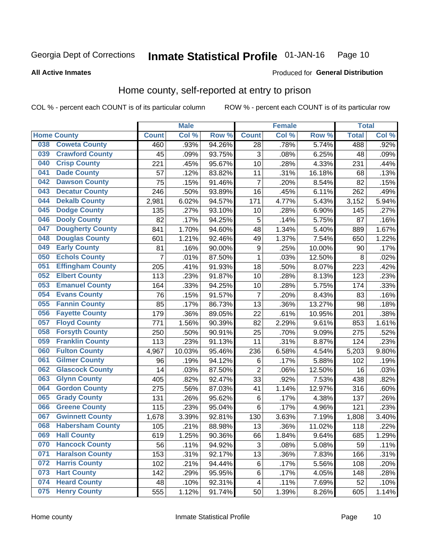#### Inmate Statistical Profile 01-JAN-16 Page 10

**All Active Inmates** 

### Produced for General Distribution

### Home county, self-reported at entry to prison

COL % - percent each COUNT is of its particular column

|     |                         |              | <b>Male</b> |        |                           | <b>Female</b> |        | <b>Total</b> |         |
|-----|-------------------------|--------------|-------------|--------|---------------------------|---------------|--------|--------------|---------|
|     | <b>Home County</b>      | <b>Count</b> | Col %       | Row %  | <b>Count</b>              | Col %         | Row %  | <b>Total</b> | Col %   |
| 038 | <b>Coweta County</b>    | 460          | .93%        | 94.26% | 28                        | .78%          | 5.74%  | 488          | $.92\%$ |
| 039 | <b>Crawford County</b>  | 45           | .09%        | 93.75% | $\ensuremath{\mathsf{3}}$ | .08%          | 6.25%  | 48           | .09%    |
| 040 | <b>Crisp County</b>     | 221          | .45%        | 95.67% | 10                        | .28%          | 4.33%  | 231          | .44%    |
| 041 | <b>Dade County</b>      | 57           | .12%        | 83.82% | 11                        | .31%          | 16.18% | 68           | .13%    |
| 042 | <b>Dawson County</b>    | 75           | .15%        | 91.46% | 7                         | .20%          | 8.54%  | 82           | .15%    |
| 043 | <b>Decatur County</b>   | 246          | .50%        | 93.89% | 16                        | .45%          | 6.11%  | 262          | .49%    |
| 044 | <b>Dekalb County</b>    | 2,981        | 6.02%       | 94.57% | 171                       | 4.77%         | 5.43%  | 3,152        | 5.94%   |
| 045 | <b>Dodge County</b>     | 135          | .27%        | 93.10% | 10                        | .28%          | 6.90%  | 145          | .27%    |
| 046 | <b>Dooly County</b>     | 82           | .17%        | 94.25% | 5                         | .14%          | 5.75%  | 87           | .16%    |
| 047 | <b>Dougherty County</b> | 841          | 1.70%       | 94.60% | 48                        | 1.34%         | 5.40%  | 889          | 1.67%   |
| 048 | <b>Douglas County</b>   | 601          | 1.21%       | 92.46% | 49                        | 1.37%         | 7.54%  | 650          | 1.22%   |
| 049 | <b>Early County</b>     | 81           | .16%        | 90.00% | 9                         | .25%          | 10.00% | 90           | .17%    |
| 050 | <b>Echols County</b>    | 7            | .01%        | 87.50% | $\mathbf{1}$              | .03%          | 12.50% | 8            | .02%    |
| 051 | <b>Effingham County</b> | 205          | .41%        | 91.93% | 18                        | .50%          | 8.07%  | 223          | .42%    |
| 052 | <b>Elbert County</b>    | 113          | .23%        | 91.87% | 10                        | .28%          | 8.13%  | 123          | .23%    |
| 053 | <b>Emanuel County</b>   | 164          | .33%        | 94.25% | 10                        | .28%          | 5.75%  | 174          | .33%    |
| 054 | <b>Evans County</b>     | 76           | .15%        | 91.57% | 7                         | .20%          | 8.43%  | 83           | .16%    |
| 055 | <b>Fannin County</b>    | 85           | .17%        | 86.73% | 13                        | .36%          | 13.27% | 98           | .18%    |
| 056 | <b>Fayette County</b>   | 179          | .36%        | 89.05% | 22                        | .61%          | 10.95% | 201          | .38%    |
| 057 | <b>Floyd County</b>     | 771          | 1.56%       | 90.39% | 82                        | 2.29%         | 9.61%  | 853          | 1.61%   |
| 058 | <b>Forsyth County</b>   | 250          | .50%        | 90.91% | 25                        | .70%          | 9.09%  | 275          | .52%    |
| 059 | <b>Franklin County</b>  | 113          | .23%        | 91.13% | 11                        | .31%          | 8.87%  | 124          | .23%    |
| 060 | <b>Fulton County</b>    | 4,967        | 10.03%      | 95.46% | 236                       | 6.58%         | 4.54%  | 5,203        | 9.80%   |
| 061 | <b>Gilmer County</b>    | 96           | .19%        | 94.12% | 6                         | .17%          | 5.88%  | 102          | .19%    |
| 062 | <b>Glascock County</b>  | 14           | .03%        | 87.50% | $\overline{2}$            | .06%          | 12.50% | 16           | .03%    |
| 063 | <b>Glynn County</b>     | 405          | .82%        | 92.47% | 33                        | .92%          | 7.53%  | 438          | .82%    |
| 064 | <b>Gordon County</b>    | 275          | .56%        | 87.03% | 41                        | 1.14%         | 12.97% | 316          | .60%    |
| 065 | <b>Grady County</b>     | 131          | .26%        | 95.62% | 6                         | .17%          | 4.38%  | 137          | .26%    |
| 066 | <b>Greene County</b>    | 115          | .23%        | 95.04% | $\,6$                     | .17%          | 4.96%  | 121          | .23%    |
| 067 | <b>Gwinnett County</b>  | 1,678        | 3.39%       | 92.81% | 130                       | 3.63%         | 7.19%  | 1,808        | 3.40%   |
| 068 | <b>Habersham County</b> | 105          | .21%        | 88.98% | 13                        | .36%          | 11.02% | 118          | .22%    |
| 069 | <b>Hall County</b>      | 619          | 1.25%       | 90.36% | 66                        | 1.84%         | 9.64%  | 685          | 1.29%   |
| 070 | <b>Hancock County</b>   | 56           | .11%        | 94.92% | 3                         | .08%          | 5.08%  | 59           | .11%    |
| 071 | <b>Haralson County</b>  | 153          | .31%        | 92.17% | 13                        | .36%          | 7.83%  | 166          | .31%    |
| 072 | <b>Harris County</b>    | 102          | .21%        | 94.44% | 6                         | .17%          | 5.56%  | 108          | .20%    |
| 073 | <b>Hart County</b>      | 142          | .29%        | 95.95% | 6                         | .17%          | 4.05%  | 148          | .28%    |
| 074 | <b>Heard County</b>     | 48           | .10%        | 92.31% | $\overline{\mathbf{4}}$   | .11%          | 7.69%  | 52           | .10%    |
| 075 | <b>Henry County</b>     | 555          | 1.12%       | 91.74% | 50                        | 1.39%         | 8.26%  | 605          | 1.14%   |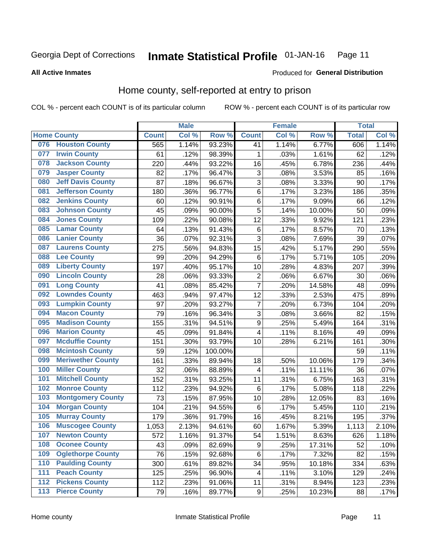#### Inmate Statistical Profile 01-JAN-16 Page 11

Produced for General Distribution

### **All Active Inmates**

### Home county, self-reported at entry to prison

COL % - percent each COUNT is of its particular column

|                  |                          |              | <b>Male</b> |                  |                         | <b>Female</b> |           | <b>Total</b> |       |
|------------------|--------------------------|--------------|-------------|------------------|-------------------------|---------------|-----------|--------------|-------|
|                  | <b>Home County</b>       | <b>Count</b> | Col %       | Row <sup>%</sup> | <b>Count</b>            | Col %         | Row %     | <b>Total</b> | Col % |
| 076              | <b>Houston County</b>    | 565          | 1.14%       | 93.23%           | 41                      | 1.14%         | 6.77%     | 606          | 1.14% |
| 077              | <b>Irwin County</b>      | 61           | .12%        | 98.39%           | 1                       | .03%          | 1.61%     | 62           | .12%  |
| 078              | <b>Jackson County</b>    | 220          | .44%        | 93.22%           | 16                      | .45%          | 6.78%     | 236          | .44%  |
| 079              | <b>Jasper County</b>     | 82           | .17%        | 96.47%           | 3                       | .08%          | 3.53%     | 85           | .16%  |
| 080              | <b>Jeff Davis County</b> | 87           | .18%        | 96.67%           | 3                       | .08%          | 3.33%     | 90           | .17%  |
| 081              | <b>Jefferson County</b>  | 180          | .36%        | 96.77%           | 6                       | .17%          | 3.23%     | 186          | .35%  |
| 082              | <b>Jenkins County</b>    | 60           | .12%        | 90.91%           | 6                       | .17%          | 9.09%     | 66           | .12%  |
| 083              | <b>Johnson County</b>    | 45           | .09%        | 90.00%           | 5                       | .14%          | 10.00%    | 50           | .09%  |
| 084              | <b>Jones County</b>      | 109          | .22%        | 90.08%           | 12                      | .33%          | 9.92%     | 121          | .23%  |
| 085              | <b>Lamar County</b>      | 64           | .13%        | 91.43%           | $\,6$                   | .17%          | 8.57%     | 70           | .13%  |
| 086              | <b>Lanier County</b>     | 36           | .07%        | 92.31%           | 3                       | .08%          | 7.69%     | 39           | .07%  |
| 087              | <b>Laurens County</b>    | 275          | .56%        | 94.83%           | 15                      | .42%          | 5.17%     | 290          | .55%  |
| 088              | <b>Lee County</b>        | 99           | .20%        | 94.29%           | 6                       | .17%          | 5.71%     | 105          | .20%  |
| 089              | <b>Liberty County</b>    | 197          | .40%        | 95.17%           | 10                      | .28%          | 4.83%     | 207          | .39%  |
| 090              | <b>Lincoln County</b>    | 28           | .06%        | 93.33%           | $\mathbf 2$             | .06%          | 6.67%     | 30           | .06%  |
| 091              | <b>Long County</b>       | 41           | .08%        | 85.42%           | $\overline{7}$          | .20%          | 14.58%    | 48           | .09%  |
| 092              | <b>Lowndes County</b>    | 463          | .94%        | 97.47%           | 12                      | .33%          | 2.53%     | 475          | .89%  |
| 093              | <b>Lumpkin County</b>    | 97           | .20%        | 93.27%           | $\overline{7}$          | .20%          | 6.73%     | 104          | .20%  |
| 094              | <b>Macon County</b>      | 79           | .16%        | 96.34%           | 3                       | .08%          | 3.66%     | 82           | .15%  |
| 095              | <b>Madison County</b>    | 155          | .31%        | 94.51%           | 9                       | .25%          | 5.49%     | 164          | .31%  |
| 096              | <b>Marion County</b>     | 45           | .09%        | 91.84%           | $\overline{\mathbf{4}}$ | .11%          | 8.16%     | 49           | .09%  |
| 097              | <b>Mcduffie County</b>   | 151          | .30%        | 93.79%           | 10                      | .28%          | 6.21%     | 161          | .30%  |
| 098              | <b>Mcintosh County</b>   | 59           | .12%        | 100.00%          |                         |               |           | 59           | .11%  |
| 099              | <b>Meriwether County</b> | 161          | .33%        | 89.94%           | 18                      | .50%          | 10.06%    | 179          | .34%  |
| 100              | <b>Miller County</b>     | 32           | .06%        | 88.89%           | 4                       | .11%          | 11.11%    | 36           | .07%  |
| 101              | <b>Mitchell County</b>   | 152          | .31%        | 93.25%           | 11                      | .31%          | 6.75%     | 163          | .31%  |
| 102              | <b>Monroe County</b>     | 112          | .23%        | 94.92%           | $\,6$                   | .17%          | 5.08%     | 118          | .22%  |
| 103              | <b>Montgomery County</b> | 73           | .15%        | 87.95%           | 10                      | .28%          | 12.05%    | 83           | .16%  |
| 104              | <b>Morgan County</b>     | 104          | .21%        | 94.55%           | 6                       | .17%          | 5.45%     | 110          | .21%  |
| 105              | <b>Murray County</b>     | 179          | .36%        | 91.79%           | 16                      | .45%          | 8.21%     | 195          | .37%  |
| 106              | <b>Muscogee County</b>   | 1,053        | 2.13%       | 94.61%           | 60                      | 1.67%         | 5.39%     | 1,113        | 2.10% |
| 107              | <b>Newton County</b>     | 572          | 1.16%       | 91.37%           | 54                      | 1.51%         | 8.63%     | 626          | 1.18% |
| 108              | <b>Oconee County</b>     | 43           | .09%        | 82.69%           | 9                       | .25%          | 17.31%    | 52           | .10%  |
| 109              | <b>Oglethorpe County</b> | 76           | .15%        | 92.68%           | 6                       | .17%          | 7.32%     | 82           | .15%  |
| 110              | <b>Paulding County</b>   | 300          | .61%        | 89.82%           | 34                      | .95%          | 10.18%    | 334          | .63%  |
| 111              | <b>Peach County</b>      | 125          | .25%        | 96.90%           | $\overline{\mathbf{4}}$ | .11%          | 3.10%     | 129          | .24%  |
| $\overline{112}$ | <b>Pickens County</b>    | 112          | .23%        | 91.06%           | 11                      | .31%          | 8.94%     | 123          | .23%  |
| 113              | <b>Pierce County</b>     | 79           | .16%        | 89.77%           | $\boldsymbol{9}$        | .25%          | $10.23\%$ | 88           | .17%  |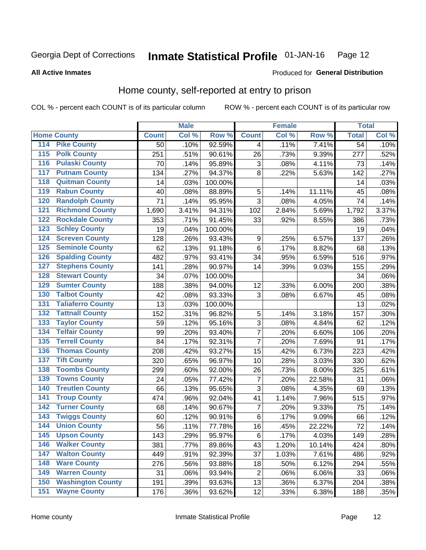#### Inmate Statistical Profile 01-JAN-16 Page 12

**All Active Inmates** 

### Produced for General Distribution

### Home county, self-reported at entry to prison

COL % - percent each COUNT is of its particular column

|                  |                          |              | <b>Male</b> |         |                | <b>Female</b> |        | <b>Total</b>    |       |
|------------------|--------------------------|--------------|-------------|---------|----------------|---------------|--------|-----------------|-------|
|                  | <b>Home County</b>       | <b>Count</b> | Col %       | Row %   | <b>Count</b>   | Col %         | Row %  | <b>Total</b>    | Col % |
| 114              | <b>Pike County</b>       | 50           | .10%        | 92.59%  | 4              | .11%          | 7.41%  | $\overline{54}$ | .10%  |
| $\overline{115}$ | <b>Polk County</b>       | 251          | .51%        | 90.61%  | 26             | .73%          | 9.39%  | 277             | .52%  |
| 116              | <b>Pulaski County</b>    | 70           | .14%        | 95.89%  | $\sqrt{3}$     | .08%          | 4.11%  | 73              | .14%  |
| 117              | <b>Putnam County</b>     | 134          | .27%        | 94.37%  | 8              | .22%          | 5.63%  | 142             | .27%  |
| 118              | <b>Quitman County</b>    | 14           | .03%        | 100.00% |                |               |        | 14              | .03%  |
| 119              | <b>Rabun County</b>      | 40           | .08%        | 88.89%  | 5              | .14%          | 11.11% | 45              | .08%  |
| 120              | <b>Randolph County</b>   | 71           | .14%        | 95.95%  | 3              | .08%          | 4.05%  | 74              | .14%  |
| 121              | <b>Richmond County</b>   | 1,690        | 3.41%       | 94.31%  | 102            | 2.84%         | 5.69%  | 1,792           | 3.37% |
| 122              | <b>Rockdale County</b>   | 353          | .71%        | 91.45%  | 33             | .92%          | 8.55%  | 386             | .73%  |
| 123              | <b>Schley County</b>     | 19           | .04%        | 100.00% |                |               |        | 19              | .04%  |
| 124              | <b>Screven County</b>    | 128          | .26%        | 93.43%  | 9              | .25%          | 6.57%  | 137             | .26%  |
| 125              | <b>Seminole County</b>   | 62           | .13%        | 91.18%  | $\,6$          | .17%          | 8.82%  | 68              | .13%  |
| 126              | <b>Spalding County</b>   | 482          | .97%        | 93.41%  | 34             | .95%          | 6.59%  | 516             | .97%  |
| 127              | <b>Stephens County</b>   | 141          | .28%        | 90.97%  | 14             | .39%          | 9.03%  | 155             | .29%  |
| 128              | <b>Stewart County</b>    | 34           | .07%        | 100.00% |                |               |        | 34              | .06%  |
| 129              | <b>Sumter County</b>     | 188          | .38%        | 94.00%  | 12             | .33%          | 6.00%  | 200             | .38%  |
| 130              | <b>Talbot County</b>     | 42           | .08%        | 93.33%  | 3              | .08%          | 6.67%  | 45              | .08%  |
| 131              | <b>Taliaferro County</b> | 13           | .03%        | 100.00% |                |               |        | 13              | .02%  |
| 132              | <b>Tattnall County</b>   | 152          | .31%        | 96.82%  | $\sqrt{5}$     | .14%          | 3.18%  | 157             | .30%  |
| 133              | <b>Taylor County</b>     | 59           | .12%        | 95.16%  | 3              | .08%          | 4.84%  | 62              | .12%  |
| 134              | <b>Telfair County</b>    | 99           | .20%        | 93.40%  | $\overline{7}$ | .20%          | 6.60%  | 106             | .20%  |
| 135              | <b>Terrell County</b>    | 84           | .17%        | 92.31%  | $\overline{7}$ | .20%          | 7.69%  | 91              | .17%  |
| 136              | <b>Thomas County</b>     | 208          | .42%        | 93.27%  | 15             | .42%          | 6.73%  | 223             | .42%  |
| 137              | <b>Tift County</b>       | 320          | .65%        | 96.97%  | 10             | .28%          | 3.03%  | 330             | .62%  |
| 138              | <b>Toombs County</b>     | 299          | .60%        | 92.00%  | 26             | .73%          | 8.00%  | 325             | .61%  |
| 139              | <b>Towns County</b>      | 24           | .05%        | 77.42%  | $\overline{7}$ | .20%          | 22.58% | 31              | .06%  |
| 140              | <b>Treutlen County</b>   | 66           | .13%        | 95.65%  | 3              | .08%          | 4.35%  | 69              | .13%  |
| 141              | <b>Troup County</b>      | 474          | .96%        | 92.04%  | 41             | 1.14%         | 7.96%  | 515             | .97%  |
| $\overline{142}$ | <b>Turner County</b>     | 68           | .14%        | 90.67%  | $\overline{7}$ | .20%          | 9.33%  | 75              | .14%  |
| 143              | <b>Twiggs County</b>     | 60           | .12%        | 90.91%  | $\,6$          | .17%          | 9.09%  | 66              | .12%  |
| 144              | <b>Union County</b>      | 56           | .11%        | 77.78%  | 16             | .45%          | 22.22% | 72              | .14%  |
| 145              | <b>Upson County</b>      | 143          | .29%        | 95.97%  | 6              | .17%          | 4.03%  | 149             | .28%  |
| 146              | <b>Walker County</b>     | 381          | .77%        | 89.86%  | 43             | 1.20%         | 10.14% | 424             | .80%  |
| 147              | <b>Walton County</b>     | 449          | .91%        | 92.39%  | 37             | 1.03%         | 7.61%  | 486             | .92%  |
| 148              | <b>Ware County</b>       | 276          | .56%        | 93.88%  | 18             | .50%          | 6.12%  | 294             | .55%  |
| 149              | <b>Warren County</b>     | 31           | .06%        | 93.94%  | $\overline{c}$ | .06%          | 6.06%  | 33              | .06%  |
| 150              | <b>Washington County</b> | 191          | .39%        | 93.63%  | 13             | .36%          | 6.37%  | 204             | .38%  |
| 151              | <b>Wayne County</b>      | 176          | .36%        | 93.62%  | 12             | .33%          | 6.38%  | 188             | .35%  |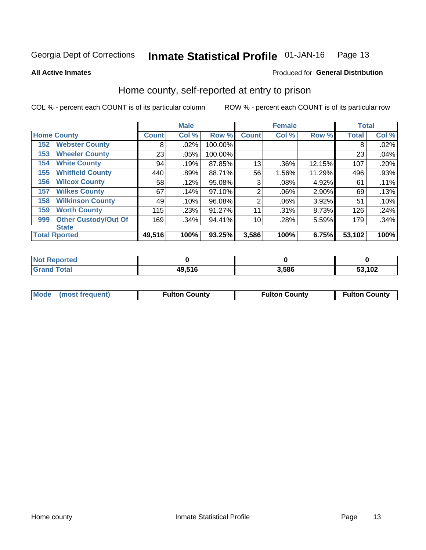#### Inmate Statistical Profile 01-JAN-16 Page 13

### **All Active Inmates**

### Produced for General Distribution

### Home county, self-reported at entry to prison

COL % - percent each COUNT is of its particular column

|     |                             |              | <b>Male</b> |         |                | <b>Female</b> |          | <b>Total</b> |       |
|-----|-----------------------------|--------------|-------------|---------|----------------|---------------|----------|--------------|-------|
|     | <b>Home County</b>          | <b>Count</b> | Col %       | Row %   | <b>Count</b>   | Col %         | Row %    | <b>Total</b> | Col % |
| 152 | <b>Webster County</b>       | 8            | .02%        | 100.00% |                |               |          | 8            | .02%  |
| 153 | <b>Wheeler County</b>       | 23           | .05%        | 100.00% |                |               |          | 23           | .04%  |
| 154 | <b>White County</b>         | 94           | .19%        | 87.85%  | 13             | .36%          | 12.15%   | 107          | .20%  |
| 155 | <b>Whitfield County</b>     | 440          | .89%        | 88.71%  | 56             | 1.56%         | 11.29%   | 496          | .93%  |
| 156 | <b>Wilcox County</b>        | 58           | .12%        | 95.08%  | 3              | .08%          | 4.92%    | 61           | .11%  |
| 157 | <b>Wilkes County</b>        | 67           | .14%        | 97.10%  | $\overline{2}$ | .06%          | $2.90\%$ | 69           | .13%  |
| 158 | <b>Wilkinson County</b>     | 49           | .10%        | 96.08%  | $\overline{2}$ | .06%          | 3.92%    | 51           | .10%  |
| 159 | <b>Worth County</b>         | 115          | .23%        | 91.27%  | 11             | .31%          | 8.73%    | 126          | .24%  |
| 999 | <b>Other Custody/Out Of</b> | 169          | .34%        | 94.41%  | 10             | .28%          | 5.59%    | 179          | .34%  |
|     | <b>State</b>                |              |             |         |                |               |          |              |       |
|     | <b>Total Rported</b>        | 49,516       | 100%        | 93.25%  | 3,586          | 100%          | 6.75%    | 53,102       | 100%  |

| <b>Not</b><br>Reported |        |       |        |
|------------------------|--------|-------|--------|
| Total                  | 49,516 | 3.586 | 53,102 |

|  | Mode (most frequent) | <b>Fulton County</b> | <b>Fulton County</b> | <b>Fulton County</b> |
|--|----------------------|----------------------|----------------------|----------------------|
|--|----------------------|----------------------|----------------------|----------------------|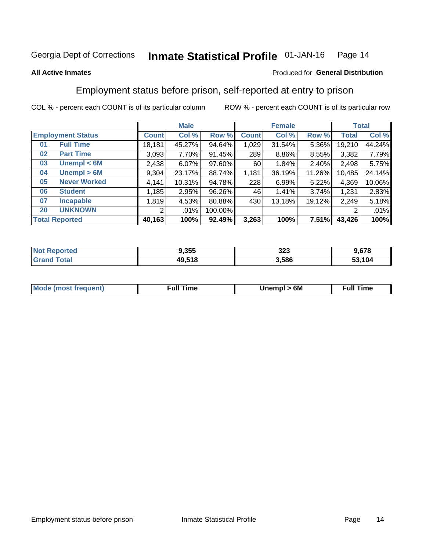#### Inmate Statistical Profile 01-JAN-16 Page 14

### **All Active Inmates**

### Produced for General Distribution

### Employment status before prison, self-reported at entry to prison

COL % - percent each COUNT is of its particular column

|                                    |              | <b>Male</b> |         |              | <b>Female</b> |        |        | <b>Total</b> |
|------------------------------------|--------------|-------------|---------|--------------|---------------|--------|--------|--------------|
| <b>Employment Status</b>           | <b>Count</b> | Col %       | Row %   | <b>Count</b> | Col %         | Row %  | Total  | Col %        |
| <b>Full Time</b><br>0 <sub>1</sub> | 18,181       | 45.27%      | 94.64%  | 1,029        | 31.54%        | 5.36%  | 19,210 | 44.24%       |
| <b>Part Time</b><br>02             | 3,093        | 7.70%       | 91.45%  | 289          | 8.86%         | 8.55%  | 3,382  | 7.79%        |
| Unempl $<$ 6M<br>03                | 2,438        | 6.07%       | 97.60%  | 60           | 1.84%         | 2.40%  | 2,498  | 5.75%        |
| Unempl > 6M<br>04                  | 9,304        | 23.17%      | 88.74%  | 1,181        | 36.19%        | 11.26% | 10,485 | 24.14%       |
| <b>Never Worked</b><br>05          | 4,141        | 10.31%      | 94.78%  | 228          | 6.99%         | 5.22%  | 4,369  | 10.06%       |
| <b>Student</b><br>06               | 1,185        | 2.95%       | 96.26%  | 46           | 1.41%         | 3.74%  | 1,231  | 2.83%        |
| <b>Incapable</b><br>07             | 1,819        | 4.53%       | 80.88%  | 430          | 13.18%        | 19.12% | 2,249  | 5.18%        |
| <b>UNKNOWN</b><br>20               | 2            | .01%        | 100.00% |              |               |        | 2      | .01%         |
| <b>Total Reported</b>              | 40,163       | 100%        | 92.49%  | 3,263        | 100%          | 7.51%  | 43,426 | 100%         |

| <b>Not Reported</b> | 9,355  | 323   | 9,678  |
|---------------------|--------|-------|--------|
| <b>Grand Total</b>  | 49,518 | 3,586 | 53,104 |

| <b>Mode (most frequent)</b> | 6M<br><b>Jnempl</b> | <b>Full Time</b> |
|-----------------------------|---------------------|------------------|
|                             |                     |                  |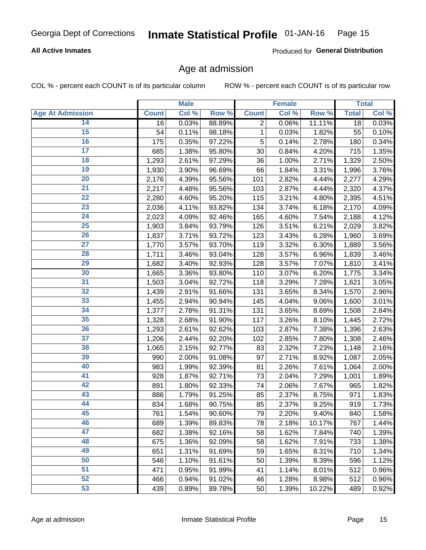### **All Active Inmates**

Produced for General Distribution

### Age at admission

COL % - percent each COUNT is of its particular column

|                         |              | <b>Male</b> |        |              | <b>Female</b> |        |              | <b>Total</b> |
|-------------------------|--------------|-------------|--------|--------------|---------------|--------|--------------|--------------|
| <b>Age At Admission</b> | <b>Count</b> | Col %       | Row %  | <b>Count</b> | Col %         | Row %  | <b>Total</b> | Col %        |
| 14                      | 16           | 0.03%       | 88.89% | 2            | 0.06%         | 11.11% | 18           | 0.03%        |
| 15                      | 54           | 0.11%       | 98.18% | 1            | 0.03%         | 1.82%  | 55           | 0.10%        |
| 16                      | 175          | 0.35%       | 97.22% | 5            | 0.14%         | 2.78%  | 180          | 0.34%        |
| $\overline{17}$         | 685          | 1.38%       | 95.80% | 30           | 0.84%         | 4.20%  | 715          | 1.35%        |
| $\overline{18}$         | 1,293        | 2.61%       | 97.29% | 36           | 1.00%         | 2.71%  | 1,329        | 2.50%        |
| 19                      | 1,930        | 3.90%       | 96.69% | 66           | 1.84%         | 3.31%  | 1,996        | 3.76%        |
| 20                      | 2,176        | 4.39%       | 95.56% | 101          | 2.82%         | 4.44%  | 2,277        | 4.29%        |
| $\overline{21}$         | 2,217        | 4.48%       | 95.56% | 103          | 2.87%         | 4.44%  | 2,320        | 4.37%        |
| $\overline{22}$         | 2,280        | 4.60%       | 95.20% | 115          | 3.21%         | 4.80%  | 2,395        | 4.51%        |
| 23                      | 2,036        | 4.11%       | 93.82% | 134          | 3.74%         | 6.18%  | 2,170        | 4.09%        |
| 24                      | 2,023        | 4.09%       | 92.46% | 165          | 4.60%         | 7.54%  | 2,188        | 4.12%        |
| $\overline{25}$         | 1,903        | 3.84%       | 93.79% | 126          | 3.51%         | 6.21%  | 2,029        | 3.82%        |
| $\overline{26}$         | 1,837        | 3.71%       | 93.72% | 123          | 3.43%         | 6.28%  | 1,960        | 3.69%        |
| $\overline{27}$         | 1,770        | 3.57%       | 93.70% | 119          | 3.32%         | 6.30%  | 1,889        | 3.56%        |
| 28                      | 1,711        | 3.46%       | 93.04% | 128          | 3.57%         | 6.96%  | 1,839        | 3.46%        |
| 29                      | 1,682        | 3.40%       | 92.93% | 128          | 3.57%         | 7.07%  | 1,810        | 3.41%        |
| 30                      | 1,665        | 3.36%       | 93.80% | 110          | 3.07%         | 6.20%  | 1,775        | 3.34%        |
| 31                      | 1,503        | 3.04%       | 92.72% | 118          | 3.29%         | 7.28%  | 1,621        | 3.05%        |
| 32                      | 1,439        | 2.91%       | 91.66% | 131          | 3.65%         | 8.34%  | 1,570        | 2.96%        |
| 33                      | 1,455        | 2.94%       | 90.94% | 145          | 4.04%         | 9.06%  | 1,600        | 3.01%        |
| 34                      | 1,377        | 2.78%       | 91.31% | 131          | 3.65%         | 8.69%  | 1,508        | 2.84%        |
| 35                      | 1,328        | 2.68%       | 91.90% | 117          | 3.26%         | 8.10%  | 1,445        | 2.72%        |
| 36                      | 1,293        | 2.61%       | 92.62% | 103          | 2.87%         | 7.38%  | 1,396        | 2.63%        |
| 37                      | 1,206        | 2.44%       | 92.20% | 102          | 2.85%         | 7.80%  | 1,308        | 2.46%        |
| 38                      | 1,065        | 2.15%       | 92.77% | 83           | 2.32%         | 7.23%  | 1,148        | 2.16%        |
| 39                      | 990          | 2.00%       | 91.08% | 97           | 2.71%         | 8.92%  | 1,087        | 2.05%        |
| 40                      | 983          | 1.99%       | 92.39% | 81           | 2.26%         | 7.61%  | 1,064        | 2.00%        |
| 41                      | 928          | 1.87%       | 92.71% | 73           | 2.04%         | 7.29%  | 1,001        | 1.89%        |
| 42                      | 891          | 1.80%       | 92.33% | 74           | 2.06%         | 7.67%  | 965          | 1.82%        |
| 43                      | 886          | 1.79%       | 91.25% | 85           | 2.37%         | 8.75%  | 971          | 1.83%        |
| 44                      | 834          | 1.68%       | 90.75% | 85           | 2.37%         | 9.25%  | 919          | 1.73%        |
| 45                      | 761          | 1.54%       | 90.60% | 79           | 2.20%         | 9.40%  | 840          | 1.58%        |
| 46                      | 689          | 1.39%       | 89.83% | 78           | 2.18%         | 10.17% | 767          | 1.44%        |
| 47                      | 682          | 1.38%       | 92.16% | 58           | 1.62%         | 7.84%  | 740          | 1.39%        |
| 48                      | 675          | 1.36%       | 92.09% | 58           | 1.62%         | 7.91%  | 733          | 1.38%        |
| 49                      | 651          | 1.31%       | 91.69% | 59           | 1.65%         | 8.31%  | 710          | 1.34%        |
| 50                      | 546          | 1.10%       | 91.61% | 50           | 1.39%         | 8.39%  | 596          | 1.12%        |
| 51                      | 471          | 0.95%       | 91.99% | 41           | 1.14%         | 8.01%  | 512          | 0.96%        |
| 52                      | 466          | 0.94%       | 91.02% | 46           | 1.28%         | 8.98%  | 512          | 0.96%        |
| 53                      | 439          | 0.89%       | 89.78% | 50           | 1.39%         | 10.22% | 489          | 0.92%        |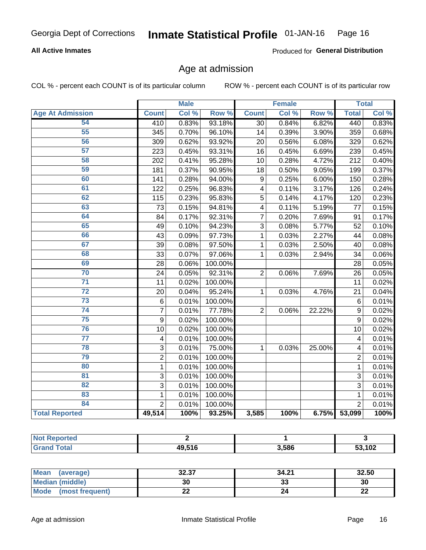### **All Active Inmates**

Produced for General Distribution

### Age at admission

COL % - percent each COUNT is of its particular column

|                         |                | <b>Male</b> |         |                         | <b>Female</b> |        |                | <b>Total</b> |
|-------------------------|----------------|-------------|---------|-------------------------|---------------|--------|----------------|--------------|
| <b>Age At Admission</b> | <b>Count</b>   | Col %       | Row %   | <b>Count</b>            | Col %         | Row %  | <b>Total</b>   | Col %        |
| 54                      | 410            | 0.83%       | 93.18%  | $\overline{30}$         | 0.84%         | 6.82%  | 440            | 0.83%        |
| 55                      | 345            | 0.70%       | 96.10%  | 14                      | 0.39%         | 3.90%  | 359            | 0.68%        |
| 56                      | 309            | 0.62%       | 93.92%  | 20                      | 0.56%         | 6.08%  | 329            | 0.62%        |
| $\overline{57}$         | 223            | 0.45%       | 93.31%  | 16                      | 0.45%         | 6.69%  | 239            | 0.45%        |
| 58                      | 202            | 0.41%       | 95.28%  | 10                      | 0.28%         | 4.72%  | 212            | 0.40%        |
| 59                      | 181            | 0.37%       | 90.95%  | 18                      | 0.50%         | 9.05%  | 199            | 0.37%        |
| 60                      | 141            | 0.28%       | 94.00%  | 9                       | 0.25%         | 6.00%  | 150            | 0.28%        |
| 61                      | 122            | 0.25%       | 96.83%  | $\overline{\mathbf{4}}$ | 0.11%         | 3.17%  | 126            | 0.24%        |
| 62                      | 115            | 0.23%       | 95.83%  | 5                       | 0.14%         | 4.17%  | 120            | 0.23%        |
| 63                      | 73             | 0.15%       | 94.81%  | 4                       | 0.11%         | 5.19%  | 77             | 0.15%        |
| 64                      | 84             | 0.17%       | 92.31%  | 7                       | 0.20%         | 7.69%  | 91             | 0.17%        |
| 65                      | 49             | 0.10%       | 94.23%  | 3                       | 0.08%         | 5.77%  | 52             | 0.10%        |
| 66                      | 43             | 0.09%       | 97.73%  | 1                       | 0.03%         | 2.27%  | 44             | 0.08%        |
| 67                      | 39             | 0.08%       | 97.50%  | 1                       | 0.03%         | 2.50%  | 40             | 0.08%        |
| 68                      | 33             | 0.07%       | 97.06%  | 1                       | 0.03%         | 2.94%  | 34             | 0.06%        |
| 69                      | 28             | 0.06%       | 100.00% |                         |               |        | 28             | 0.05%        |
| 70                      | 24             | 0.05%       | 92.31%  | $\overline{2}$          | 0.06%         | 7.69%  | 26             | 0.05%        |
| $\overline{71}$         | 11             | 0.02%       | 100.00% |                         |               |        | 11             | 0.02%        |
| $\overline{72}$         | 20             | 0.04%       | 95.24%  | 1                       | 0.03%         | 4.76%  | 21             | 0.04%        |
| 73                      | $\,6$          | 0.01%       | 100.00% |                         |               |        | 6              | 0.01%        |
| 74                      | $\overline{7}$ | 0.01%       | 77.78%  | $\overline{2}$          | 0.06%         | 22.22% | 9              | 0.02%        |
| 75                      | 9              | 0.02%       | 100.00% |                         |               |        | 9              | 0.02%        |
| 76                      | 10             | 0.02%       | 100.00% |                         |               |        | 10             | 0.02%        |
| $\overline{77}$         | 4              | 0.01%       | 100.00% |                         |               |        | 4              | 0.01%        |
| 78                      | $\mathbf{3}$   | 0.01%       | 75.00%  | 1                       | 0.03%         | 25.00% | 4              | 0.01%        |
| 79                      | $\overline{2}$ | 0.01%       | 100.00% |                         |               |        | $\overline{2}$ | 0.01%        |
| 80                      | $\mathbf{1}$   | 0.01%       | 100.00% |                         |               |        | $\mathbf{1}$   | 0.01%        |
| 81                      | 3              | 0.01%       | 100.00% |                         |               |        | 3              | 0.01%        |
| $\overline{82}$         | $\overline{3}$ | 0.01%       | 100.00% |                         |               |        | 3              | 0.01%        |
| 83                      | 1              | 0.01%       | 100.00% |                         |               |        | 1              | 0.01%        |
| 84                      | $\overline{2}$ | 0.01%       | 100.00% |                         |               |        | $\overline{2}$ | 0.01%        |
| <b>Total Reported</b>   | 49,514         | 100%        | 93.25%  | 3,585                   | 100%          | 6.75%  | 53,099         | 100%         |

| <b>Not Reported</b> |        |       |           |
|---------------------|--------|-------|-----------|
| <b>Total</b>        | 49.51F | 3.586 | ,102<br>^ |

| <b>Mean</b><br>(average)       | つつ つフ<br>34.JI | 34.21 | 32.50    |
|--------------------------------|----------------|-------|----------|
| Median (middle)                | 30             | აა    | 30       |
| <b>Mode</b><br>(most frequent) | ∸∸             | 24    | n,<br>LL |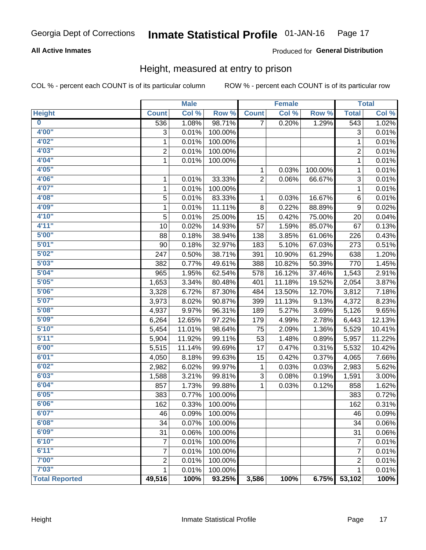### **All Active Inmates**

### Produced for General Distribution

### Height, measured at entry to prison

COL % - percent each COUNT is of its particular column

|                         |                | <b>Male</b> |         |                | <b>Female</b> |         |                           | <b>Total</b> |
|-------------------------|----------------|-------------|---------|----------------|---------------|---------|---------------------------|--------------|
| <b>Height</b>           | <b>Count</b>   | Col %       | Row %   | <b>Count</b>   | Col %         | Row %   | <b>Total</b>              | Col %        |
| $\overline{\mathbf{0}}$ | 536            | 1.08%       | 98.71%  | $\overline{7}$ | 0.20%         | 1.29%   | 543                       | 1.02%        |
| 4'00"                   | 3              | 0.01%       | 100.00% |                |               |         | $\ensuremath{\mathsf{3}}$ | 0.01%        |
| 4'02''                  | 1              | 0.01%       | 100.00% |                |               |         | 1                         | 0.01%        |
| 4'03''                  | $\overline{c}$ | 0.01%       | 100.00% |                |               |         | $\overline{c}$            | 0.01%        |
| 4'04"                   | $\mathbf{1}$   | 0.01%       | 100.00% |                |               |         | 1                         | 0.01%        |
| 4'05"                   |                |             |         | 1              | 0.03%         | 100.00% | $\mathbf{1}$              | 0.01%        |
| 4'06"                   | 1              | 0.01%       | 33.33%  | $\overline{2}$ | 0.06%         | 66.67%  | $\ensuremath{\mathsf{3}}$ | 0.01%        |
| 4'07"                   | 1              | 0.01%       | 100.00% |                |               |         | 1                         | 0.01%        |
| 4'08"                   | 5              | 0.01%       | 83.33%  | 1              | 0.03%         | 16.67%  | $\,6$                     | 0.01%        |
| 4'09"                   | 1              | 0.01%       | 11.11%  | 8              | 0.22%         | 88.89%  | $\boldsymbol{9}$          | 0.02%        |
| 4'10''                  | 5              | 0.01%       | 25.00%  | 15             | 0.42%         | 75.00%  | 20                        | 0.04%        |
| 4'11''                  | 10             | 0.02%       | 14.93%  | 57             | 1.59%         | 85.07%  | 67                        | 0.13%        |
| 5'00''                  | 88             | 0.18%       | 38.94%  | 138            | 3.85%         | 61.06%  | 226                       | 0.43%        |
| 5'01"                   | 90             | 0.18%       | 32.97%  | 183            | 5.10%         | 67.03%  | 273                       | 0.51%        |
| 5'02"                   | 247            | 0.50%       | 38.71%  | 391            | 10.90%        | 61.29%  | 638                       | 1.20%        |
| 5'03''                  | 382            | 0.77%       | 49.61%  | 388            | 10.82%        | 50.39%  | 770                       | 1.45%        |
| 5'04"                   | 965            | 1.95%       | 62.54%  | 578            | 16.12%        | 37.46%  | 1,543                     | 2.91%        |
| 5'05"                   | 1,653          | 3.34%       | 80.48%  | 401            | 11.18%        | 19.52%  | 2,054                     | 3.87%        |
| 5'06''                  | 3,328          | 6.72%       | 87.30%  | 484            | 13.50%        | 12.70%  | 3,812                     | 7.18%        |
| 5'07''                  | 3,973          | 8.02%       | 90.87%  | 399            | 11.13%        | 9.13%   | 4,372                     | 8.23%        |
| 5'08''                  | 4,937          | 9.97%       | 96.31%  | 189            | 5.27%         | 3.69%   | 5,126                     | 9.65%        |
| 5'09''                  | 6,264          | 12.65%      | 97.22%  | 179            | 4.99%         | 2.78%   | 6,443                     | 12.13%       |
| 5'10''                  | 5,454          | 11.01%      | 98.64%  | 75             | 2.09%         | 1.36%   | 5,529                     | 10.41%       |
| 5'11"                   | 5,904          | 11.92%      | 99.11%  | 53             | 1.48%         | 0.89%   | 5,957                     | 11.22%       |
| 6'00''                  | 5,515          | 11.14%      | 99.69%  | 17             | 0.47%         | 0.31%   | 5,532                     | 10.42%       |
| 6'01''                  | 4,050          | 8.18%       | 99.63%  | 15             | 0.42%         | 0.37%   | 4,065                     | 7.66%        |
| 6'02"                   | 2,982          | 6.02%       | 99.97%  | 1              | 0.03%         | 0.03%   | 2,983                     | 5.62%        |
| 6'03''                  | 1,588          | 3.21%       | 99.81%  | 3              | 0.08%         | 0.19%   | 1,591                     | 3.00%        |
| 6'04"                   | 857            | 1.73%       | 99.88%  | $\mathbf{1}$   | 0.03%         | 0.12%   | 858                       | 1.62%        |
| 6'05"                   | 383            | 0.77%       | 100.00% |                |               |         | 383                       | 0.72%        |
| 6'06''                  | 162            | 0.33%       | 100.00% |                |               |         | 162                       | 0.31%        |
| 6'07''                  | 46             | $0.09\%$    | 100.00% |                |               |         | 46                        | 0.09%        |
| 6'08"                   | 34             | 0.07%       | 100.00% |                |               |         | 34                        | 0.06%        |
| 6'09''                  | 31             | 0.06%       | 100.00% |                |               |         | 31                        | 0.06%        |
| 6'10''                  | 7              | 0.01%       | 100.00% |                |               |         | 7                         | 0.01%        |
| 6'11''                  | 7              | 0.01%       | 100.00% |                |               |         | 7                         | 0.01%        |
| 7'00"                   | $\overline{2}$ | 0.01%       | 100.00% |                |               |         | $\overline{2}$            | 0.01%        |
| 7'03''                  | $\mathbf{1}$   | 0.01%       | 100.00% |                |               |         | 1                         | 0.01%        |
| <b>Total Reported</b>   | 49,516         | 100%        | 93.25%  | 3,586          | 100%          | 6.75%   | 53,102                    | 100%         |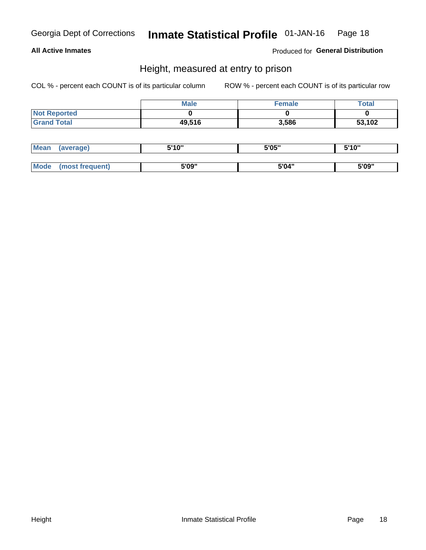### **All Active Inmates**

Produced for General Distribution

### Height, measured at entry to prison

COL % - percent each COUNT is of its particular column

|                     | <b>Male</b> | Female | Total  |
|---------------------|-------------|--------|--------|
| <b>Not Reported</b> |             |        |        |
| <b>Grand Total</b>  | 49,516      | 3,586  | 53,102 |

| <b>Mean</b> | erage) | 5'10" | 5'05" | <b>CIA AIL</b><br>. . |
|-------------|--------|-------|-------|-----------------------|
|             |        |       |       |                       |
| <b>Mode</b> |        | 5'09" | 5'04" | 5'09"                 |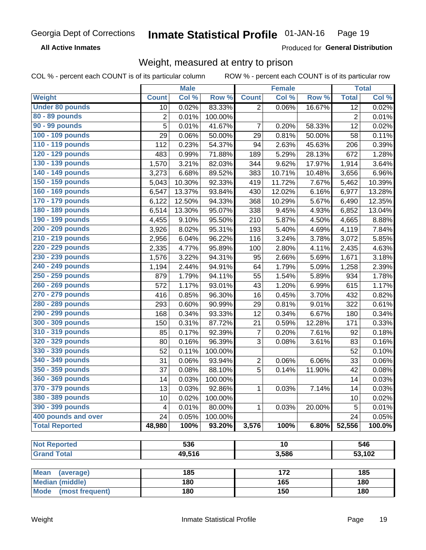**All Active Inmates** 

Produced for General Distribution

## Weight, measured at entry to prison

COL % - percent each COUNT is of its particular column

|                          |                 | <b>Male</b> |         |                | <b>Female</b> |        |                 | <b>Total</b>        |
|--------------------------|-----------------|-------------|---------|----------------|---------------|--------|-----------------|---------------------|
| <b>Weight</b>            | <b>Count</b>    | Col %       | Row %   | <b>Count</b>   | Col %         | Row %  | <b>Total</b>    | Col %               |
| <b>Under 80 pounds</b>   | 10              | 0.02%       | 83.33%  | $\overline{2}$ | 0.06%         | 16.67% | $\overline{12}$ | 0.02%               |
| 80 - 89 pounds           | $\overline{c}$  | 0.01%       | 100.00% |                |               |        | $\overline{2}$  | 0.01%               |
| 90 - 99 pounds           | $\overline{5}$  | 0.01%       | 41.67%  | 7              | 0.20%         | 58.33% | 12              | 0.02%               |
| 100 - 109 pounds         | 29              | 0.06%       | 50.00%  | 29             | 0.81%         | 50.00% | 58              | 0.11%               |
| 110 - 119 pounds         | 112             | 0.23%       | 54.37%  | 94             | 2.63%         | 45.63% | 206             | 0.39%               |
| 120 - 129 pounds         | 483             | 0.99%       | 71.88%  | 189            | 5.29%         | 28.13% | 672             | 1.28%               |
| 130 - 139 pounds         | 1,570           | 3.21%       | 82.03%  | 344            | 9.62%         | 17.97% | 1,914           | 3.64%               |
| 140 - 149 pounds         | 3,273           | 6.68%       | 89.52%  | 383            | 10.71%        | 10.48% | 3,656           | 6.96%               |
| 150 - 159 pounds         | 5,043           | 10.30%      | 92.33%  | 419            | 11.72%        | 7.67%  | 5,462           | 10.39%              |
| 160 - 169 pounds         | 6,547           | 13.37%      | 93.84%  | 430            | 12.02%        | 6.16%  | 6,977           | 13.28%              |
| 170 - 179 pounds         | 6,122           | 12.50%      | 94.33%  | 368            | 10.29%        | 5.67%  | 6,490           | 12.35%              |
| 180 - 189 pounds         | 6,514           | 13.30%      | 95.07%  | 338            | 9.45%         | 4.93%  | 6,852           | 13.04%              |
| 190 - 199 pounds         | 4,455           | 9.10%       | 95.50%  | 210            | 5.87%         | 4.50%  | 4,665           | 8.88%               |
| 200 - 209 pounds         | 3,926           | 8.02%       | 95.31%  | 193            | 5.40%         | 4.69%  | 4,119           | 7.84%               |
| 210 - 219 pounds         | 2,956           | 6.04%       | 96.22%  | 116            | 3.24%         | 3.78%  | 3,072           | 5.85%               |
| 220 - 229 pounds         | 2,335           | 4.77%       | 95.89%  | 100            | 2.80%         | 4.11%  | 2,435           | 4.63%               |
| 230 - 239 pounds         | 1,576           | 3.22%       | 94.31%  | 95             | 2.66%         | 5.69%  | 1,671           | 3.18%               |
| 240 - 249 pounds         | 1,194           | 2.44%       | 94.91%  | 64             | 1.79%         | 5.09%  | 1,258           | 2.39%               |
| 250 - 259 pounds         | 879             | 1.79%       | 94.11%  | 55             | 1.54%         | 5.89%  | 934             | 1.78%               |
| 260 - 269 pounds         | 572             | 1.17%       | 93.01%  | 43             | 1.20%         | 6.99%  | 615             | 1.17%               |
| 270 - 279 pounds         | 416             | 0.85%       | 96.30%  | 16             | 0.45%         | 3.70%  | 432             | 0.82%               |
| 280 - 289 pounds         | 293             | 0.60%       | 90.99%  | 29             | 0.81%         | 9.01%  | 322             | 0.61%               |
| 290 - 299 pounds         | 168             | 0.34%       | 93.33%  | 12             | 0.34%         | 6.67%  | 180             | 0.34%               |
| 300 - 309 pounds         | 150             | 0.31%       | 87.72%  | 21             | 0.59%         | 12.28% | 171             | 0.33%               |
| 310 - 319 pounds         | 85              | 0.17%       | 92.39%  | $\overline{7}$ | 0.20%         | 7.61%  | 92              | 0.18%               |
| 320 - 329 pounds         | 80              | 0.16%       | 96.39%  | 3              | 0.08%         | 3.61%  | 83              | 0.16%               |
| 330 - 339 pounds         | 52              | 0.11%       | 100.00% |                |               |        | 52              | 0.10%               |
| 340 - 349 pounds         | 31              | 0.06%       | 93.94%  | $\overline{2}$ | 0.06%         | 6.06%  | 33              | 0.06%               |
| 350 - 359 pounds         | 37              | 0.08%       | 88.10%  | 5              | 0.14%         | 11.90% | 42              | 0.08%               |
| 360 - 369 pounds         | 14              | 0.03%       | 100.00% |                |               |        | 14              | 0.03%               |
| 370 - 379 pounds         | 13              | 0.03%       | 92.86%  | 1              | 0.03%         | 7.14%  | 14              | $\overline{0.03\%}$ |
| 380 - 389 pounds         | 10 <sup>1</sup> | 0.02%       | 100.00% |                |               |        | 10              | 0.02%               |
| 390 - 399 pounds         | 4               | 0.01%       | 80.00%  | 1              | 0.03%         | 20.00% | 5               | 0.01%               |
| 400 pounds and over      | 24              | 0.05%       | 100.00% |                |               |        | 24              | 0.05%               |
| <b>Total Reported</b>    | 48,980          | 100%        | 93.20%  | 3,576          | 100%          | 6.80%  | 52,556          | 100.0%              |
|                          |                 |             |         |                |               |        |                 |                     |
| <b>Not Reported</b>      |                 | 536         |         |                | 10            |        |                 | 546                 |
| <b>Grand Total</b>       |                 | 49,516      |         |                | 3,586         |        |                 | 53,102              |
|                          |                 |             |         |                |               |        |                 |                     |
| <b>Mean</b><br>(average) |                 | 185         |         |                | 172           |        |                 | 185                 |
| <b>Median (middle)</b>   |                 | 180         |         |                | 165           |        |                 | 180                 |
| Mode (most frequent)     |                 | 180         |         |                | 150           |        |                 | 180                 |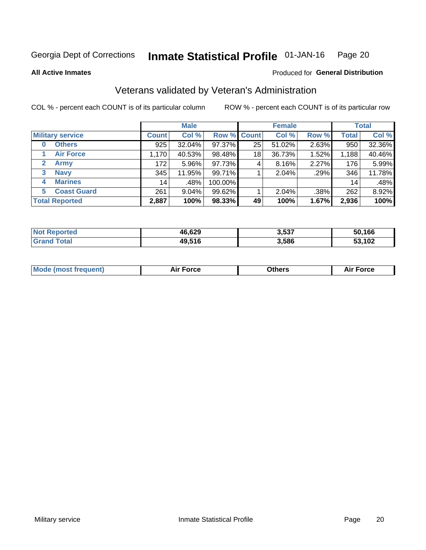#### Inmate Statistical Profile 01-JAN-16 Page 20

**All Active Inmates** 

### Produced for General Distribution

### Veterans validated by Veteran's Administration

COL % - percent each COUNT is of its particular column

|                             |              | <b>Male</b> |                    |    | <b>Female</b> |       |              | <b>Total</b> |  |
|-----------------------------|--------------|-------------|--------------------|----|---------------|-------|--------------|--------------|--|
| <b>Military service</b>     | <b>Count</b> | Col %       | <b>Row % Count</b> |    | Col %         | Row % | <b>Total</b> | Col %        |  |
| <b>Others</b><br>0          | 925          | 32.04%      | 97.37%             | 25 | 51.02%        | 2.63% | 950          | 32.36%       |  |
| <b>Air Force</b>            | 1,170        | 40.53%      | 98.48%             | 18 | 36.73%        | 1.52% | 1,188        | 40.46%       |  |
| <b>Army</b><br>$\mathbf{2}$ | 172          | $5.96\%$    | 97.73%             | 4  | 8.16%         | 2.27% | 176          | 5.99%        |  |
| <b>Navy</b><br>3            | 345          | 11.95%      | 99.71%             |    | 2.04%         | .29%  | 346          | 11.78%       |  |
| <b>Marines</b><br>4         | 14           | .48%        | 100.00%            |    |               |       | 14           | .48%         |  |
| <b>Coast Guard</b><br>5.    | 261          | 9.04%       | 99.62%             |    | 2.04%         | .38%  | 262          | 8.92%        |  |
| <b>Total Reported</b>       | 2,887        | 100%        | 98.33%             | 49 | 100%          | 1.67% | 2,936        | 100%         |  |

| ported<br><b>NOT</b> | 46,629 | 3,537 | 50,166 |
|----------------------|--------|-------|--------|
| `otal                | 49,516 | 3,586 | 53,102 |

| <b>Mode (most frequent)</b> | Force | )thers | orce |
|-----------------------------|-------|--------|------|
|                             |       |        |      |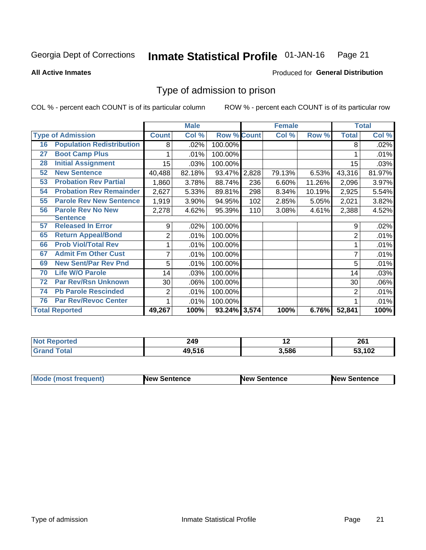#### Inmate Statistical Profile 01-JAN-16 Page 21

**All Active Inmates** 

### **Produced for General Distribution**

### Type of admission to prison

COL % - percent each COUNT is of its particular column

|    |                                  |              | <b>Male</b> |                    |     | <b>Female</b> |        |                | <b>Total</b> |
|----|----------------------------------|--------------|-------------|--------------------|-----|---------------|--------|----------------|--------------|
|    | <b>Type of Admission</b>         | <b>Count</b> | Col %       | <b>Row % Count</b> |     | Col %         | Row %  | <b>Total</b>   | Col %        |
| 16 | <b>Population Redistribution</b> | 8            | .02%        | 100.00%            |     |               |        | 8              | .02%         |
| 27 | <b>Boot Camp Plus</b>            |              | .01%        | 100.00%            |     |               |        |                | .01%         |
| 28 | <b>Initial Assignment</b>        | 15           | .03%        | 100.00%            |     |               |        | 15             | .03%         |
| 52 | <b>New Sentence</b>              | 40,488       | 82.18%      | 93.47% 2,828       |     | 79.13%        | 6.53%  | 43,316         | 81.97%       |
| 53 | <b>Probation Rev Partial</b>     | 1,860        | 3.78%       | 88.74%             | 236 | 6.60%         | 11.26% | 2,096          | 3.97%        |
| 54 | <b>Probation Rev Remainder</b>   | 2,627        | 5.33%       | 89.81%             | 298 | 8.34%         | 10.19% | 2,925          | 5.54%        |
| 55 | <b>Parole Rev New Sentence</b>   | 1,919        | 3.90%       | 94.95%             | 102 | 2.85%         | 5.05%  | 2,021          | 3.82%        |
| 56 | <b>Parole Rev No New</b>         | 2,278        | 4.62%       | 95.39%             | 110 | 3.08%         | 4.61%  | 2,388          | 4.52%        |
|    | <b>Sentence</b>                  |              |             |                    |     |               |        |                |              |
| 57 | <b>Released In Error</b>         | 9            | .02%        | 100.00%            |     |               |        | 9              | .02%         |
| 65 | <b>Return Appeal/Bond</b>        | 2            | .01%        | 100.00%            |     |               |        | 2              | .01%         |
| 66 | <b>Prob Viol/Total Rev</b>       |              | .01%        | 100.00%            |     |               |        |                | .01%         |
| 67 | <b>Admit Fm Other Cust</b>       | 7            | .01%        | 100.00%            |     |               |        |                | .01%         |
| 69 | <b>New Sent/Par Rev Pnd</b>      | 5            | .01%        | 100.00%            |     |               |        | 5              | .01%         |
| 70 | <b>Life W/O Parole</b>           | 14           | .03%        | 100.00%            |     |               |        | 14             | .03%         |
| 72 | <b>Par Rev/Rsn Unknown</b>       | 30           | .06%        | 100.00%            |     |               |        | 30             | .06%         |
| 74 | <b>Pb Parole Rescinded</b>       | 2            | .01%        | 100.00%            |     |               |        | $\overline{2}$ | .01%         |
| 76 | <b>Par Rev/Revoc Center</b>      |              | .01%        | 100.00%            |     |               |        |                | .01%         |
|    | <b>Total Reported</b>            | 49,267       | 100%        | 93.24% 3,574       |     | 100%          | 6.76%  | 52,841         | 100%         |

| <b>Not</b> | 249    | . .   | 20   |
|------------|--------|-------|------|
| 'ted       | $\sim$ |       | ZO I |
|            | 49.516 | 3,586 | .102 |

| <b>Mode (most frequent)</b> | New Sentence | <b>New Sentence</b> | <b>New Sentence</b> |
|-----------------------------|--------------|---------------------|---------------------|
|                             |              |                     |                     |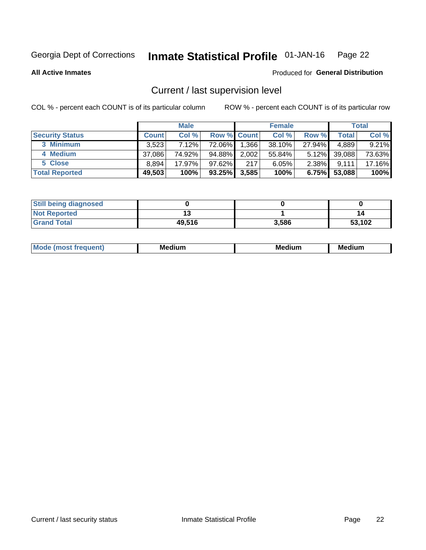#### Inmate Statistical Profile 01-JAN-16 Page 22

### **All Active Inmates**

### Produced for General Distribution

### Current / last supervision level

COL % - percent each COUNT is of its particular column

|                        | <b>Male</b>  |          | <b>Female</b> |                    |        | <b>Total</b> |        |        |
|------------------------|--------------|----------|---------------|--------------------|--------|--------------|--------|--------|
| <b>Security Status</b> | <b>Count</b> | Col %    |               | <b>Row % Count</b> | Col %  | Row %        | Total  | Col %  |
| 3 Minimum              | 3,523        | $7.12\%$ | 72.06%        | 1,366              | 38.10% | 27.94%       | 4,889  | 9.21%  |
| 4 Medium               | 37,086       | 74.92%   | 94.88%        | 2,002              | 55.84% | $5.12\%$     | 39,088 | 73.63% |
| 5 Close                | 8,894        | 17.97%   | $97.62\%$     | 217                | 6.05%  | $2.38\%$     | 9,111  | 17.16% |
| <b>Total Reported</b>  | 49,503       | 100%     | $93.25\%$     | 3,585              | 100%   | 6.75%        | 53,088 | 100%   |

| <b>Still being diagnosed</b> |        |       |        |
|------------------------------|--------|-------|--------|
| <b>Not Reported</b>          |        |       | 14     |
| <b>Grand Total</b>           | 49,516 | 3,586 | 53,102 |

| M | м | м | - - - -<br>м |
|---|---|---|--------------|
|   |   |   |              |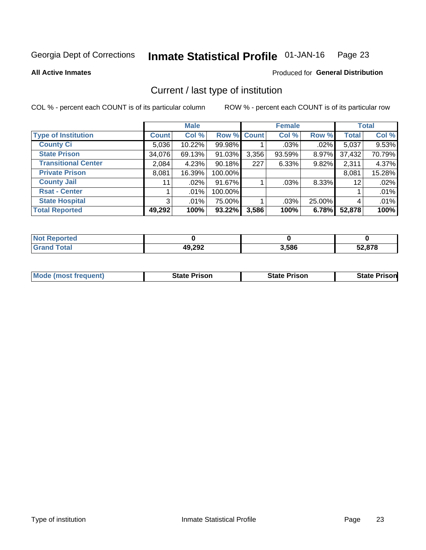#### Inmate Statistical Profile 01-JAN-16 Page 23

**All Active Inmates** 

### Produced for General Distribution

### Current / last type of institution

COL % - percent each COUNT is of its particular column

|                            |                | <b>Male</b> |             |       | <b>Female</b> |        |              | <b>Total</b> |
|----------------------------|----------------|-------------|-------------|-------|---------------|--------|--------------|--------------|
| <b>Type of Institution</b> | <b>Count</b>   | Col %       | Row % Count |       | Col %         | Row %  | <b>Total</b> | Col %        |
| <b>County Ci</b>           | 5,036          | 10.22%      | 99.98%      |       | $.03\%$       | .02%   | 5,037        | 9.53%        |
| <b>State Prison</b>        | 34,076         | 69.13%      | 91.03%      | 3,356 | 93.59%        | 8.97%  | 37,432       | 70.79%       |
| <b>Transitional Center</b> | 2,084          | 4.23%       | 90.18%      | 227   | 6.33%         | 9.82%  | 2,311        | 4.37%        |
| <b>Private Prison</b>      | 8,081          | 16.39%      | 100.00%     |       |               |        | 8,081        | 15.28%       |
| <b>County Jail</b>         | 11             | .02%        | 91.67%      |       | .03%          | 8.33%  | 12           | .02%         |
| <b>Rsat - Center</b>       |                | $.01\%$     | 100.00%     |       |               |        |              | .01%         |
| <b>State Hospital</b>      | 3 <sup>1</sup> | $.01\%$     | 75.00%      |       | .03%          | 25.00% | 4            | .01%         |
| <b>Total Reported</b>      | 49,292         | 100%        | 93.22%      | 3,586 | 100%          | 6.78%  | 52,878       | 100%         |

| oorted<br>NOT |                  |       |        |
|---------------|------------------|-------|--------|
| <b>otal</b>   | 10.292<br>49,ZJZ | 3,586 | 52.878 |

| <b>Mode (most frequent)</b> | <b>State Prison</b> | <b>State Prison</b> | <b>State Prison</b> |
|-----------------------------|---------------------|---------------------|---------------------|
|                             |                     |                     |                     |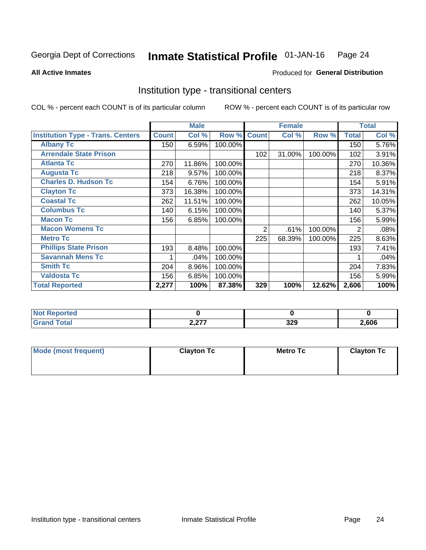#### Inmate Statistical Profile 01-JAN-16 Page 24

**All Active Inmates** 

### Produced for General Distribution

### Institution type - transitional centers

COL % - percent each COUNT is of its particular column

|                                          |              | <b>Male</b> |         |              | <b>Female</b> |         |              | <b>Total</b> |
|------------------------------------------|--------------|-------------|---------|--------------|---------------|---------|--------------|--------------|
| <b>Institution Type - Trans. Centers</b> | <b>Count</b> | Col %       | Row %   | <b>Count</b> | Col %         | Row %   | <b>Total</b> | Col %        |
| <b>Albany Tc</b>                         | 150          | 6.59%       | 100.00% |              |               |         | 150          | 5.76%        |
| <b>Arrendale State Prison</b>            |              |             |         | 102          | 31.00%        | 100.00% | 102          | 3.91%        |
| <b>Atlanta Tc</b>                        | 270          | 11.86%      | 100.00% |              |               |         | 270          | 10.36%       |
| <b>Augusta Tc</b>                        | 218          | 9.57%       | 100.00% |              |               |         | 218          | 8.37%        |
| <b>Charles D. Hudson Tc</b>              | 154          | 6.76%       | 100.00% |              |               |         | 154          | 5.91%        |
| <b>Clayton Tc</b>                        | 373          | 16.38%      | 100.00% |              |               |         | 373          | 14.31%       |
| <b>Coastal Tc</b>                        | 262          | 11.51%      | 100.00% |              |               |         | 262          | 10.05%       |
| <b>Columbus Tc</b>                       | 140          | 6.15%       | 100.00% |              |               |         | 140          | 5.37%        |
| <b>Macon Tc</b>                          | 156          | 6.85%       | 100.00% |              |               |         | 156          | 5.99%        |
| <b>Macon Womens Tc</b>                   |              |             |         | 2            | .61%          | 100.00% | 2            | .08%         |
| <b>Metro Tc</b>                          |              |             |         | 225          | 68.39%        | 100.00% | 225          | 8.63%        |
| <b>Phillips State Prison</b>             | 193          | 8.48%       | 100.00% |              |               |         | 193          | 7.41%        |
| <b>Savannah Mens Tc</b>                  |              | .04%        | 100.00% |              |               |         |              | .04%         |
| <b>Smith Tc</b>                          | 204          | 8.96%       | 100.00% |              |               |         | 204          | 7.83%        |
| <b>Valdosta Tc</b>                       | 156          | 6.85%       | 100.00% |              |               |         | 156          | 5.99%        |
| <b>Total Reported</b>                    | 2,277        | 100%        | 87.38%  | 329          | 100%          | 12.62%  | 2,606        | 100%         |

| τeα         |                    |           |      |
|-------------|--------------------|-----------|------|
| $\sim$ 0000 | 0.077<br>، ، ، ، ، | 220<br>ᇰᄼ | .606 |

| Mode (most frequent) | <b>Clayton Tc</b> | <b>Metro Tc</b> | <b>Clayton Tc</b> |
|----------------------|-------------------|-----------------|-------------------|
|                      |                   |                 |                   |
|                      |                   |                 |                   |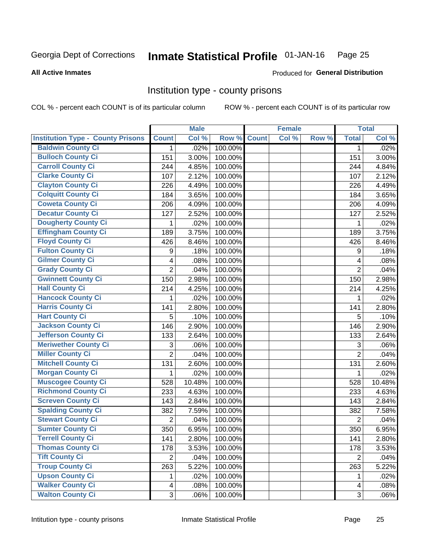#### Inmate Statistical Profile 01-JAN-16 Page 25

### **All Active Inmates**

### Produced for General Distribution

### Institution type - county prisons

COL % - percent each COUNT is of its particular column

|                                          |                         | <b>Male</b> |         |              | <b>Female</b> |       |                | <b>Total</b> |
|------------------------------------------|-------------------------|-------------|---------|--------------|---------------|-------|----------------|--------------|
| <b>Institution Type - County Prisons</b> | <b>Count</b>            | Col %       | Row %   | <b>Count</b> | Col %         | Row % | <b>Total</b>   | Col %        |
| <b>Baldwin County Ci</b>                 | $\mathbf{1}$            | .02%        | 100.00% |              |               |       | $\mathbf 1$    | .02%         |
| <b>Bulloch County Ci</b>                 | 151                     | 3.00%       | 100.00% |              |               |       | 151            | 3.00%        |
| <b>Carroll County Ci</b>                 | 244                     | 4.85%       | 100.00% |              |               |       | 244            | 4.84%        |
| <b>Clarke County Ci</b>                  | 107                     | 2.12%       | 100.00% |              |               |       | 107            | 2.12%        |
| <b>Clayton County Ci</b>                 | 226                     | 4.49%       | 100.00% |              |               |       | 226            | 4.49%        |
| <b>Colquitt County Ci</b>                | 184                     | 3.65%       | 100.00% |              |               |       | 184            | 3.65%        |
| <b>Coweta County Ci</b>                  | 206                     | 4.09%       | 100.00% |              |               |       | 206            | 4.09%        |
| <b>Decatur County Ci</b>                 | 127                     | 2.52%       | 100.00% |              |               |       | 127            | 2.52%        |
| <b>Dougherty County Ci</b>               | 1                       | .02%        | 100.00% |              |               |       | 1              | .02%         |
| <b>Effingham County Ci</b>               | 189                     | 3.75%       | 100.00% |              |               |       | 189            | 3.75%        |
| <b>Floyd County Ci</b>                   | 426                     | 8.46%       | 100.00% |              |               |       | 426            | 8.46%        |
| <b>Fulton County Ci</b>                  | 9                       | .18%        | 100.00% |              |               |       | 9              | .18%         |
| <b>Gilmer County Ci</b>                  | $\overline{\mathbf{4}}$ | .08%        | 100.00% |              |               |       | 4              | .08%         |
| <b>Grady County Ci</b>                   | $\overline{c}$          | .04%        | 100.00% |              |               |       | $\overline{2}$ | .04%         |
| <b>Gwinnett County Ci</b>                | 150                     | 2.98%       | 100.00% |              |               |       | 150            | 2.98%        |
| <b>Hall County Ci</b>                    | 214                     | 4.25%       | 100.00% |              |               |       | 214            | 4.25%        |
| <b>Hancock County Ci</b>                 | 1                       | .02%        | 100.00% |              |               |       | 1              | .02%         |
| <b>Harris County Ci</b>                  | 141                     | 2.80%       | 100.00% |              |               |       | 141            | 2.80%        |
| <b>Hart County Ci</b>                    | 5                       | .10%        | 100.00% |              |               |       | 5              | .10%         |
| <b>Jackson County Ci</b>                 | 146                     | 2.90%       | 100.00% |              |               |       | 146            | 2.90%        |
| <b>Jefferson County Ci</b>               | 133                     | 2.64%       | 100.00% |              |               |       | 133            | 2.64%        |
| <b>Meriwether County Ci</b>              | 3                       | .06%        | 100.00% |              |               |       | 3              | .06%         |
| <b>Miller County Ci</b>                  | $\overline{2}$          | .04%        | 100.00% |              |               |       | $\overline{2}$ | .04%         |
| <b>Mitchell County Ci</b>                | 131                     | 2.60%       | 100.00% |              |               |       | 131            | 2.60%        |
| <b>Morgan County Ci</b>                  | 1                       | .02%        | 100.00% |              |               |       | 1              | .02%         |
| <b>Muscogee County Ci</b>                | 528                     | 10.48%      | 100.00% |              |               |       | 528            | 10.48%       |
| <b>Richmond County Ci</b>                | 233                     | 4.63%       | 100.00% |              |               |       | 233            | 4.63%        |
| <b>Screven County Ci</b>                 | 143                     | 2.84%       | 100.00% |              |               |       | 143            | 2.84%        |
| <b>Spalding County Ci</b>                | 382                     | 7.59%       | 100.00% |              |               |       | 382            | 7.58%        |
| <b>Stewart County Ci</b>                 | $\overline{2}$          | .04%        | 100.00% |              |               |       | $\overline{2}$ | .04%         |
| <b>Sumter County Ci</b>                  | 350                     | 6.95%       | 100.00% |              |               |       | 350            | 6.95%        |
| <b>Terrell County Ci</b>                 | 141                     | 2.80%       | 100.00% |              |               |       | 141            | 2.80%        |
| <b>Thomas County Ci</b>                  | 178                     | 3.53%       | 100.00% |              |               |       | 178            | 3.53%        |
| <b>Tift County Ci</b>                    | $\overline{2}$          | .04%        | 100.00% |              |               |       | $\overline{2}$ | .04%         |
| <b>Troup County Ci</b>                   | 263                     | 5.22%       | 100.00% |              |               |       | 263            | 5.22%        |
| <b>Upson County Ci</b>                   | 1                       | .02%        | 100.00% |              |               |       | 1              | .02%         |
| <b>Walker County Ci</b>                  | $\overline{4}$          | .08%        | 100.00% |              |               |       | 4              | .08%         |
| <b>Walton County Ci</b>                  | 3                       | .06%        | 100.00% |              |               |       | $\mathfrak{S}$ | .06%         |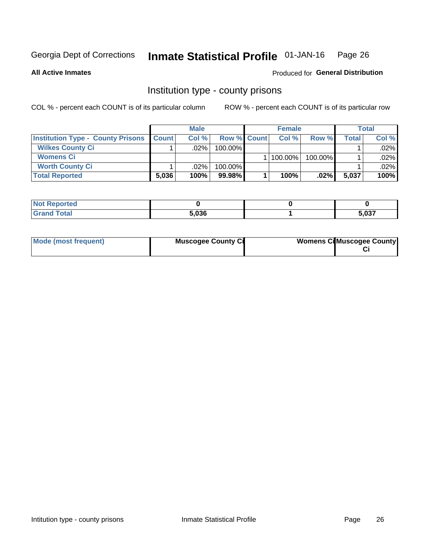#### Inmate Statistical Profile 01-JAN-16 Page 26

**All Active Inmates** 

### Produced for General Distribution

### Institution type - county prisons

COL % - percent each COUNT is of its particular column

|                                          | <b>Male</b>  |         |             | <b>Female</b> |         | <b>Total</b> |       |
|------------------------------------------|--------------|---------|-------------|---------------|---------|--------------|-------|
| <b>Institution Type - County Prisons</b> | <b>Count</b> | Col%    | Row % Count | Col%          | Row %   | Total        | Col % |
| <b>Wilkes County Ci</b>                  |              | $.02\%$ | 100.00%     |               |         |              | .02%  |
| <b>Womens Ci</b>                         |              |         |             | 100.00%       | 100.00% |              | .02%  |
| <b>Worth County Ci</b>                   |              | $.02\%$ | 100.00%     |               |         |              | .02%  |
| <b>Total Reported</b>                    | 5,036        | $100\%$ | 99.98%      | 100%          | $.02\%$ | 5,037        | 100%  |

| τeα    |       |       |
|--------|-------|-------|
| ______ | 5,036 | 5.037 |

| Mode (most frequent) | <b>Muscogee County Ci</b> | <b>Womens Cil Muscogee County</b> |
|----------------------|---------------------------|-----------------------------------|
|                      |                           |                                   |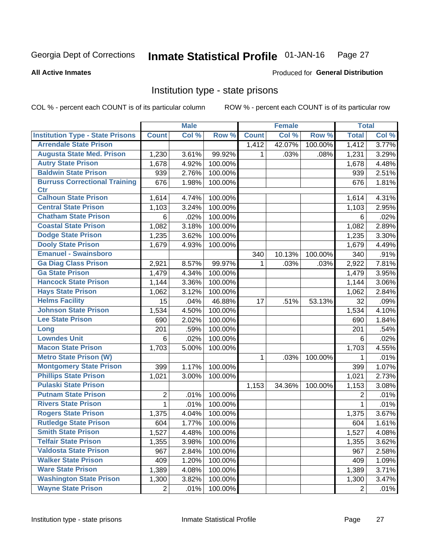#### Inmate Statistical Profile 01-JAN-16 Page 27

### **All Active Inmates**

### **Produced for General Distribution**

### Institution type - state prisons

COL % - percent each COUNT is of its particular column

|                                         |                | <b>Male</b> |         |              | <b>Female</b> |         | <b>Total</b>   |       |
|-----------------------------------------|----------------|-------------|---------|--------------|---------------|---------|----------------|-------|
| <b>Institution Type - State Prisons</b> | <b>Count</b>   | Col %       | Row %   | <b>Count</b> | Col %         | Row %   | <b>Total</b>   | Col % |
| <b>Arrendale State Prison</b>           |                |             |         | 1,412        | 42.07%        | 100.00% | 1,412          | 3.77% |
| <b>Augusta State Med. Prison</b>        | 1,230          | 3.61%       | 99.92%  | 1            | .03%          | .08%    | 1,231          | 3.29% |
| <b>Autry State Prison</b>               | 1,678          | 4.92%       | 100.00% |              |               |         | 1,678          | 4.48% |
| <b>Baldwin State Prison</b>             | 939            | 2.76%       | 100.00% |              |               |         | 939            | 2.51% |
| <b>Burruss Correctional Training</b>    | 676            | 1.98%       | 100.00% |              |               |         | 676            | 1.81% |
| <b>Ctr</b>                              |                |             |         |              |               |         |                |       |
| <b>Calhoun State Prison</b>             | 1,614          | 4.74%       | 100.00% |              |               |         | 1,614          | 4.31% |
| <b>Central State Prison</b>             | 1,103          | 3.24%       | 100.00% |              |               |         | 1,103          | 2.95% |
| <b>Chatham State Prison</b>             | 6              | .02%        | 100.00% |              |               |         | 6              | .02%  |
| <b>Coastal State Prison</b>             | 1,082          | 3.18%       | 100.00% |              |               |         | 1,082          | 2.89% |
| <b>Dodge State Prison</b>               | 1,235          | 3.62%       | 100.00% |              |               |         | 1,235          | 3.30% |
| <b>Dooly State Prison</b>               | 1,679          | 4.93%       | 100.00% |              |               |         | 1,679          | 4.49% |
| <b>Emanuel - Swainsboro</b>             |                |             |         | 340          | 10.13%        | 100.00% | 340            | .91%  |
| <b>Ga Diag Class Prison</b>             | 2,921          | 8.57%       | 99.97%  | $\mathbf 1$  | .03%          | .03%    | 2,922          | 7.81% |
| <b>Ga State Prison</b>                  | 1,479          | 4.34%       | 100.00% |              |               |         | 1,479          | 3.95% |
| <b>Hancock State Prison</b>             | 1,144          | 3.36%       | 100.00% |              |               |         | 1,144          | 3.06% |
| <b>Hays State Prison</b>                | 1,062          | 3.12%       | 100.00% |              |               |         | 1,062          | 2.84% |
| <b>Helms Facility</b>                   | 15             | .04%        | 46.88%  | 17           | .51%          | 53.13%  | 32             | .09%  |
| <b>Johnson State Prison</b>             | 1,534          | 4.50%       | 100.00% |              |               |         | 1,534          | 4.10% |
| <b>Lee State Prison</b>                 | 690            | 2.02%       | 100.00% |              |               |         | 690            | 1.84% |
| Long                                    | 201            | .59%        | 100.00% |              |               |         | 201            | .54%  |
| <b>Lowndes Unit</b>                     | 6              | .02%        | 100.00% |              |               |         | 6              | .02%  |
| <b>Macon State Prison</b>               | 1,703          | 5.00%       | 100.00% |              |               |         | 1,703          | 4.55% |
| <b>Metro State Prison (W)</b>           |                |             |         | 1            | .03%          | 100.00% | 1              | .01%  |
| <b>Montgomery State Prison</b>          | 399            | 1.17%       | 100.00% |              |               |         | 399            | 1.07% |
| <b>Phillips State Prison</b>            | 1,021          | 3.00%       | 100.00% |              |               |         | 1,021          | 2.73% |
| <b>Pulaski State Prison</b>             |                |             |         | 1,153        | 34.36%        | 100.00% | 1,153          | 3.08% |
| <b>Putnam State Prison</b>              | $\overline{2}$ | .01%        | 100.00% |              |               |         | 2              | .01%  |
| <b>Rivers State Prison</b>              | 1              | .01%        | 100.00% |              |               |         | 1              | .01%  |
| <b>Rogers State Prison</b>              | 1,375          | 4.04%       | 100.00% |              |               |         | 1,375          | 3.67% |
| <b>Rutledge State Prison</b>            | 604            | 1.77%       | 100.00% |              |               |         | 604            | 1.61% |
| <b>Smith State Prison</b>               | 1,527          | 4.48%       | 100.00% |              |               |         | 1,527          | 4.08% |
| <b>Telfair State Prison</b>             | 1,355          | 3.98%       | 100.00% |              |               |         | 1,355          | 3.62% |
| <b>Valdosta State Prison</b>            | 967            | 2.84%       | 100.00% |              |               |         | 967            | 2.58% |
| <b>Walker State Prison</b>              | 409            | 1.20%       | 100.00% |              |               |         | 409            | 1.09% |
| <b>Ware State Prison</b>                | 1,389          | 4.08%       | 100.00% |              |               |         | 1,389          | 3.71% |
| <b>Washington State Prison</b>          | 1,300          | 3.82%       | 100.00% |              |               |         | 1,300          | 3.47% |
| <b>Wayne State Prison</b>               | $\overline{2}$ | .01%        | 100.00% |              |               |         | $\overline{2}$ | .01%  |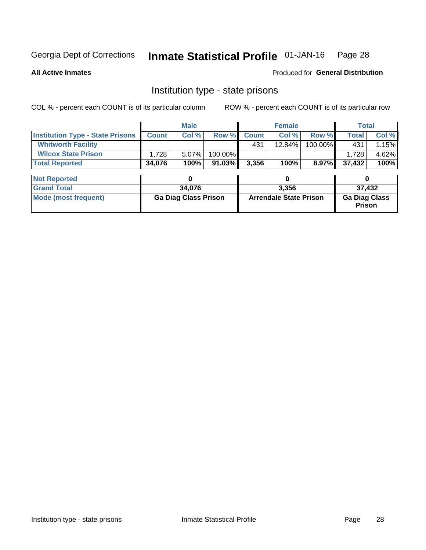#### Inmate Statistical Profile 01-JAN-16 Page 28

### **All Active Inmates**

### Produced for General Distribution

### Institution type - state prisons

COL % - percent each COUNT is of its particular column

|                                         | <b>Male</b>                 |        |           |                               | <b>Female</b> |         |                                | <b>Total</b> |  |
|-----------------------------------------|-----------------------------|--------|-----------|-------------------------------|---------------|---------|--------------------------------|--------------|--|
| <b>Institution Type - State Prisons</b> | <b>Count</b>                | Col %  | Row %     | <b>Count</b>                  | Col %         | Row %   | <b>Total</b>                   | Col %        |  |
| <b>Whitworth Facility</b>               |                             |        |           | 431                           | 12.84%        | 100.00% | 431                            | 1.15%        |  |
| <b>Wilcox State Prison</b>              | 1,728                       | 5.07%  | 100.00%   |                               |               |         | 1.728                          | 4.62%        |  |
| <b>Total Reported</b>                   | 34,076                      | 100%   | $91.03\%$ | 3,356                         | 100%          | 8.97%   | 37,432                         | 100%         |  |
|                                         |                             |        |           |                               |               |         |                                |              |  |
| <b>Not Reported</b>                     |                             | 0      |           |                               | 0             |         | 0                              |              |  |
| <b>Grand Total</b>                      |                             | 34,076 |           |                               | 3,356         |         |                                | 37,432       |  |
| <b>Mode (most frequent)</b>             | <b>Ga Diag Class Prison</b> |        |           | <b>Arrendale State Prison</b> |               |         | <b>Ga Diag Class</b><br>Prison |              |  |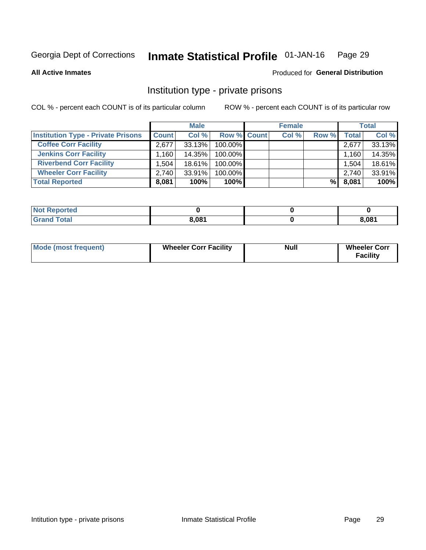#### Inmate Statistical Profile 01-JAN-16 Page 29

**All Active Inmates** 

### Produced for General Distribution

### Institution type - private prisons

COL % - percent each COUNT is of its particular column

|                                           | <b>Male</b>  |        |                    | <b>Female</b> |       |       | <b>Total</b> |        |
|-------------------------------------------|--------------|--------|--------------------|---------------|-------|-------|--------------|--------|
| <b>Institution Type - Private Prisons</b> | <b>Count</b> | Col %  | <b>Row % Count</b> |               | Col % | Row % | Total        | Col %  |
| <b>Coffee Corr Facility</b>               | 2.677        | 33.13% | 100.00%            |               |       |       | 2,677        | 33.13% |
| <b>Jenkins Corr Facility</b>              | ⊺160.،       | 14.35% | $100.00\%$         |               |       |       | 1,160        | 14.35% |
| <b>Riverbend Corr Facility</b>            | 1.504        | 18.61% | 100.00%            |               |       |       | 1,504        | 18.61% |
| <b>Wheeler Corr Facility</b>              | 2.740        | 33.91% | 100.00%            |               |       |       | 2,740        | 33.91% |
| <b>Total Reported</b>                     | 8,081        | 100%   | 100%               |               |       | %     | 8,081        | 100%   |

| <b>Not Reported</b> |       |       |
|---------------------|-------|-------|
| <b>Total</b>        | 8,081 | 8,081 |

| <b>Mode (most frequent)</b> | <b>Wheeler Corr Facility</b> | <b>Null</b> | <b>Wheeler Corr</b><br><b>Facility</b> |
|-----------------------------|------------------------------|-------------|----------------------------------------|
|-----------------------------|------------------------------|-------------|----------------------------------------|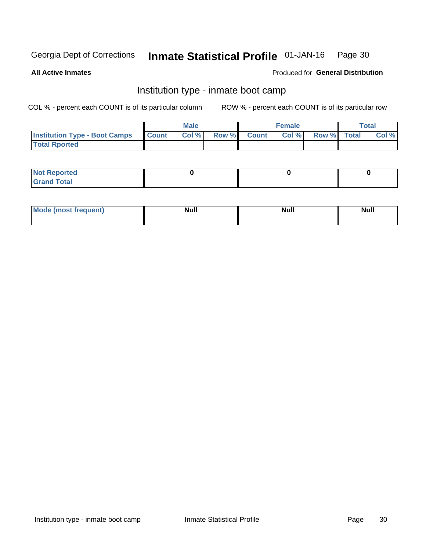#### Inmate Statistical Profile 01-JAN-16 Page 30

**All Active Inmates** 

### Produced for General Distribution

### Institution type - inmate boot camp

COL % - percent each COUNT is of its particular column

|                                      |                  | <b>Male</b> |              |              | <b>Female</b> |             | <b>Total</b> |
|--------------------------------------|------------------|-------------|--------------|--------------|---------------|-------------|--------------|
| <b>Institution Type - Boot Camps</b> | <b>I</b> Count I | Col %       | <b>Row %</b> | <b>Count</b> | Col %         | Row % Total | Col %        |
| <b>Total Rported</b>                 |                  |             |              |              |               |             |              |

| <b>Not Reported</b>            |  |  |
|--------------------------------|--|--|
| <b>Total</b><br>C <sub>r</sub> |  |  |

| Mod<br>uamo | Nul.<br>$- - - - - -$ | <b>Null</b> | . .<br>uu.<br>------ |
|-------------|-----------------------|-------------|----------------------|
|             |                       |             |                      |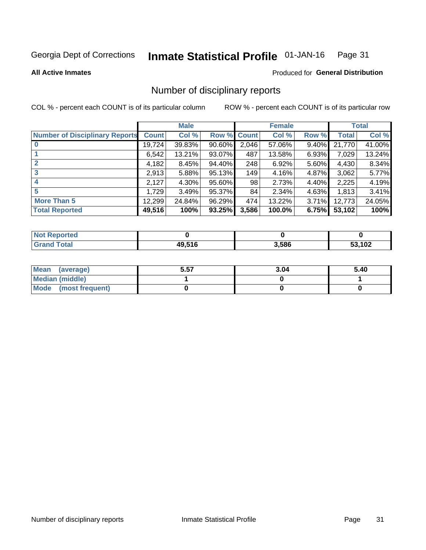#### Inmate Statistical Profile 01-JAN-16 Page 31

### **All Active Inmates**

### Produced for General Distribution

### Number of disciplinary reports

COL % - percent each COUNT is of its particular column

|                                       |              | <b>Male</b> |             | <b>Female</b> |        |       | <b>Total</b> |        |
|---------------------------------------|--------------|-------------|-------------|---------------|--------|-------|--------------|--------|
| <b>Number of Disciplinary Reports</b> | <b>Count</b> | Col %       | Row % Count |               | Col %  | Row % | Total        | Col %  |
|                                       | 19,724       | 39.83%      | $90.60\%$   | 2,046         | 57.06% | 9.40% | 21,770       | 41.00% |
|                                       | 6,542        | 13.21%      | $93.07\%$   | 487           | 13.58% | 6.93% | 7,029        | 13.24% |
|                                       | 4,182        | 8.45%       | 94.40%      | 248           | 6.92%  | 5.60% | 4,430        | 8.34%  |
| 3                                     | 2,913        | 5.88%       | 95.13%      | 149           | 4.16%  | 4.87% | 3,062        | 5.77%  |
|                                       | 2,127        | 4.30%       | 95.60%      | 98            | 2.73%  | 4.40% | 2,225        | 4.19%  |
| 5                                     | 1,729        | 3.49%       | 95.37%      | 84            | 2.34%  | 4.63% | 1,813        | 3.41%  |
| <b>More Than 5</b>                    | 12,299       | 24.84%      | 96.29%      | 474           | 13.22% | 3.71% | 12,773       | 24.05% |
| <b>Total Reported</b>                 | 49,516       | 100%        | 93.25%      | 3,586         | 100.0% | 6.75% | 53,102       | 100%   |

| Reported<br>Not <b>F</b> |        |       |        |
|--------------------------|--------|-------|--------|
| <b>Total</b>             | 19.516 | 3,586 | 53,102 |

| Mean (average)         | 5.57 | 3.04 | 5.40 |
|------------------------|------|------|------|
| <b>Median (middle)</b> |      |      |      |
| Mode (most frequent)   |      |      |      |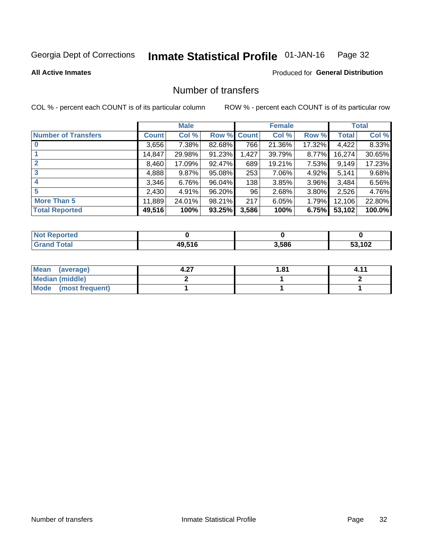#### Inmate Statistical Profile 01-JAN-16 Page 32

**All Active Inmates** 

### Produced for General Distribution

### Number of transfers

COL % - percent each COUNT is of its particular column

|                            | <b>Male</b> |        | <b>Female</b> |       |        | <b>Total</b> |              |        |
|----------------------------|-------------|--------|---------------|-------|--------|--------------|--------------|--------|
| <b>Number of Transfers</b> | Count l     | Col %  | Row % Count   |       | Col %  | Row %        | <b>Total</b> | Col %  |
|                            | 3,656       | 7.38%  | 82.68%        | 766   | 21.36% | 17.32%       | 4,422        | 8.33%  |
|                            | 14,847      | 29.98% | 91.23%        | 1,427 | 39.79% | $8.77\%$     | 16,274       | 30.65% |
| $\mathbf{2}$               | 8,460       | 17.09% | 92.47%        | 689   | 19.21% | 7.53%        | 9,149        | 17.23% |
| 3                          | 4,888       | 9.87%  | 95.08%        | 253   | 7.06%  | $4.92\%$     | 5,141        | 9.68%  |
| 4                          | 3,346       | 6.76%  | 96.04%        | 138   | 3.85%  | 3.96%        | 3.484        | 6.56%  |
| 5                          | 2,430       | 4.91%  | 96.20%        | 96    | 2.68%  | 3.80%        | 2,526        | 4.76%  |
| <b>More Than 5</b>         | 11,889      | 24.01% | 98.21%        | 217   | 6.05%  | $1.79\%$     | 12,106       | 22.80% |
| <b>Total Reported</b>      | 49,516      | 100%   | 93.25%        | 3,586 | 100%   | 6.75%        | 53,102       | 100.0% |

| orted<br>Not <b>I</b> |        |       |      |
|-----------------------|--------|-------|------|
| <b>Total</b>          | 49,516 | 3,586 | ,102 |

| Mean (average)         | . പ<br>4.ZI | 81.، |  |
|------------------------|-------------|------|--|
| <b>Median (middle)</b> |             |      |  |
| Mode (most frequent)   |             |      |  |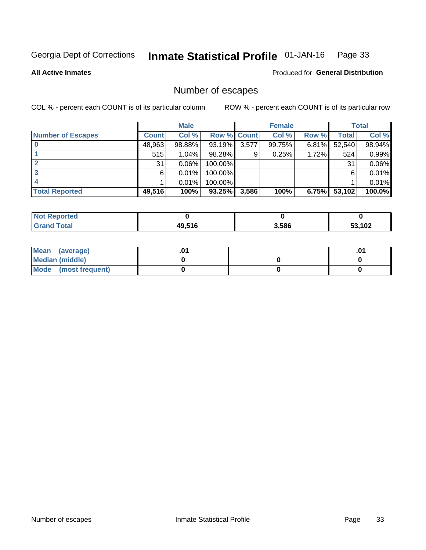#### Inmate Statistical Profile 01-JAN-16 Page 33

**All Active Inmates** 

Produced for General Distribution

### Number of escapes

COL % - percent each COUNT is of its particular column

|                          | <b>Male</b>  |        | <b>Female</b>      |       |        | <b>Total</b> |        |        |
|--------------------------|--------------|--------|--------------------|-------|--------|--------------|--------|--------|
| <b>Number of Escapes</b> | <b>Count</b> | Col %  | <b>Row % Count</b> |       | Col %  | Row %        | Total  | Col %  |
|                          | 48,963       | 98.88% | 93.19%             | 3,577 | 99.75% | $6.81\%$     | 52,540 | 98.94% |
|                          | 515          | 1.04%  | 98.28%             | 9     | 0.25%  | 1.72%        | 524    | 0.99%  |
|                          | 31           | 0.06%  | 100.00%            |       |        |              | 31     | 0.06%  |
|                          | 6.           | 0.01%  | $100.00\%$         |       |        |              | 6      | 0.01%  |
|                          |              | 0.01%  | 100.00%            |       |        |              |        | 0.01%  |
| <b>Total Reported</b>    | 49,516       | 100%   | 93.25%             | 3,586 | 100%   | 6.75%        | 53,102 | 100.0% |

| <b>Not Reported</b> |        |       |        |
|---------------------|--------|-------|--------|
| <b>Grand Total</b>  | 49,516 | 3,586 | 53,102 |

| Mean (average)       |  |  |
|----------------------|--|--|
| Median (middle)      |  |  |
| Mode (most frequent) |  |  |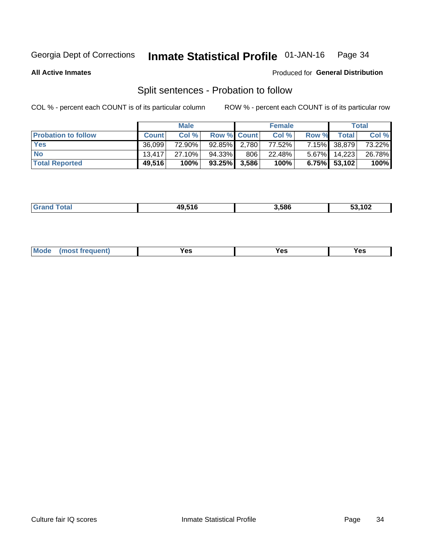#### Inmate Statistical Profile 01-JAN-16 Page 34

**All Active Inmates** 

### Produced for General Distribution

### Split sentences - Probation to follow

COL % - percent each COUNT is of its particular column

|                            | <b>Male</b>  |        |                    | <b>Female</b> |        |       | <b>Total</b>    |        |
|----------------------------|--------------|--------|--------------------|---------------|--------|-------|-----------------|--------|
| <b>Probation to follow</b> | <b>Count</b> | Col%   | <b>Row % Count</b> |               | Col %  | Row % | <b>Total</b>    | Col %  |
| <b>Yes</b>                 | 36.099       | 72.90% | $92.85\%$ 2.780    |               | 77.52% |       | 7.15% 38,879    | 73.22% |
| <b>No</b>                  | 13.417       | 27.10% | 94.33%1            | 806           | 22.48% |       | $5.67\%$ 14,223 | 26.78% |
| <b>Total Reported</b>      | 49,516       | 100%   | $93.25\%$ 3,586    |               | 100%   |       | $6.75\%$ 53,102 | 100%   |

| ______ | IN E4C | 3.586 | $\overline{a}$<br>ືບ≛<br>$\sim$ $\sim$ |
|--------|--------|-------|----------------------------------------|
|        |        |       |                                        |

| $Moo$<br>requent<br>′es<br>Yes<br><b>YAC</b><br>. |
|---------------------------------------------------|
|---------------------------------------------------|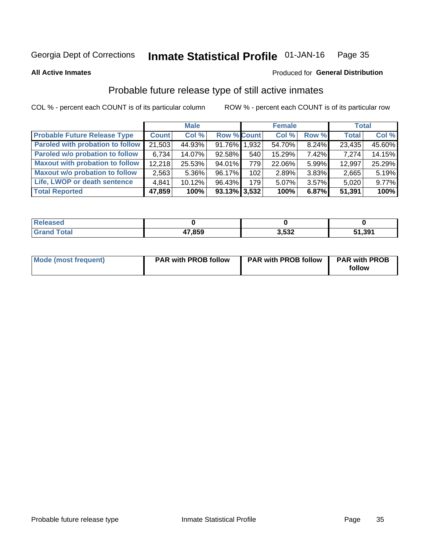#### Inmate Statistical Profile 01-JAN-16 Page 35

**All Active Inmates** 

### Produced for General Distribution

### Probable future release type of still active inmates

COL % - percent each COUNT is of its particular column

|                                         |              | <b>Male</b> |                    |     | <b>Female</b> |          | <b>Total</b> |        |
|-----------------------------------------|--------------|-------------|--------------------|-----|---------------|----------|--------------|--------|
| <b>Probable Future Release Type</b>     | <b>Count</b> | Col %       | <b>Row % Count</b> |     | Col %         | Row %    | <b>Total</b> | Col %  |
| <b>Paroled with probation to follow</b> | 21,503       | 44.93%      | 91.76% 1,932       |     | 54.70%        | 8.24%    | 23,435       | 45.60% |
| Paroled w/o probation to follow         | 6,734        | 14.07%      | 92.58%             | 540 | 15.29%        | 7.42%    | 7,274        | 14.15% |
| <b>Maxout with probation to follow</b>  | 12,218       | 25.53%      | 94.01%             | 779 | 22.06%        | 5.99%    | 12,997       | 25.29% |
| <b>Maxout w/o probation to follow</b>   | 2,563        | $5.36\%$    | 96.17%             | 102 | 2.89%         | 3.83%    | 2,665        | 5.19%  |
| Life, LWOP or death sentence            | 4,841        | 10.12%      | 96.43%             | 179 | 5.07%         | $3.57\%$ | 5,020        | 9.77%  |
| <b>Total Reported</b>                   | 47,859       | 100%        | $93.13\%$ 3,532    |     | 100%          | 6.87%    | 51,391       | 100%   |

| eleased |        |                |       |
|---------|--------|----------------|-------|
| 'otal   | 47,859 | ההה ו<br>J.JJZ | 1,391 |

| Mode (most frequent) | <b>PAR with PROB follow</b> | <b>PAR with PROB follow</b> | <b>PAR with PROB</b><br>follow |
|----------------------|-----------------------------|-----------------------------|--------------------------------|
|                      |                             |                             |                                |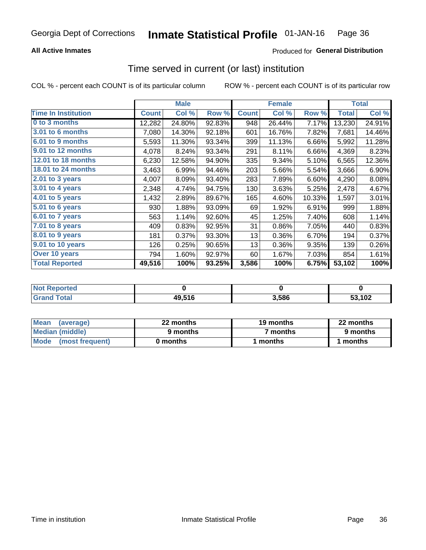### **All Active Inmates**

### Produced for General Distribution

### Time served in current (or last) institution

COL % - percent each COUNT is of its particular column

|                            |              | <b>Male</b> |        |              | <b>Female</b> |        |              | <b>Total</b> |
|----------------------------|--------------|-------------|--------|--------------|---------------|--------|--------------|--------------|
| <b>Time In Institution</b> | <b>Count</b> | Col %       | Row %  | <b>Count</b> | Col %         | Row %  | <b>Total</b> | Col %        |
| 0 to 3 months              | 12,282       | 24.80%      | 92.83% | 948          | 26.44%        | 7.17%  | 13,230       | 24.91%       |
| 3.01 to 6 months           | 7,080        | 14.30%      | 92.18% | 601          | 16.76%        | 7.82%  | 7,681        | 14.46%       |
| 6.01 to 9 months           | 5,593        | 11.30%      | 93.34% | 399          | 11.13%        | 6.66%  | 5,992        | 11.28%       |
| 9.01 to 12 months          | 4,078        | 8.24%       | 93.34% | 291          | 8.11%         | 6.66%  | 4,369        | 8.23%        |
| 12.01 to 18 months         | 6,230        | 12.58%      | 94.90% | 335          | 9.34%         | 5.10%  | 6,565        | 12.36%       |
| <b>18.01 to 24 months</b>  | 3,463        | 6.99%       | 94.46% | 203          | 5.66%         | 5.54%  | 3,666        | 6.90%        |
| $2.01$ to 3 years          | 4,007        | 8.09%       | 93.40% | 283          | 7.89%         | 6.60%  | 4,290        | 8.08%        |
| 3.01 to 4 years            | 2,348        | 4.74%       | 94.75% | 130          | 3.63%         | 5.25%  | 2,478        | 4.67%        |
| $4.01$ to 5 years          | 1,432        | 2.89%       | 89.67% | 165          | 4.60%         | 10.33% | 1,597        | 3.01%        |
| 5.01 to 6 years            | 930          | 1.88%       | 93.09% | 69           | 1.92%         | 6.91%  | 999          | 1.88%        |
| 6.01 to 7 years            | 563          | 1.14%       | 92.60% | 45           | 1.25%         | 7.40%  | 608          | 1.14%        |
| 7.01 to 8 years            | 409          | 0.83%       | 92.95% | 31           | 0.86%         | 7.05%  | 440          | 0.83%        |
| $8.01$ to 9 years          | 181          | 0.37%       | 93.30% | 13           | 0.36%         | 6.70%  | 194          | 0.37%        |
| 9.01 to 10 years           | 126          | 0.25%       | 90.65% | 13           | 0.36%         | 9.35%  | 139          | 0.26%        |
| Over 10 years              | 794          | 1.60%       | 92.97% | 60           | 1.67%         | 7.03%  | 854          | 1.61%        |
| <b>Total Reported</b>      | 49,516       | 100%        | 93.25% | 3,586        | 100%          | 6.75%  | 53,102       | 100%         |

| <b>Not</b><br>Reported |        |      |        |
|------------------------|--------|------|--------|
| <b>otal</b>            | 49,516 | .586 | 53,102 |

| <b>Mean</b><br>(average) | 22 months | 19 months | 22 months |
|--------------------------|-----------|-----------|-----------|
| Median (middle)          | 9 months  | 7 months  | 9 months  |
| Mode<br>(most frequent)  | 0 months  | months    | ∖ months  |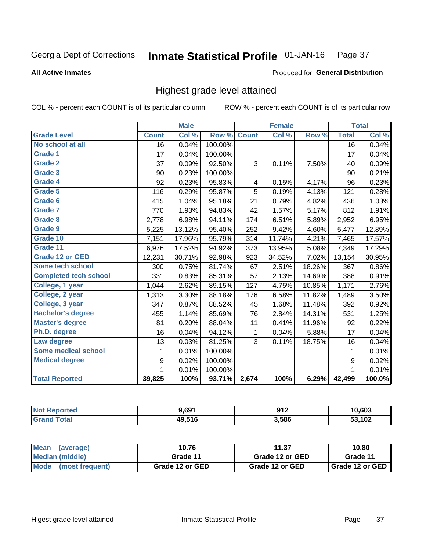### **All Active Inmates**

### Produced for General Distribution

## Highest grade level attained

COL % - percent each COUNT is of its particular column

|                              |                 | <b>Male</b> |         |                | <b>Female</b> |        |                 | <b>Total</b> |
|------------------------------|-----------------|-------------|---------|----------------|---------------|--------|-----------------|--------------|
| <b>Grade Level</b>           | <b>Count</b>    | Col %       | Row %   | <b>Count</b>   | Col%          | Row %  | <b>Total</b>    | Col %        |
| No school at all             | $\overline{16}$ | 0.04%       | 100.00% |                |               |        | $\overline{16}$ | 0.04%        |
| <b>Grade 1</b>               | 17              | 0.04%       | 100.00% |                |               |        | 17              | 0.04%        |
| <b>Grade 2</b>               | 37              | 0.09%       | 92.50%  | 3              | 0.11%         | 7.50%  | 40              | 0.09%        |
| Grade 3                      | 90              | 0.23%       | 100.00% |                |               |        | 90              | 0.21%        |
| <b>Grade 4</b>               | 92              | 0.23%       | 95.83%  | 4              | 0.15%         | 4.17%  | 96              | 0.23%        |
| <b>Grade 5</b>               | 116             | 0.29%       | 95.87%  | $\overline{5}$ | 0.19%         | 4.13%  | 121             | 0.28%        |
| Grade 6                      | 415             | 1.04%       | 95.18%  | 21             | 0.79%         | 4.82%  | 436             | 1.03%        |
| Grade 7                      | 770             | 1.93%       | 94.83%  | 42             | 1.57%         | 5.17%  | 812             | 1.91%        |
| Grade 8                      | 2,778           | 6.98%       | 94.11%  | 174            | 6.51%         | 5.89%  | 2,952           | 6.95%        |
| Grade 9                      | 5,225           | 13.12%      | 95.40%  | 252            | 9.42%         | 4.60%  | 5,477           | 12.89%       |
| Grade 10                     | 7,151           | 17.96%      | 95.79%  | 314            | 11.74%        | 4.21%  | 7,465           | 17.57%       |
| Grade 11                     | 6,976           | 17.52%      | 94.92%  | 373            | 13.95%        | 5.08%  | 7,349           | 17.29%       |
| <b>Grade 12 or GED</b>       | 12,231          | 30.71%      | 92.98%  | 923            | 34.52%        | 7.02%  | 13,154          | 30.95%       |
| Some tech school             | 300             | 0.75%       | 81.74%  | 67             | 2.51%         | 18.26% | 367             | 0.86%        |
| <b>Completed tech school</b> | 331             | 0.83%       | 85.31%  | 57             | 2.13%         | 14.69% | 388             | 0.91%        |
| College, 1 year              | 1,044           | 2.62%       | 89.15%  | 127            | 4.75%         | 10.85% | 1,171           | 2.76%        |
| College, 2 year              | 1,313           | 3.30%       | 88.18%  | 176            | 6.58%         | 11.82% | 1,489           | 3.50%        |
| College, 3 year              | 347             | 0.87%       | 88.52%  | 45             | 1.68%         | 11.48% | 392             | 0.92%        |
| <b>Bachelor's degree</b>     | 455             | 1.14%       | 85.69%  | 76             | 2.84%         | 14.31% | 531             | 1.25%        |
| <b>Master's degree</b>       | 81              | 0.20%       | 88.04%  | 11             | 0.41%         | 11.96% | 92              | 0.22%        |
| Ph.D. degree                 | 16              | 0.04%       | 94.12%  | 1              | 0.04%         | 5.88%  | 17              | 0.04%        |
| Law degree                   | 13              | 0.03%       | 81.25%  | 3              | 0.11%         | 18.75% | 16              | 0.04%        |
| <b>Some medical school</b>   | 1               | 0.01%       | 100.00% |                |               |        | 1               | 0.01%        |
| <b>Medical degree</b>        | 9               | 0.02%       | 100.00% |                |               |        | 9               | 0.02%        |
|                              | 1               | 0.01%       | 100.00% |                |               |        | $\mathbf{1}$    | 0.01%        |
| <b>Total Reported</b>        | 39,825          | 100%        | 93.71%  | 2,674          | 100%          | 6.29%  | 42,499          | 100.0%       |

| 9.691           | <b>012</b><br>$\mathbf{v}$ is an $\mathbf{v}$ | 10,603        |
|-----------------|-----------------------------------------------|---------------|
| 49.516<br>73.J. | 3,586                                         | 50.400<br>⊾טי |

| <b>Mean</b><br>(average) | 10.76           | 11.37           | 10.80           |
|--------------------------|-----------------|-----------------|-----------------|
| Median (middle)          | Grade 11        | Grade 12 or GED | Grade 11        |
| Mode<br>(most frequent)  | Grade 12 or GED | Grade 12 or GED | Grade 12 or GED |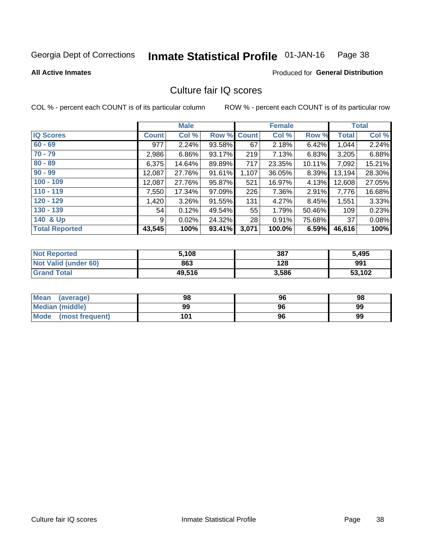#### Inmate Statistical Profile 01-JAN-16 Page 38

**All Active Inmates** 

### **Produced for General Distribution**

## Culture fair IQ scores

COL % - percent each COUNT is of its particular column

|                       |              | <b>Male</b> |             |       | <b>Female</b> |        |              | <b>Total</b> |
|-----------------------|--------------|-------------|-------------|-------|---------------|--------|--------------|--------------|
| <b>IQ Scores</b>      | <b>Count</b> | Col %       | Row % Count |       | Col %         | Row %  | <b>Total</b> | Col %        |
| $60 - 69$             | 977          | 2.24%       | 93.58%      | 67    | 2.18%         | 6.42%  | 1,044        | 2.24%        |
| $70 - 79$             | 2,986        | 6.86%       | 93.17%      | 219   | 7.13%         | 6.83%  | 3,205        | 6.88%        |
| $80 - 89$             | 6,375        | 14.64%      | 89.89%      | 717   | 23.35%        | 10.11% | 7,092        | 15.21%       |
| $90 - 99$             | 12,087       | 27.76%      | 91.61%      | 1,107 | 36.05%        | 8.39%  | 13,194       | 28.30%       |
| $100 - 109$           | 12,087       | 27.76%      | 95.87%      | 521   | 16.97%        | 4.13%  | 12,608       | 27.05%       |
| $110 - 119$           | 7,550        | 17.34%      | 97.09%      | 226   | 7.36%         | 2.91%  | 7,776        | 16.68%       |
| $120 - 129$           | 1,420        | 3.26%       | 91.55%      | 131   | 4.27%         | 8.45%  | 1,551        | 3.33%        |
| $130 - 139$           | 54           | 0.12%       | 49.54%      | 55    | 1.79%         | 50.46% | 109          | 0.23%        |
| 140 & Up              | 9            | 0.02%       | 24.32%      | 28    | 0.91%         | 75.68% | 37           | 0.08%        |
| <b>Total Reported</b> | 43,545       | 100%        | 93.41%      | 3,071 | 100.0%        | 6.59%  | 46,616       | 100%         |

| <b>Not Reported</b>         | 5,108  | 387   | 5,495  |
|-----------------------------|--------|-------|--------|
| <b>Not Valid (under 60)</b> | 863    | 128   | 991    |
| <b>Grand Total</b>          | 49,516 | 3,586 | 53,102 |

| Mean<br>(average)              | 98  | 96 | 98 |
|--------------------------------|-----|----|----|
| Median (middle)                | 99  | 96 | 99 |
| <b>Mode</b><br>(most frequent) | 101 | 96 | 99 |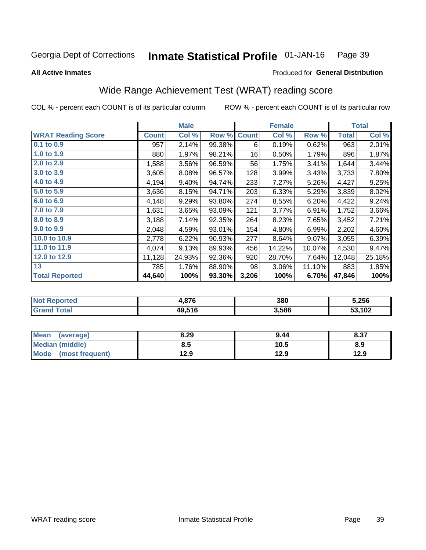#### Inmate Statistical Profile 01-JAN-16 Page 39

Produced for General Distribution

### **All Active Inmates**

# Wide Range Achievement Test (WRAT) reading score

COL % - percent each COUNT is of its particular column

|                           |              | <b>Male</b> |        |              | <b>Female</b> |        |              | <b>Total</b> |
|---------------------------|--------------|-------------|--------|--------------|---------------|--------|--------------|--------------|
| <b>WRAT Reading Score</b> | <b>Count</b> | Col %       | Row %  | <b>Count</b> | Col %         | Row %  | <b>Total</b> | Col %        |
| $0.1$ to $0.9$            | 957          | 2.14%       | 99.38% | 6            | 0.19%         | 0.62%  | 963          | 2.01%        |
| 1.0 to 1.9                | 880          | 1.97%       | 98.21% | 16           | 0.50%         | 1.79%  | 896          | 1.87%        |
| 2.0 to 2.9                | 1,588        | 3.56%       | 96.59% | 56           | 1.75%         | 3.41%  | 1,644        | 3.44%        |
| 3.0 to 3.9                | 3,605        | 8.08%       | 96.57% | 128          | 3.99%         | 3.43%  | 3,733        | 7.80%        |
| 4.0 to 4.9                | 4,194        | 9.40%       | 94.74% | 233          | 7.27%         | 5.26%  | 4,427        | 9.25%        |
| 5.0 to 5.9                | 3,636        | 8.15%       | 94.71% | 203          | 6.33%         | 5.29%  | 3,839        | 8.02%        |
| 6.0 to 6.9                | 4,148        | 9.29%       | 93.80% | 274          | 8.55%         | 6.20%  | 4,422        | 9.24%        |
| 7.0 to 7.9                | 1,631        | 3.65%       | 93.09% | 121          | 3.77%         | 6.91%  | 1,752        | 3.66%        |
| 8.0 to 8.9                | 3,188        | 7.14%       | 92.35% | 264          | 8.23%         | 7.65%  | 3,452        | 7.21%        |
| 9.0 to 9.9                | 2,048        | 4.59%       | 93.01% | 154          | 4.80%         | 6.99%  | 2,202        | 4.60%        |
| 10.0 to 10.9              | 2,778        | 6.22%       | 90.93% | 277          | 8.64%         | 9.07%  | 3,055        | 6.39%        |
| 11.0 to 11.9              | 4,074        | 9.13%       | 89.93% | 456          | 14.22%        | 10.07% | 4,530        | 9.47%        |
| 12.0 to 12.9              | 11,128       | 24.93%      | 92.36% | 920          | 28.70%        | 7.64%  | 12,048       | 25.18%       |
| 13                        | 785          | 1.76%       | 88.90% | 98           | 3.06%         | 11.10% | 883          | 1.85%        |
| <b>Total Reported</b>     | 44,640       | 100%        | 93.30% | 3,206        | 100%          | 6.70%  | 47,846       | 100%         |

| orted<br><b>NO</b> | .876   | 380   | 5,256  |
|--------------------|--------|-------|--------|
| otal               | 49.516 | 3,586 | 53,102 |

| <b>Mean</b><br>(average) | 8.29 | 9.44 | 8.37 |
|--------------------------|------|------|------|
| <b>Median (middle)</b>   | 8.5  | 10.5 | 8.9  |
| Mode<br>(most frequent)  | 12.9 | 12.9 | 12.9 |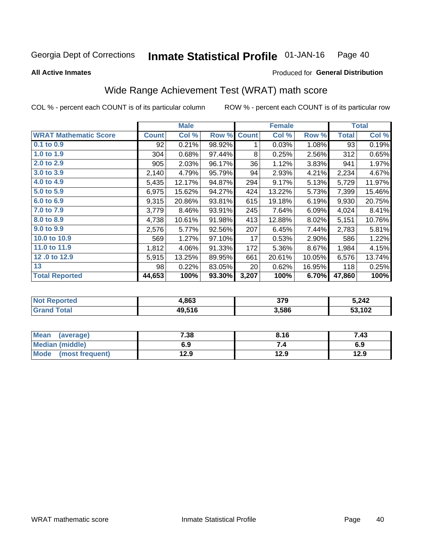**All Active Inmates** 

#### **Inmate Statistical Profile 01-JAN-16** Page 40

Produced for General Distribution

# Wide Range Achievement Test (WRAT) math score

COL % - percent each COUNT is of its particular column

|                              |              | <b>Male</b> |        |              | <b>Female</b> |        |              | <b>Total</b> |
|------------------------------|--------------|-------------|--------|--------------|---------------|--------|--------------|--------------|
| <b>WRAT Mathematic Score</b> | <b>Count</b> | Col %       | Row %  | <b>Count</b> | Col %         | Row %  | <b>Total</b> | Col %        |
| 0.1 to 0.9                   | 92           | 0.21%       | 98.92% | 1            | 0.03%         | 1.08%  | 93           | 0.19%        |
| 1.0 to 1.9                   | 304          | 0.68%       | 97.44% | 8            | 0.25%         | 2.56%  | 312          | 0.65%        |
| 2.0 to 2.9                   | 905          | 2.03%       | 96.17% | 36           | 1.12%         | 3.83%  | 941          | 1.97%        |
| 3.0 to 3.9                   | 2,140        | 4.79%       | 95.79% | 94           | 2.93%         | 4.21%  | 2,234        | 4.67%        |
| 4.0 to 4.9                   | 5,435        | 12.17%      | 94.87% | 294          | 9.17%         | 5.13%  | 5,729        | 11.97%       |
| 5.0 to 5.9                   | 6,975        | 15.62%      | 94.27% | 424          | 13.22%        | 5.73%  | 7,399        | 15.46%       |
| 6.0 to 6.9                   | 9,315        | 20.86%      | 93.81% | 615          | 19.18%        | 6.19%  | 9,930        | 20.75%       |
| 7.0 to 7.9                   | 3,779        | 8.46%       | 93.91% | 245          | 7.64%         | 6.09%  | 4,024        | 8.41%        |
| 8.0 to 8.9                   | 4,738        | 10.61%      | 91.98% | 413          | 12.88%        | 8.02%  | 5,151        | 10.76%       |
| 9.0 to 9.9                   | 2,576        | 5.77%       | 92.56% | 207          | 6.45%         | 7.44%  | 2,783        | 5.81%        |
| 10.0 to 10.9                 | 569          | 1.27%       | 97.10% | 17           | 0.53%         | 2.90%  | 586          | 1.22%        |
| 11.0 to 11.9                 | 1,812        | 4.06%       | 91.33% | 172          | 5.36%         | 8.67%  | 1,984        | 4.15%        |
| 12.0 to 12.9                 | 5,915        | 13.25%      | 89.95% | 661          | 20.61%        | 10.05% | 6,576        | 13.74%       |
| 13                           | 98           | 0.22%       | 83.05% | 20           | 0.62%         | 16.95% | 118          | 0.25%        |
| <b>Total Reported</b>        | 44,653       | 100%        | 93.30% | 3,207        | 100%          | 6.70%  | 47,860       | 100%         |

| rted<br>NOT | .863   | 379   | 5,242  |
|-------------|--------|-------|--------|
| $\sim$      | 49,516 | 3,586 | 53,102 |

| <b>Mean</b><br>(average) | 7.38 | 8.16 | 7.43 |
|--------------------------|------|------|------|
| Median (middle)          | 6.9  | ۰.,  | 6.9  |
| Mode<br>(most frequent)  | 12.9 | 12.9 | 12.9 |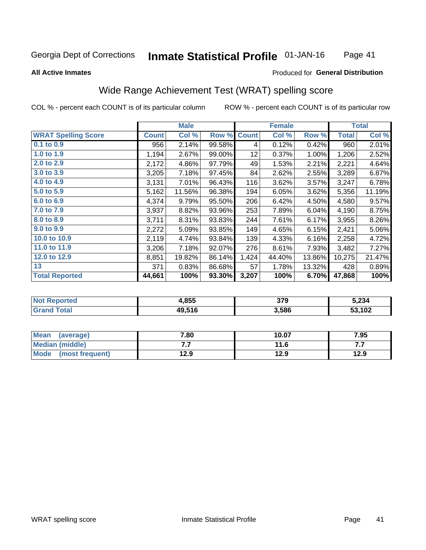#### **Inmate Statistical Profile 01-JAN-16** Page 41

#### **All Active Inmates**

## **Produced for General Distribution**

# Wide Range Achievement Test (WRAT) spelling score

COL % - percent each COUNT is of its particular column

|                            |              | <b>Male</b> |        |              | <b>Female</b> |        |              | <b>Total</b> |
|----------------------------|--------------|-------------|--------|--------------|---------------|--------|--------------|--------------|
| <b>WRAT Spelling Score</b> | <b>Count</b> | Col %       | Row %  | <b>Count</b> | Col %         | Row %  | <b>Total</b> | Col %        |
| $0.1$ to $0.9$             | 956          | 2.14%       | 99.58% | 4            | 0.12%         | 0.42%  | 960          | 2.01%        |
| 1.0 to 1.9                 | 1,194        | 2.67%       | 99.00% | 12           | 0.37%         | 1.00%  | 1,206        | 2.52%        |
| 2.0 to 2.9                 | 2,172        | 4.86%       | 97.79% | 49           | 1.53%         | 2.21%  | 2,221        | 4.64%        |
| 3.0 to 3.9                 | 3,205        | 7.18%       | 97.45% | 84           | 2.62%         | 2.55%  | 3,289        | 6.87%        |
| 4.0 to 4.9                 | 3,131        | 7.01%       | 96.43% | 116          | 3.62%         | 3.57%  | 3,247        | 6.78%        |
| 5.0 to 5.9                 | 5,162        | 11.56%      | 96.38% | 194          | 6.05%         | 3.62%  | 5,356        | 11.19%       |
| 6.0 to 6.9                 | 4,374        | 9.79%       | 95.50% | 206          | 6.42%         | 4.50%  | 4,580        | 9.57%        |
| 7.0 to 7.9                 | 3,937        | 8.82%       | 93.96% | 253          | 7.89%         | 6.04%  | 4,190        | 8.75%        |
| 8.0 to 8.9                 | 3,711        | 8.31%       | 93.83% | 244          | 7.61%         | 6.17%  | 3,955        | 8.26%        |
| 9.0 to 9.9                 | 2,272        | 5.09%       | 93.85% | 149          | 4.65%         | 6.15%  | 2,421        | 5.06%        |
| 10.0 to 10.9               | 2,119        | 4.74%       | 93.84% | 139          | 4.33%         | 6.16%  | 2,258        | 4.72%        |
| 11.0 to 11.9               | 3,206        | 7.18%       | 92.07% | 276          | 8.61%         | 7.93%  | 3,482        | 7.27%        |
| 12.0 to 12.9               | 8,851        | 19.82%      | 86.14% | 1,424        | 44.40%        | 13.86% | 10,275       | 21.47%       |
| 13                         | 371          | 0.83%       | 86.68% | 57           | 1.78%         | 13.32% | 428          | 0.89%        |
| <b>Total Reported</b>      | 44,661       | 100%        | 93.30% | 3,207        | 100%          | 6.70%  | 47,868       | 100%         |

| NO | 4,855  | <b>270</b><br>J I J | 5,234  |
|----|--------|---------------------|--------|
|    | 49,516 | 3,586               | 53,102 |

| <b>Mean</b><br>(average) | 7.80 | 10.07 | 7.95 |
|--------------------------|------|-------|------|
| Median (middle)          | .    | 11.6  | .    |
| Mode (most frequent)     | 12.9 | 12.9  | 12.9 |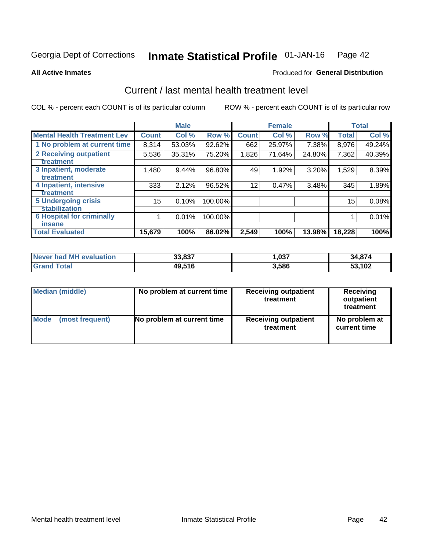#### Inmate Statistical Profile 01-JAN-16 Page 42

**All Active Inmates** 

## **Produced for General Distribution**

# Current / last mental health treatment level

COL % - percent each COUNT is of its particular column

|                                    |              | <b>Male</b> |         |              | <b>Female</b> |        |              | <b>Total</b> |
|------------------------------------|--------------|-------------|---------|--------------|---------------|--------|--------------|--------------|
| <b>Mental Health Treatment Lev</b> | <b>Count</b> | Col %       | Row %   | <b>Count</b> | Col %         | Row %  | <b>Total</b> | Col %        |
| 1 No problem at current time       | 8,314        | 53.03%      | 92.62%  | 662          | 25.97%        | 7.38%  | 8,976        | 49.24%       |
| 2 Receiving outpatient             | 5,536        | 35.31%      | 75.20%  | 1,826        | 71.64%        | 24.80% | 7,362        | 40.39%       |
| <b>Treatment</b>                   |              |             |         |              |               |        |              |              |
| 3 Inpatient, moderate              | 1,480        | 9.44%       | 96.80%  | 49           | 1.92%         | 3.20%  | 1,529        | 8.39%        |
| <b>Treatment</b>                   |              |             |         |              |               |        |              |              |
| 4 Inpatient, intensive             | 333          | 2.12%       | 96.52%  | 12           | 0.47%         | 3.48%  | 345          | 1.89%        |
| Treatment                          |              |             |         |              |               |        |              |              |
| <b>5 Undergoing crisis</b>         | 15           | 0.10%       | 100.00% |              |               |        | 15           | 0.08%        |
| <b>stabilization</b>               |              |             |         |              |               |        |              |              |
| <b>6 Hospital for criminally</b>   |              | 0.01%       | 100.00% |              |               |        |              | 0.01%        |
| <b>Tinsane</b>                     |              |             |         |              |               |        |              |              |
| <b>Total Evaluated</b>             | 15,679       | 100%        | 86.02%  | 2,549        | 100%          | 13.98% | 18,228       | 100%         |

| <b>Never had MH evaluation</b> | 33,837 | ,037  | 34,874 |
|--------------------------------|--------|-------|--------|
| Total                          | 49,516 | 3,586 | 53.102 |

| Median (middle) | No problem at current time | <b>Receiving outpatient</b><br>treatment | <b>Receiving</b><br>outpatient<br>treatment |  |  |
|-----------------|----------------------------|------------------------------------------|---------------------------------------------|--|--|
| <b>Mode</b>     | No problem at current time | <b>Receiving outpatient</b>              | No problem at                               |  |  |
| (most frequent) |                            | treatment                                | current time                                |  |  |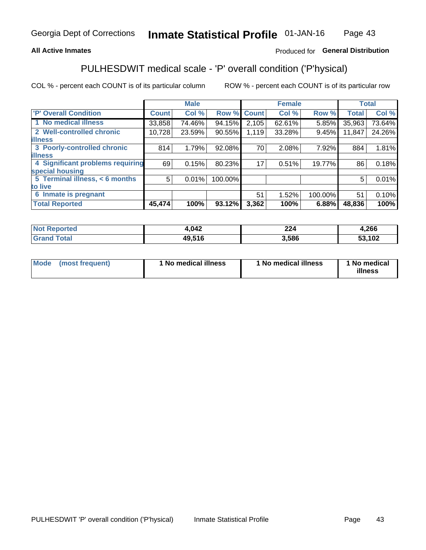## **All Active Inmates**

## Produced for General Distribution

# PULHESDWIT medical scale - 'P' overall condition ('P'hysical)

COL % - percent each COUNT is of its particular column

|                                  |              | <b>Male</b> |         |              | <b>Female</b> |         |              | <b>Total</b> |
|----------------------------------|--------------|-------------|---------|--------------|---------------|---------|--------------|--------------|
| 'P' Overall Condition            | <b>Count</b> | Col %       | Row %   | <b>Count</b> | Col %         | Row %   | <b>Total</b> | Col %        |
| 1 No medical illness             | 33,858       | 74.46%      | 94.15%  | 2,105        | 62.61%        | 5.85%   | 35,963       | 73.64%       |
| 2 Well-controlled chronic        | 10,728       | 23.59%      | 90.55%  | 1,119        | 33.28%        | 9.45%   | 11,847       | 24.26%       |
| <b>illness</b>                   |              |             |         |              |               |         |              |              |
| 3 Poorly-controlled chronic      | 814          | 1.79%       | 92.08%  | 70           | 2.08%         | 7.92%   | 884          | 1.81%        |
| <b>illness</b>                   |              |             |         |              |               |         |              |              |
| 4 Significant problems requiring | 69           | 0.15%       | 80.23%  | 17           | 0.51%         | 19.77%  | 86           | 0.18%        |
| special housing                  |              |             |         |              |               |         |              |              |
| 5 Terminal illness, < 6 months   | 5            | 0.01%       | 100.00% |              |               |         | 5            | 0.01%        |
| to live                          |              |             |         |              |               |         |              |              |
| 6 Inmate is pregnant             |              |             |         | 51           | 1.52%         | 100.00% | 51           | 0.10%        |
| <b>Total Reported</b>            | 45,474       | 100%        | 93.12%  | 3,362        | 100%          | 6.88%   | 48,836       | 100%         |

| тео | 4,042  | າາ 4<br>∸∸ | ,266       |
|-----|--------|------------|------------|
|     | 49.516 | .586       | ,102<br>-^ |

| Mode | (most frequent) | 1 No medical illness | 1 No medical illness | 1 No medical<br>illness |
|------|-----------------|----------------------|----------------------|-------------------------|
|------|-----------------|----------------------|----------------------|-------------------------|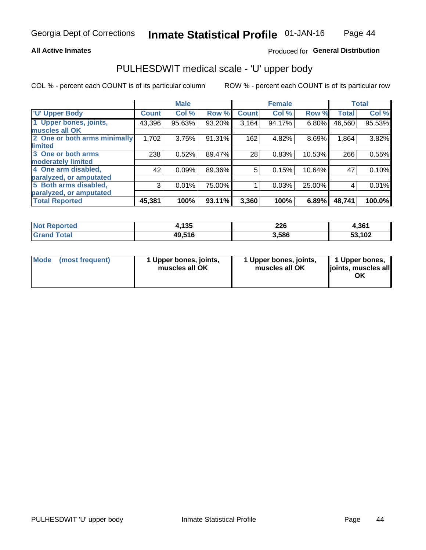### **All Active Inmates**

## Produced for General Distribution

# PULHESDWIT medical scale - 'U' upper body

COL % - percent each COUNT is of its particular column

|                              |              | <b>Male</b> |        |              | <b>Female</b> |        |              | <b>Total</b> |
|------------------------------|--------------|-------------|--------|--------------|---------------|--------|--------------|--------------|
| <b>U' Upper Body</b>         | <b>Count</b> | Col %       | Row %  | <b>Count</b> | Col %         | Row %  | <b>Total</b> | Col %        |
| 1 Upper bones, joints,       | 43,396       | 95.63%      | 93.20% | 3,164        | 94.17%        | 6.80%  | 46,560       | 95.53%       |
| muscles all OK               |              |             |        |              |               |        |              |              |
| 2 One or both arms minimally | 1,702        | 3.75%       | 91.31% | 162          | 4.82%         | 8.69%  | 1,864        | 3.82%        |
| <b>limited</b>               |              |             |        |              |               |        |              |              |
| 3 One or both arms           | 238          | 0.52%       | 89.47% | 28           | 0.83%         | 10.53% | 266          | 0.55%        |
| <b>moderately limited</b>    |              |             |        |              |               |        |              |              |
| 4 One arm disabled,          | 42           | 0.09%       | 89.36% | 5            | 0.15%         | 10.64% | 47           | 0.10%        |
| paralyzed, or amputated      |              |             |        |              |               |        |              |              |
| 5 Both arms disabled,        | 3            | 0.01%       | 75.00% |              | 0.03%         | 25.00% | 4            | 0.01%        |
| paralyzed, or amputated      |              |             |        |              |               |        |              |              |
| <b>Total Reported</b>        | 45,381       | 100%        | 93.11% | 3,360        | 100%          | 6.89%  | 48,741       | 100.0%       |

| <b>Not Reported</b> | 4,135  | 226   | 4,361  |
|---------------------|--------|-------|--------|
| <b>Grand Total</b>  | 49,516 | 3,586 | 53,102 |

| Mode (most frequent) | 1 Upper bones, joints,<br>muscles all OK | 1 Upper bones, joints,<br>muscles all OK | 1 Upper bones,<br>joints, muscles all<br>ΟK |
|----------------------|------------------------------------------|------------------------------------------|---------------------------------------------|
|----------------------|------------------------------------------|------------------------------------------|---------------------------------------------|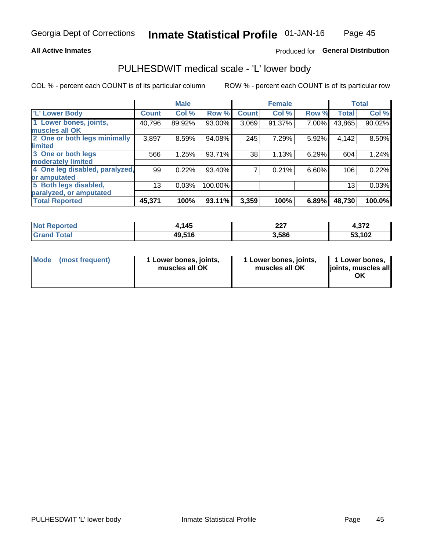### **All Active Inmates**

## Produced for General Distribution

## PULHESDWIT medical scale - 'L' lower body

COL % - percent each COUNT is of its particular column

|                                |              | <b>Male</b> |         |              | <b>Female</b> |       |                 | <b>Total</b> |
|--------------------------------|--------------|-------------|---------|--------------|---------------|-------|-----------------|--------------|
| 'L' Lower Body                 | <b>Count</b> | Col %       | Row %   | <b>Count</b> | Col %         | Row % | <b>Total</b>    | Col %        |
| 1 Lower bones, joints,         | 40,796       | 89.92%      | 93.00%  | 3,069        | 91.37%        | 7.00% | 43,865          | 90.02%       |
| muscles all OK                 |              |             |         |              |               |       |                 |              |
| 2 One or both legs minimally   | 3,897        | 8.59%       | 94.08%  | 245          | 7.29%         | 5.92% | 4,142           | 8.50%        |
| limited                        |              |             |         |              |               |       |                 |              |
| 3 One or both legs             | 566          | 1.25%       | 93.71%  | 38           | 1.13%         | 6.29% | 604             | 1.24%        |
| moderately limited             |              |             |         |              |               |       |                 |              |
| 4 One leg disabled, paralyzed, | 99           | 0.22%       | 93.40%  | 7            | 0.21%         | 6.60% | 106             | 0.22%        |
| or amputated                   |              |             |         |              |               |       |                 |              |
| 5 Both legs disabled,          | 13           | 0.03%       | 100.00% |              |               |       | 13 <sub>1</sub> | 0.03%        |
| paralyzed, or amputated        |              |             |         |              |               |       |                 |              |
| <b>Total Reported</b>          | 45,371       | 100%        | 93.11%  | 3,359        | 100%          | 6.89% | 48,730          | 100.0%       |

| <b>Not Reported</b> | .145   | າາ<br>44 I | ຳ7າ<br>4.J I Z |
|---------------------|--------|------------|----------------|
| <b>Grand Total</b>  | 49,516 | 3,586      | 53,102         |

|  | Mode (most frequent) | 1 Lower bones, joints,<br>muscles all OK | 1 Lower bones, joints,<br>muscles all OK | 1 Lower bones,<br>joints, muscles all<br>ΟK |
|--|----------------------|------------------------------------------|------------------------------------------|---------------------------------------------|
|--|----------------------|------------------------------------------|------------------------------------------|---------------------------------------------|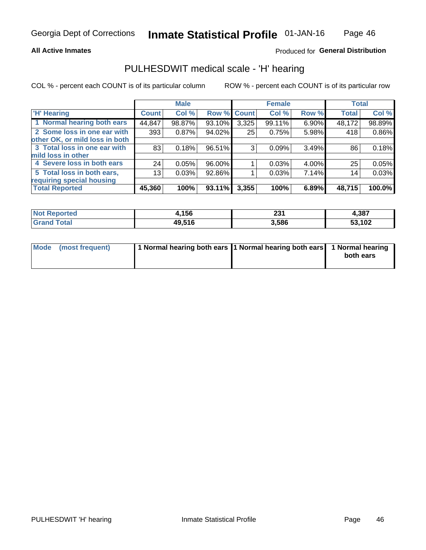### **All Active Inmates**

## Produced for General Distribution

## PULHESDWIT medical scale - 'H' hearing

COL % - percent each COUNT is of its particular column

|                                |                 | <b>Male</b> |             |       | <b>Female</b> |       | <b>Total</b> |        |
|--------------------------------|-----------------|-------------|-------------|-------|---------------|-------|--------------|--------|
| <b>'H' Hearing</b>             | <b>Count</b>    | Col %       | Row % Count |       | Col %         | Row % | <b>Total</b> | Col %  |
| 1 Normal hearing both ears     | 44,847          | 98.87%      | 93.10%      | 3,325 | 99.11%        | 6.90% | 48,172       | 98.89% |
| 2 Some loss in one ear with    | 393             | 0.87%       | 94.02%      | 25    | 0.75%         | 5.98% | 418          | 0.86%  |
| other OK, or mild loss in both |                 |             |             |       |               |       |              |        |
| 3 Total loss in one ear with   | 83              | 0.18%       | 96.51%      | 3     | 0.09%         | 3.49% | 86           | 0.18%  |
| mild loss in other             |                 |             |             |       |               |       |              |        |
| 4 Severe loss in both ears     | 24              | 0.05%       | 96.00%      |       | 0.03%         | 4.00% | 25           | 0.05%  |
| 5 Total loss in both ears,     | 13 <sub>1</sub> | 0.03%       | 92.86%      |       | 0.03%         | 7.14% | 14           | 0.03%  |
| requiring special housing      |                 |             |             |       |               |       |              |        |
| <b>Total Reported</b>          | 45,360          | 100%        | 93.11%      | 3,355 | 100%          | 6.89% | 48,715       | 100.0% |

| <b>Not</b><br><b>orted</b> | ,156   | י מה<br>Lυ | .,387  |
|----------------------------|--------|------------|--------|
| <b>Total</b>               | 49,516 | 3,586      | 53,102 |

| Mode (most frequent) | 1 Normal hearing both ears 11 Normal hearing both ears 1 Normal hearing | both ears |
|----------------------|-------------------------------------------------------------------------|-----------|
|                      |                                                                         |           |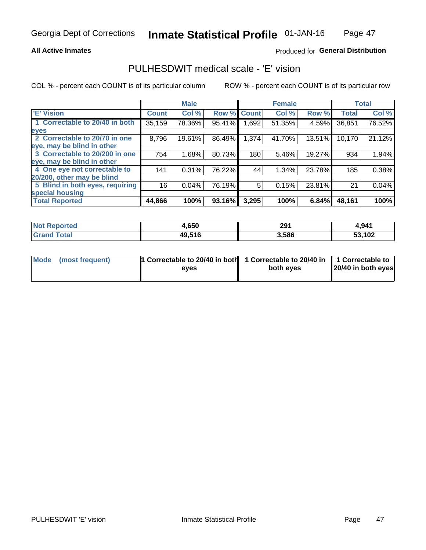### **All Active Inmates**

## Produced for General Distribution

## PULHESDWIT medical scale - 'E' vision

COL % - percent each COUNT is of its particular column

|                                 |              | <b>Male</b> |        |              | <b>Female</b> |        |              | <b>Total</b> |
|---------------------------------|--------------|-------------|--------|--------------|---------------|--------|--------------|--------------|
| <b>E' Vision</b>                | <b>Count</b> | Col %       | Row %  | <b>Count</b> | Col %         | Row %  | <b>Total</b> | Col %        |
| 1 Correctable to 20/40 in both  | 35,159       | 78.36%      | 95.41% | .692         | 51.35%        | 4.59%  | 36,851       | 76.52%       |
| eyes                            |              |             |        |              |               |        |              |              |
| 2 Correctable to 20/70 in one   | 8,796        | 19.61%      | 86.49% | 1,374        | 41.70%        | 13.51% | 10,170       | 21.12%       |
| eye, may be blind in other      |              |             |        |              |               |        |              |              |
| 3 Correctable to 20/200 in one  | 754          | 1.68%       | 80.73% | 180          | 5.46%         | 19.27% | 934          | 1.94%        |
| eye, may be blind in other      |              |             |        |              |               |        |              |              |
| 4 One eye not correctable to    | 141          | 0.31%       | 76.22% | 44           | 1.34%         | 23.78% | 185          | 0.38%        |
| 20/200, other may be blind      |              |             |        |              |               |        |              |              |
| 5 Blind in both eyes, requiring | 16           | 0.04%       | 76.19% | 5            | 0.15%         | 23.81% | 21           | 0.04%        |
| special housing                 |              |             |        |              |               |        |              |              |
| <b>Total Reported</b>           | 44,866       | 100%        | 93.16% | 3,295        | 100%          | 6.84%  | 48,161       | 100%         |

| <b>Not Reported</b> | 1,650  | 291   | 4,941  |
|---------------------|--------|-------|--------|
| <b>Total</b>        | 49,516 | 3,586 | 53,102 |

| Mode (most frequent) | 1 Correctable to 20/40 in both<br>eves | 1 Correctable to 20/40 in   1 Correctable to  <br>both eves | 20/40 in both eyes |
|----------------------|----------------------------------------|-------------------------------------------------------------|--------------------|
|                      |                                        |                                                             |                    |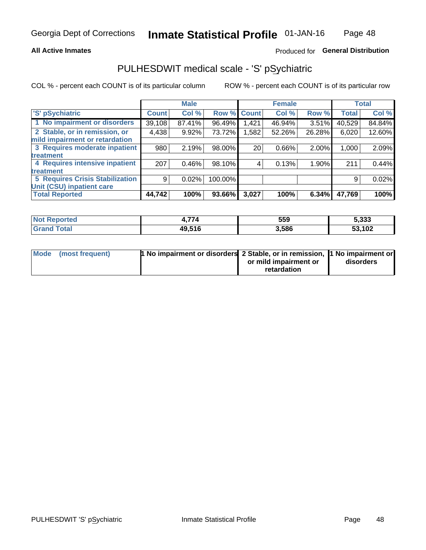### **All Active Inmates**

## Produced for General Distribution

# PULHESDWIT medical scale - 'S' pSychiatric

COL % - percent each COUNT is of its particular column

|                                        |              | <b>Male</b> |         |              | <b>Female</b> |        |              | <b>Total</b> |
|----------------------------------------|--------------|-------------|---------|--------------|---------------|--------|--------------|--------------|
| 'S' pSychiatric                        | <b>Count</b> | Col %       | Row %   | <b>Count</b> | Col %         | Row %  | <b>Total</b> | Col %        |
| 1 No impairment or disorders           | 39,108       | 87.41%      | 96.49%  | 1,421        | 46.94%        | 3.51%  | 40,529       | 84.84%       |
| 2 Stable, or in remission, or          | 4,438        | 9.92%       | 73.72%  | .582         | 52.26%        | 26.28% | 6,020        | 12.60%       |
| mild impairment or retardation         |              |             |         |              |               |        |              |              |
| 3 Requires moderate inpatient          | 980          | 2.19%       | 98.00%  | 20           | 0.66%         | 2.00%  | 1,000        | 2.09%        |
| treatment                              |              |             |         |              |               |        |              |              |
| 4 Requires intensive inpatient         | 207          | 0.46%       | 98.10%  |              | 0.13%         | 1.90%  | 211          | 0.44%        |
| treatment                              |              |             |         |              |               |        |              |              |
| <b>5 Requires Crisis Stabilization</b> | 9            | 0.02%       | 100.00% |              |               |        | 9            | 0.02%        |
| Unit (CSU) inpatient care              |              |             |         |              |               |        |              |              |
| <b>Total Reported</b>                  | 44,742       | 100%        | 93.66%  | 3,027        | 100%          | 6.34%  | 47,769       | 100%         |

| <b>Not Reported</b>          | ---    | 559   | 5,333  |
|------------------------------|--------|-------|--------|
| <b>Total</b><br><b>Grand</b> | 49,516 | 3,586 | 53,102 |

| Mode (most frequent) | <b>1 No impairment or disorders 2 Stable, or in remission, 1 No impairment or</b> |                       |           |
|----------------------|-----------------------------------------------------------------------------------|-----------------------|-----------|
|                      |                                                                                   | or mild impairment or | disorders |
|                      |                                                                                   | retardation           |           |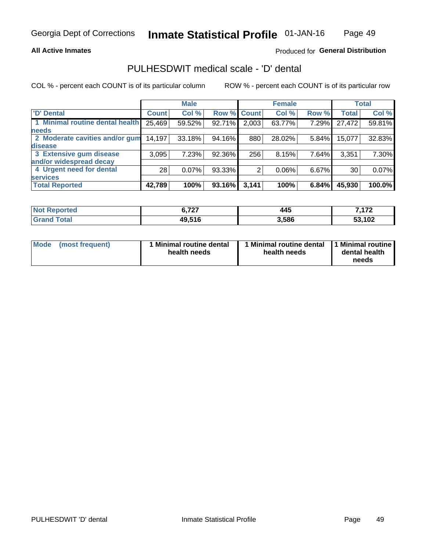### **All Active Inmates**

## Produced for General Distribution

# PULHESDWIT medical scale - 'D' dental

COL % - percent each COUNT is of its particular column

|                                 |              | <b>Male</b> |        |              | <b>Female</b> |          |              | <b>Total</b> |
|---------------------------------|--------------|-------------|--------|--------------|---------------|----------|--------------|--------------|
| <b>D'</b> Dental                | <b>Count</b> | Col %       | Row %  | <b>Count</b> | Col %         | Row %    | <b>Total</b> | Col %        |
| 1 Minimal routine dental health | 25,469       | 59.52%      | 92.71% | 2,003        | 63.77%        | 7.29%    | 27,472       | 59.81%       |
| <b>needs</b>                    |              |             |        |              |               |          |              |              |
| 2 Moderate cavities and/or gum  | 14,197       | 33.18%      | 94.16% | 880          | 28.02%        | 5.84%    | 15,077       | 32.83%       |
| disease                         |              |             |        |              |               |          |              |              |
| 3 Extensive gum disease         | 3,095        | 7.23%       | 92.36% | 256          | 8.15%         | 7.64%    | 3,351        | 7.30%        |
| and/or widespread decay         |              |             |        |              |               |          |              |              |
| 4 Urgent need for dental        | 28           | $0.07\%$    | 93.33% |              | 0.06%         | $6.67\%$ | 30           | 0.07%        |
| <b>services</b>                 |              |             |        |              |               |          |              |              |
| <b>Total Reported</b>           | 42,789       | 100%        | 93.16% | 3,141        | 100%          | 6.84%    | 45,930       | 100.0%       |

| Reported<br>NO. | <b>C 707</b><br>-- | 445   | 170    |
|-----------------|--------------------|-------|--------|
| `otal<br>Grand  | 49,516             | 3,586 | 53,102 |

| <b>Mode</b> | (most frequent) | <b>Minimal routine dental</b><br>health needs | 1 Minimal routine dental   1 Minimal routine  <br>health needs | dental health<br>needs |
|-------------|-----------------|-----------------------------------------------|----------------------------------------------------------------|------------------------|
|-------------|-----------------|-----------------------------------------------|----------------------------------------------------------------|------------------------|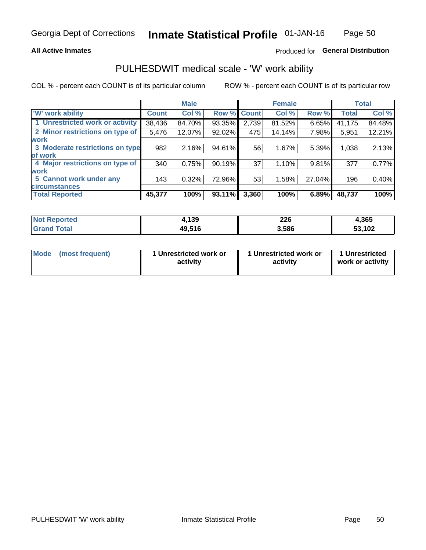### **All Active Inmates**

## Produced for General Distribution

## PULHESDWIT medical scale - 'W' work ability

COL % - percent each COUNT is of its particular column

|                                 |              | <b>Male</b> |        |             | <b>Female</b> |        |              | <b>Total</b> |
|---------------------------------|--------------|-------------|--------|-------------|---------------|--------|--------------|--------------|
| <b>W' work ability</b>          | <b>Count</b> | Col %       |        | Row % Count | Col %         | Row %  | <b>Total</b> | Col %        |
| 1 Unrestricted work or activity | 38,436       | 84.70%      | 93.35% | 2,739       | 81.52%        | 6.65%  | 41,175       | 84.48%       |
| 2 Minor restrictions on type of | 5,476        | 12.07%      | 92.02% | 475         | 14.14%        | 7.98%  | 5,951        | 12.21%       |
| <b>work</b>                     |              |             |        |             |               |        |              |              |
| 3 Moderate restrictions on type | 982          | 2.16%       | 94.61% | 56          | 1.67%         | 5.39%  | 1,038        | 2.13%        |
| lof work                        |              |             |        |             |               |        |              |              |
| 4 Major restrictions on type of | 340          | 0.75%       | 90.19% | 37          | 1.10%         | 9.81%  | 377          | 0.77%        |
| <b>work</b>                     |              |             |        |             |               |        |              |              |
| 5 Cannot work under any         | 143          | 0.32%       | 72.96% | 53          | 1.58%         | 27.04% | 196          | 0.40%        |
| <b>circumstances</b>            |              |             |        |             |               |        |              |              |
| <b>Total Reported</b>           | 45,377       | 100%        | 93.11% | 3,360       | 100%          | 6.89%  | 48,737       | 100%         |

| NotR<br><b>Enorted</b> | 139    | <b>COC</b><br>ZZU<br>__ | 4,365  |
|------------------------|--------|-------------------------|--------|
| Гоtal                  | 49,516 | 3,586                   | 53,102 |

| Mode            | 1 Unrestricted work or | 1 Unrestricted work or | 1 Unrestricted   |
|-----------------|------------------------|------------------------|------------------|
| (most frequent) | activity               | activity               | work or activity |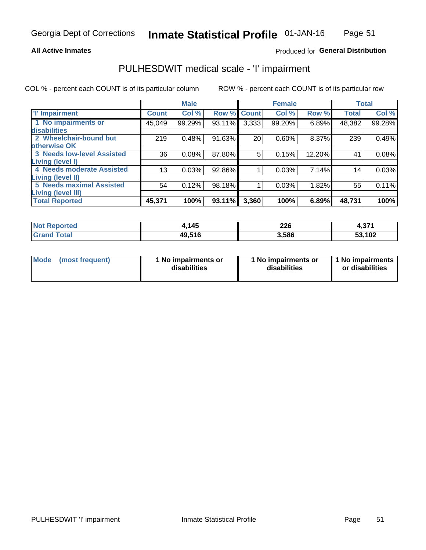### **All Active Inmates**

### Produced for General Distribution

# PULHESDWIT medical scale - 'I' impairment

COL % - percent each COUNT is of its particular column ROW % - percent each COUNT is of its particular row

|                                   |              | <b>Male</b> |             |       | <b>Female</b> |        |              | <b>Total</b> |
|-----------------------------------|--------------|-------------|-------------|-------|---------------|--------|--------------|--------------|
| 'l' Impairment                    | <b>Count</b> | Col %       | Row % Count |       | Col %         | Row %  | <b>Total</b> | Col %        |
| 1 No impairments or               | 45,049       | 99.29%      | 93.11%      | 3,333 | 99.20%        | 6.89%  | 48,382       | 99.28%       |
| disabilities                      |              |             |             |       |               |        |              |              |
| 2 Wheelchair-bound but            | 219          | 0.48%       | 91.63%      | 20    | 0.60%         | 8.37%  | 239          | 0.49%        |
| otherwise OK                      |              |             |             |       |               |        |              |              |
| <b>3 Needs low-level Assisted</b> | 36           | 0.08%       | 87.80%      | 5     | 0.15%         | 12.20% | 41           | 0.08%        |
| Living (level I)                  |              |             |             |       |               |        |              |              |
| 4 Needs moderate Assisted         | 13           | 0.03%       | 92.86%      |       | 0.03%         | 7.14%  | 14           | 0.03%        |
| Living (level II)                 |              |             |             |       |               |        |              |              |
| <b>5 Needs maximal Assisted</b>   | 54           | 0.12%       | 98.18%      |       | 0.03%         | 1.82%  | 55           | 0.11%        |
| <b>Living (level III)</b>         |              |             |             |       |               |        |              |              |
| <b>Total Reported</b>             | 45,371       | 100%        | 93.11%      | 3,360 | 100%          | 6.89%  | 48,731       | 100%         |

| <b>Not Reported</b> | 145    | 226<br>__ | つつイ<br>4,91.  |
|---------------------|--------|-----------|---------------|
| <b>Total</b>        | 49,516 | 3,586     | 53,102<br>ວວ. |

| Mode | (most frequent) | 1 No impairments or<br>disabilities | 1 No impairments or<br>disabilities | 1 No impairments<br>or disabilities |
|------|-----------------|-------------------------------------|-------------------------------------|-------------------------------------|
|------|-----------------|-------------------------------------|-------------------------------------|-------------------------------------|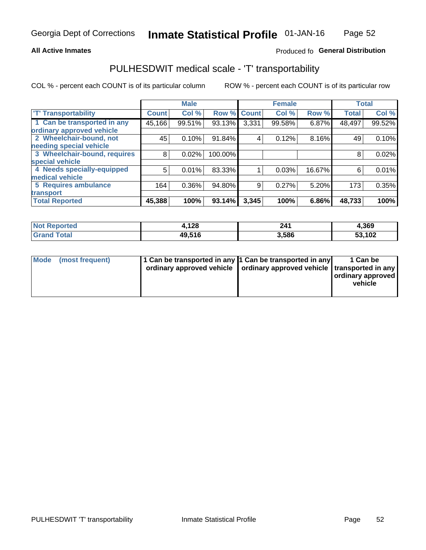### **All Active Inmates**

## Produced fo General Distribution

## PULHESDWIT medical scale - 'T' transportability

COL % - percent each COUNT is of its particular column

|                              |                    | <b>Male</b> |         |              | <b>Female</b> |        |              | <b>Total</b> |
|------------------------------|--------------------|-------------|---------|--------------|---------------|--------|--------------|--------------|
| <b>T' Transportability</b>   | Count <sup>!</sup> | Col %       | Row %   | <b>Count</b> | Col %         | Row %  | <b>Total</b> | Col %        |
| 1 Can be transported in any  | 45,166             | 99.51%      | 93.13%  | 3,331        | 99.58%        | 6.87%  | 48,497       | 99.52%       |
| ordinary approved vehicle    |                    |             |         |              |               |        |              |              |
| 2 Wheelchair-bound, not      | 45                 | 0.10%       | 91.84%  | 4            | 0.12%         | 8.16%  | 49           | 0.10%        |
| needing special vehicle      |                    |             |         |              |               |        |              |              |
| 3 Wheelchair-bound, requires | 8                  | 0.02%       | 100.00% |              |               |        | 8            | 0.02%        |
| special vehicle              |                    |             |         |              |               |        |              |              |
| 4 Needs specially-equipped   | 5                  | 0.01%       | 83.33%  |              | 0.03%         | 16.67% | 6            | 0.01%        |
| medical vehicle              |                    |             |         |              |               |        |              |              |
| <b>5 Requires ambulance</b>  | 164                | 0.36%       | 94.80%  | 9            | 0.27%         | 5.20%  | 173          | 0.35%        |
| transport                    |                    |             |         |              |               |        |              |              |
| <b>Total Reported</b>        | 45,388             | 100%        | 93.14%  | 3,345        | 100%          | 6.86%  | 48,733       | 100%         |

| <b>Not</b><br>Reported | l,128  | 241   | 4,369  |
|------------------------|--------|-------|--------|
| Total                  | 49.516 | 3,586 | 53,102 |

|  | Mode (most frequent) | 1 Can be transported in any 1 Can be transported in any<br>ordinary approved vehicle   ordinary approved vehicle   transported in any |  | 1 Can be<br>  ordinary approved  <br>vehicle |
|--|----------------------|---------------------------------------------------------------------------------------------------------------------------------------|--|----------------------------------------------|
|--|----------------------|---------------------------------------------------------------------------------------------------------------------------------------|--|----------------------------------------------|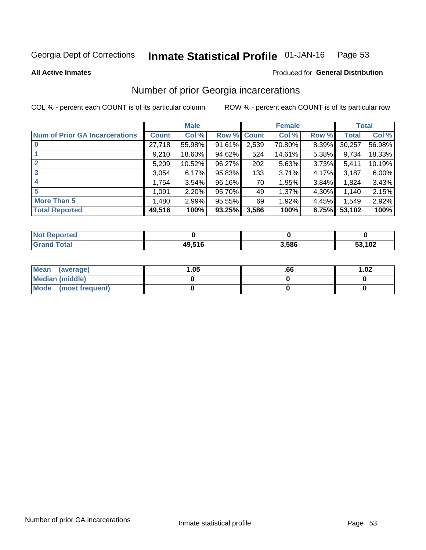#### Inmate Statistical Profile 01-JAN-16 Page 53

**All Active Inmates** 

### **Produced for General Distribution**

## Number of prior Georgia incarcerations

COL % - percent each COUNT is of its particular column

|                                       |              | <b>Male</b> |                    |       | <b>Female</b> |       |        | <b>Total</b> |
|---------------------------------------|--------------|-------------|--------------------|-------|---------------|-------|--------|--------------|
| <b>Num of Prior GA Incarcerations</b> | <b>Count</b> | Col %       | <b>Row % Count</b> |       | Col %         | Row % | Total  | Col %        |
| $\bf{0}$                              | 27,718       | 55.98%      | 91.61%             | 2,539 | 70.80%        | 8.39% | 30,257 | 56.98%       |
|                                       | 9,210        | 18.60%      | 94.62%             | 524   | 14.61%        | 5.38% | 9,734  | 18.33%       |
| $\mathbf{2}$                          | 5,209        | 10.52%      | 96.27%             | 202   | 5.63%         | 3.73% | 5,411  | 10.19%       |
| 3                                     | 3,054        | 6.17%       | 95.83%             | 133   | 3.71%         | 4.17% | 3,187  | 6.00%        |
| 4                                     | 1,754        | 3.54%       | 96.16%             | 70    | 1.95%         | 3.84% | 1,824  | 3.43%        |
| 5                                     | 1,091        | 2.20%       | 95.70%             | 49    | 1.37%         | 4.30% | 1,140  | 2.15%        |
| <b>More Than 5</b>                    | 1,480        | 2.99%       | 95.55%             | 69    | 1.92%         | 4.45% | 1,549  | 2.92%        |
| <b>Total Reported</b>                 | 49,516       | 100%        | 93.25%             | 3,586 | 100%          | 6.75% | 53,102 | 100%         |

| orted<br>NO.  |                      |       |        |
|---------------|----------------------|-------|--------|
| `otal<br>. Gr | 49 51 F<br>— J.J I - | 3,586 | 53,102 |

| Mean (average)       | .05 | .bb | 1.02 |
|----------------------|-----|-----|------|
| Median (middle)      |     |     |      |
| Mode (most frequent) |     |     |      |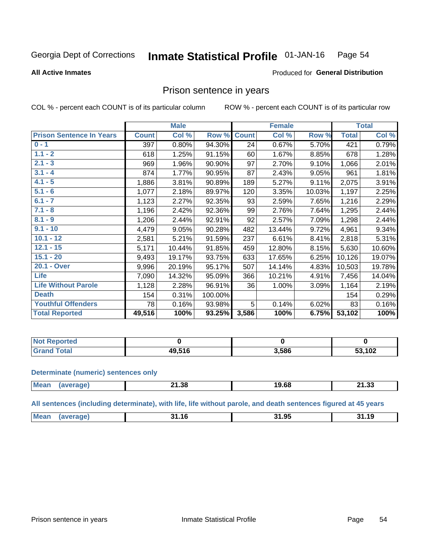#### Inmate Statistical Profile 01-JAN-16 Page 54

#### **All Active Inmates**

### Produced for General Distribution

## Prison sentence in years

COL % - percent each COUNT is of its particular column

ROW % - percent each COUNT is of its particular row

|                                 |              | <b>Male</b> |         |              | <b>Female</b> |        |              | <b>Total</b> |
|---------------------------------|--------------|-------------|---------|--------------|---------------|--------|--------------|--------------|
| <b>Prison Sentence In Years</b> | <b>Count</b> | Col %       | Row %   | <b>Count</b> | Col %         | Row %  | <b>Total</b> | Col %        |
| $0 - 1$                         | 397          | 0.80%       | 94.30%  | 24           | 0.67%         | 5.70%  | 421          | 0.79%        |
| $1.1 - 2$                       | 618          | 1.25%       | 91.15%  | 60           | 1.67%         | 8.85%  | 678          | 1.28%        |
| $2.1 - 3$                       | 969          | 1.96%       | 90.90%  | 97           | 2.70%         | 9.10%  | 1,066        | 2.01%        |
| $3.1 - 4$                       | 874          | 1.77%       | 90.95%  | 87           | 2.43%         | 9.05%  | 961          | 1.81%        |
| $4.1 - 5$                       | 1,886        | 3.81%       | 90.89%  | 189          | 5.27%         | 9.11%  | 2,075        | 3.91%        |
| $5.1 - 6$                       | 1,077        | 2.18%       | 89.97%  | 120          | 3.35%         | 10.03% | 1,197        | 2.25%        |
| $6.1 - 7$                       | 1,123        | 2.27%       | 92.35%  | 93           | 2.59%         | 7.65%  | 1,216        | 2.29%        |
| $7.1 - 8$                       | 1,196        | 2.42%       | 92.36%  | 99           | 2.76%         | 7.64%  | 1,295        | 2.44%        |
| $8.1 - 9$                       | 1,206        | 2.44%       | 92.91%  | 92           | 2.57%         | 7.09%  | 1,298        | 2.44%        |
| $9.1 - 10$                      | 4,479        | 9.05%       | 90.28%  | 482          | 13.44%        | 9.72%  | 4,961        | 9.34%        |
| $10.1 - 12$                     | 2,581        | 5.21%       | 91.59%  | 237          | 6.61%         | 8.41%  | 2,818        | 5.31%        |
| $12.1 - 15$                     | 5,171        | 10.44%      | 91.85%  | 459          | 12.80%        | 8.15%  | 5,630        | 10.60%       |
| $15.1 - 20$                     | 9,493        | 19.17%      | 93.75%  | 633          | 17.65%        | 6.25%  | 10,126       | 19.07%       |
| 20.1 - Over                     | 9,996        | 20.19%      | 95.17%  | 507          | 14.14%        | 4.83%  | 10,503       | 19.78%       |
| Life                            | 7,090        | 14.32%      | 95.09%  | 366          | 10.21%        | 4.91%  | 7,456        | 14.04%       |
| <b>Life Without Parole</b>      | 1,128        | 2.28%       | 96.91%  | 36           | 1.00%         | 3.09%  | 1,164        | 2.19%        |
| <b>Death</b>                    | 154          | 0.31%       | 100.00% |              |               |        | 154          | 0.29%        |
| <b>Youthful Offenders</b>       | 78           | 0.16%       | 93.98%  | 5            | 0.14%         | 6.02%  | 83           | 0.16%        |
| <b>Total Reported</b>           | 49,516       | 100%        | 93.25%  | 3,586        | 100%          | 6.75%  | 53,102       | 100%         |

| <b>Not Reported</b>  |              |       |        |
|----------------------|--------------|-------|--------|
| <b>otal</b><br>. Grs | 10 E1C<br>ΔU | 3,586 | 53,102 |

#### **Determinate (numeric) sentences only**

| <b>Mear</b> | 0 מ<br>.<br>- 1.30<br>__ | $\sim$<br>ıУ<br>. . | .<br>-94<br>- 1.99 |
|-------------|--------------------------|---------------------|--------------------|
|             |                          |                     |                    |

All sentences (including determinate), with life, life without parole, and death sentences figured at 45 years

| 1 ዕደ<br>Me <sub>i</sub><br><u>т.</u><br>−•<br>. .<br><b>14</b><br>1 เ<br>1119811 |  |  |  |
|----------------------------------------------------------------------------------|--|--|--|
|                                                                                  |  |  |  |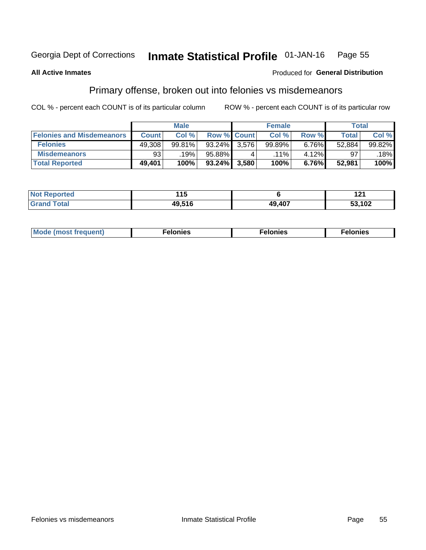#### Inmate Statistical Profile 01-JAN-16 Page 55

### **All Active Inmates**

### **Produced for General Distribution**

## Primary offense, broken out into felonies vs misdemeanors

COL % - percent each COUNT is of its particular column

|                                  |              | <b>Male</b> |           |                    | <b>Female</b> |       | Total  |        |
|----------------------------------|--------------|-------------|-----------|--------------------|---------------|-------|--------|--------|
| <b>Felonies and Misdemeanors</b> | <b>Count</b> | Col%        |           | <b>Row % Count</b> | Col%          | Row % | Total, | Col %  |
| <b>Felonies</b>                  | 49,308       | 99.81%      | 93.24%    | 3.576              | 99.89%        | 6.76% | 52,884 | 99.82% |
| <b>Misdemeanors</b>              | 93           | 19%         | 95.88%    |                    | $.11\%$       | 4.12% | 97     | 18%    |
| <b>Total Reported</b>            | 49,401       | 100%        | $93.24\%$ | 3,580              | 100%          | 6.76% | 52,981 | 100%   |

| <b>Not</b><br>Reported | .        |        | I 4 I  |
|------------------------|----------|--------|--------|
| ™otaï<br><b>Gran</b>   | $AO$ 516 | 49,407 | 53,102 |

| Mod<br>freauent)<br>''''' | onies | nies | elonies |
|---------------------------|-------|------|---------|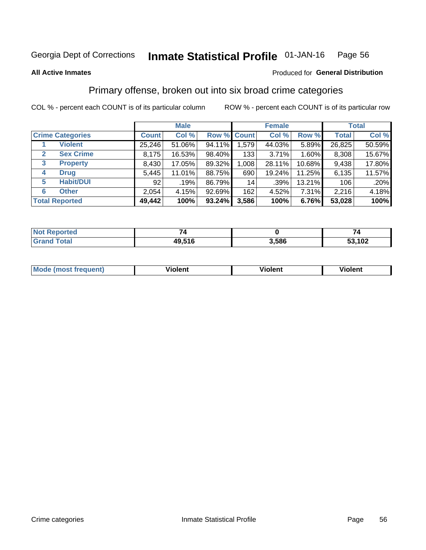#### Inmate Statistical Profile 01-JAN-16 Page 56

#### **All Active Inmates**

### Produced for General Distribution

## Primary offense, broken out into six broad crime categories

COL % - percent each COUNT is of its particular column

|                                 |              | <b>Male</b> |           |             | <b>Female</b> |        |              | <b>Total</b> |
|---------------------------------|--------------|-------------|-----------|-------------|---------------|--------|--------------|--------------|
| <b>Crime Categories</b>         | <b>Count</b> | Col %       |           | Row % Count | Col %         | Row %  | <b>Total</b> | Col %        |
| <b>Violent</b>                  | 25,246       | 51.06%      | 94.11%    | 1,579       | 44.03%        | 5.89%  | 26,825       | 50.59%       |
| <b>Sex Crime</b><br>2           | 8,175        | 16.53%      | 98.40%    | 133         | 3.71%         | 1.60%  | 8,308        | 15.67%       |
| $\mathbf{3}$<br><b>Property</b> | 8,430        | 17.05%      | 89.32%    | 1,008       | 28.11%        | 10.68% | 9,438        | 17.80%       |
| <b>Drug</b><br>4                | 5,445        | 11.01%      | 88.75%    | 690         | 19.24%        | 11.25% | 6,135        | 11.57%       |
| <b>Habit/DUI</b><br>5           | 92           | .19%        | 86.79%    | 14          | .39%          | 13.21% | 106          | .20%         |
| <b>Other</b><br>6               | 2,054        | 4.15%       | 92.69%    | 162         | 4.52%         | 7.31%  | 2,216        | 4.18%        |
| <b>Total Reported</b>           | 49,442       | 100%        | $93.24\%$ | 3,586       | 100%          | 6.76%  | 53,028       | 100%         |

| <b>orteg</b><br><b>NOT</b> |        |       |        |
|----------------------------|--------|-------|--------|
| $F$ ntal                   | 49,516 | 1,586 | 53,102 |

| Mo<br>uent)<br>nos | .<br>/iolent | <br>Violent | - --<br><b>Tiolent</b> |
|--------------------|--------------|-------------|------------------------|
|                    |              |             |                        |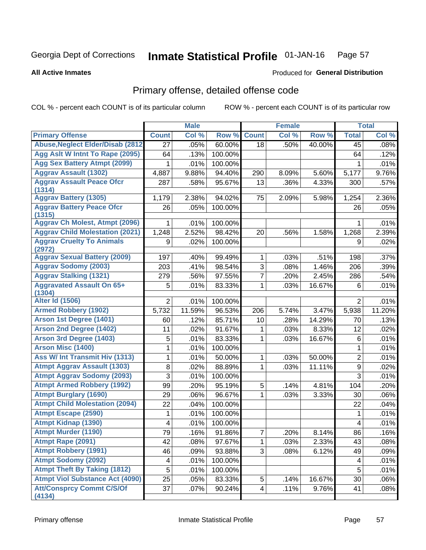#### Inmate Statistical Profile 01-JAN-16 Page 57

#### **All Active Inmates**

## **Produced for General Distribution**

# Primary offense, detailed offense code

COL % - percent each COUNT is of its particular column

|                                            |                | <b>Male</b> |         |                | <b>Female</b> |        |                | <b>Total</b> |
|--------------------------------------------|----------------|-------------|---------|----------------|---------------|--------|----------------|--------------|
| <b>Primary Offense</b>                     | <b>Count</b>   | Col %       | Row %   | <b>Count</b>   | Col %         | Row %  | <b>Total</b>   | Col %        |
| <b>Abuse, Neglect Elder/Disab (2812)</b>   | 27             | .05%        | 60.00%  | 18             | .50%          | 40.00% | 45             | .08%         |
| Agg Aslt W Intnt To Rape (2095)            | 64             | .13%        | 100.00% |                |               |        | 64             | .12%         |
| <b>Agg Sex Battery Atmpt (2099)</b>        | 1              | .01%        | 100.00% |                |               |        | 1              | .01%         |
| <b>Aggrav Assault (1302)</b>               | 4,887          | 9.88%       | 94.40%  | 290            | 8.09%         | 5.60%  | 5,177          | 9.76%        |
| <b>Aggrav Assault Peace Ofcr</b><br>(1314) | 287            | .58%        | 95.67%  | 13             | .36%          | 4.33%  | 300            | .57%         |
| <b>Aggrav Battery (1305)</b>               | 1,179          | 2.38%       | 94.02%  | 75             | 2.09%         | 5.98%  | 1,254          | 2.36%        |
| <b>Aggrav Battery Peace Ofcr</b><br>(1315) | 26             | .05%        | 100.00% |                |               |        | 26             | .05%         |
| <b>Aggrav Ch Molest, Atmpt (2096)</b>      | 1              | .01%        | 100.00% |                |               |        | 1              | .01%         |
| <b>Aggrav Child Molestation (2021)</b>     | 1,248          | 2.52%       | 98.42%  | 20             | .56%          | 1.58%  | 1,268          | 2.39%        |
| <b>Aggrav Cruelty To Animals</b><br>(2972) | 9              | .02%        | 100.00% |                |               |        | 9              | .02%         |
| <b>Aggrav Sexual Battery (2009)</b>        | 197            | .40%        | 99.49%  | 1              | .03%          | .51%   | 198            | .37%         |
| <b>Aggrav Sodomy (2003)</b>                | 203            | .41%        | 98.54%  | $\overline{3}$ | .08%          | 1.46%  | 206            | .39%         |
| <b>Aggrav Stalking (1321)</b>              | 279            | .56%        | 97.55%  | 7              | .20%          | 2.45%  | 286            | .54%         |
| <b>Aggravated Assault On 65+</b><br>(1304) | 5              | .01%        | 83.33%  | 1              | .03%          | 16.67% | 6              | .01%         |
| <b>Alter Id (1506)</b>                     | $\overline{2}$ | .01%        | 100.00% |                |               |        | $\overline{2}$ | .01%         |
| <b>Armed Robbery (1902)</b>                | 5,732          | 11.59%      | 96.53%  | 206            | 5.74%         | 3.47%  | 5,938          | 11.20%       |
| Arson 1st Degree (1401)                    | 60             | .12%        | 85.71%  | 10             | .28%          | 14.29% | 70             | .13%         |
| <b>Arson 2nd Degree (1402)</b>             | 11             | .02%        | 91.67%  | 1              | .03%          | 8.33%  | 12             | .02%         |
| <b>Arson 3rd Degree (1403)</b>             | 5              | .01%        | 83.33%  | 1              | .03%          | 16.67% | $\,6$          | .01%         |
| <b>Arson Misc (1400)</b>                   | 1              | .01%        | 100.00% |                |               |        | 1              | .01%         |
| <b>Ass W/ Int Transmit Hiv (1313)</b>      | 1              | .01%        | 50.00%  | 1              | .03%          | 50.00% | $\overline{2}$ | .01%         |
| <b>Atmpt Aggrav Assault (1303)</b>         | 8              | .02%        | 88.89%  | 1              | .03%          | 11.11% | $\mathsf g$    | .02%         |
| <b>Atmpt Aggrav Sodomy (2093)</b>          | 3              | .01%        | 100.00% |                |               |        | $\overline{3}$ | .01%         |
| <b>Atmpt Armed Robbery (1992)</b>          | 99             | .20%        | 95.19%  | 5              | .14%          | 4.81%  | 104            | .20%         |
| <b>Atmpt Burglary (1690)</b>               | 29             | .06%        | 96.67%  | 1              | .03%          | 3.33%  | 30             | .06%         |
| <b>Atmpt Child Molestation (2094)</b>      | 22             | .04%        | 100.00% |                |               |        | 22             | .04%         |
| <b>Atmpt Escape (2590)</b>                 | 1              | .01%        | 100.00% |                |               |        | 1              | .01%         |
| <b>Atmpt Kidnap (1390)</b>                 | 4              | .01%        | 100.00% |                |               |        | 4              | .01%         |
| Atmpt Murder (1190)                        | 79             | .16%        | 91.86%  | 7              | .20%          | 8.14%  | 86             | .16%         |
| Atmpt Rape (2091)                          | 42             | .08%        | 97.67%  | 1              | .03%          | 2.33%  | 43             | .08%         |
| <b>Atmpt Robbery (1991)</b>                | 46             | .09%        | 93.88%  | 3              | .08%          | 6.12%  | 49             | .09%         |
| <b>Atmpt Sodomy (2092)</b>                 | 4              | .01%        | 100.00% |                |               |        | 4              | .01%         |
| <b>Atmpt Theft By Taking (1812)</b>        | 5              | .01%        | 100.00% |                |               |        | 5              | .01%         |
| <b>Atmpt Viol Substance Act (4090)</b>     | 25             | .05%        | 83.33%  | 5              | .14%          | 16.67% | 30             | .06%         |
| <b>Att/Consprcy Commt C/S/Of</b><br>(4134) | 37             | .07%        | 90.24%  | 4              | .11%          | 9.76%  | 41             | .08%         |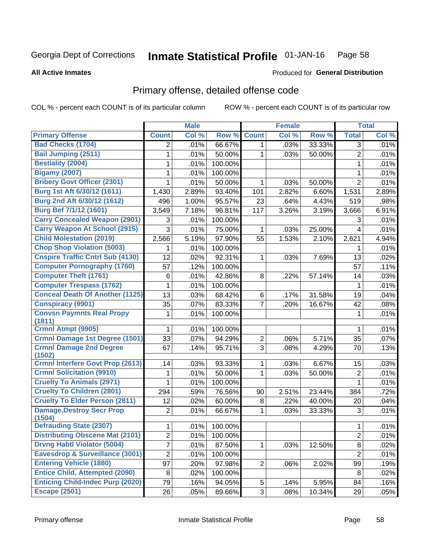#### Inmate Statistical Profile 01-JAN-16 Page 58

#### **All Active Inmates**

### **Produced for General Distribution**

# Primary offense, detailed offense code

COL % - percent each COUNT is of its particular column

|                                            |                | <b>Male</b> |         |                | <b>Female</b> |        |                | <b>Total</b> |
|--------------------------------------------|----------------|-------------|---------|----------------|---------------|--------|----------------|--------------|
| <b>Primary Offense</b>                     | <b>Count</b>   | Col %       | Row %   | <b>Count</b>   | Col %         | Row %  | <b>Total</b>   | Col %        |
| <b>Bad Checks (1704)</b>                   | $\overline{2}$ | .01%        | 66.67%  | 1              | .03%          | 33.33% | 3              | .01%         |
| <b>Bail Jumping (2511)</b>                 | 1              | .01%        | 50.00%  | 1              | .03%          | 50.00% | $\overline{2}$ | .01%         |
| <b>Bestiality (2004)</b>                   | 1              | .01%        | 100.00% |                |               |        | 1              | .01%         |
| <b>Bigamy (2007)</b>                       | 1              | .01%        | 100.00% |                |               |        | 1              | .01%         |
| <b>Bribery Govt Officer (2301)</b>         | 1              | .01%        | 50.00%  | 1              | .03%          | 50.00% | $\overline{2}$ | .01%         |
| Burg 1st Aft 6/30/12 (1611)                | 1,430          | 2.89%       | 93.40%  | 101            | 2.82%         | 6.60%  | 1,531          | 2.89%        |
| Burg 2nd Aft 6/30/12 (1612)                | 496            | 1.00%       | 95.57%  | 23             | .64%          | 4.43%  | 519            | .98%         |
| <b>Burg Bef 7/1/12 (1601)</b>              | 3,549          | 7.18%       | 96.81%  | 117            | 3.26%         | 3.19%  | 3,666          | 6.91%        |
| <b>Carry Concealed Weapon (2901)</b>       | 3              | .01%        | 100.00% |                |               |        | 3              | .01%         |
| <b>Carry Weapon At School (2915)</b>       | 3              | .01%        | 75.00%  | 1              | .03%          | 25.00% | 4              | .01%         |
| <b>Child Molestation (2019)</b>            | 2,566          | 5.19%       | 97.90%  | 55             | 1.53%         | 2.10%  | 2,621          | 4.94%        |
| <b>Chop Shop Violation (5003)</b>          | 1              | .01%        | 100.00% |                |               |        | 1              | .01%         |
| <b>Cnspire Traffic Cntrl Sub (4130)</b>    | 12             | .02%        | 92.31%  | 1              | .03%          | 7.69%  | 13             | .02%         |
| <b>Computer Pornography (1760)</b>         | 57             | .12%        | 100.00% |                |               |        | 57             | .11%         |
| <b>Computer Theft (1761)</b>               | 6              | .01%        | 42.86%  | 8              | .22%          | 57.14% | 14             | .03%         |
| <b>Computer Trespass (1762)</b>            | 1              | .01%        | 100.00% |                |               |        | 1              | .01%         |
| <b>Conceal Death Of Another (1125)</b>     | 13             | .03%        | 68.42%  | 6              | .17%          | 31.58% | 19             | .04%         |
| <b>Conspiracy (9901)</b>                   | 35             | .07%        | 83.33%  | $\overline{7}$ | .20%          | 16.67% | 42             | .08%         |
| <b>Convsn Paymnts Real Propy</b><br>(1811) | 1              | .01%        | 100.00% |                |               |        | 1              | .01%         |
| Crmnl Atmpt (9905)                         | 1              | .01%        | 100.00% |                |               |        | 1              | .01%         |
| <b>Crmnl Damage 1st Degree (1501)</b>      | 33             | .07%        | 94.29%  | $\overline{2}$ | .06%          | 5.71%  | 35             | .07%         |
| <b>Crmnl Damage 2nd Degree</b><br>(1502)   | 67             | .14%        | 95.71%  | 3              | .08%          | 4.29%  | 70             | .13%         |
| <b>Crmnl Interfere Govt Prop (2613)</b>    | 14             | .03%        | 93.33%  | $\mathbf{1}$   | .03%          | 6.67%  | 15             | .03%         |
| <b>Crmnl Solicitation (9910)</b>           | 1              | .01%        | 50.00%  | $\mathbf{1}$   | .03%          | 50.00% | $\overline{2}$ | .01%         |
| <b>Cruelty To Animals (2971)</b>           | 1              | .01%        | 100.00% |                |               |        | $\mathbf 1$    | .01%         |
| <b>Cruelty To Children (2801)</b>          | 294            | .59%        | 76.56%  | 90             | 2.51%         | 23.44% | 384            | .72%         |
| <b>Cruelty To Elder Person (2811)</b>      | 12             | .02%        | 60.00%  | 8              | .22%          | 40.00% | 20             | .04%         |
| <b>Damage, Destroy Secr Prop</b><br>(1504) | $\overline{2}$ | .01%        | 66.67%  | $\mathbf{1}$   | .03%          | 33.33% | 3              | .01%         |
| <b>Defrauding State (2307)</b>             | 1              | .01%        | 100.00% |                |               |        | 1              | .01%         |
| <b>Distributing Obscene Mat (2101)</b>     | $\overline{2}$ | .01%        | 100.00% |                |               |        | $\overline{c}$ | .01%         |
| <b>Drvng Habtl Violator (5004)</b>         | $\overline{7}$ | .01%        | 87.50%  | 1              | .03%          | 12.50% | 8              | .02%         |
| Eavesdrop & Surveillance (3001)            | $\overline{2}$ | .01%        | 100.00% |                |               |        | $\overline{2}$ | .01%         |
| <b>Entering Vehicle (1880)</b>             | 97             | .20%        | 97.98%  | $\overline{2}$ | .06%          | 2.02%  | 99             | .19%         |
| <b>Entice Child, Attempted (2090)</b>      | 8              | .02%        | 100.00% |                |               |        | 8              | .02%         |
| <b>Enticing Child-Indec Purp (2020)</b>    | 79             | .16%        | 94.05%  | 5              | .14%          | 5.95%  | 84             | .16%         |
| <b>Escape (2501)</b>                       | 26             | .05%        | 89.66%  | 3 <sup>1</sup> | .08%          | 10.34% | 29             | .05%         |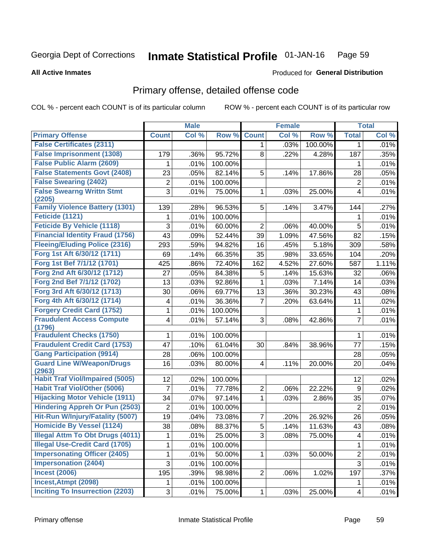#### **Inmate Statistical Profile 01-JAN-16** Page 59

#### **All Active Inmates**

## Produced for General Distribution

# Primary offense, detailed offense code

COL % - percent each COUNT is of its particular column

|                                            |                | <b>Male</b> |         |                | <b>Female</b> |         |                         | <b>Total</b> |
|--------------------------------------------|----------------|-------------|---------|----------------|---------------|---------|-------------------------|--------------|
| <b>Primary Offense</b>                     | <b>Count</b>   | Col %       | Row %   | <b>Count</b>   | Col %         | Row %   | <b>Total</b>            | Col%         |
| <b>False Certificates (2311)</b>           |                |             |         | 1              | .03%          | 100.00% | 1                       | .01%         |
| <b>False Imprisonment (1308)</b>           | 179            | .36%        | 95.72%  | 8              | .22%          | 4.28%   | 187                     | .35%         |
| <b>False Public Alarm (2609)</b>           | 1              | .01%        | 100.00% |                |               |         | 1                       | .01%         |
| <b>False Statements Govt (2408)</b>        | 23             | .05%        | 82.14%  | 5              | .14%          | 17.86%  | 28                      | .05%         |
| <b>False Swearing (2402)</b>               | $\overline{2}$ | .01%        | 100.00% |                |               |         | $\overline{2}$          | .01%         |
| <b>False Swearng Writtn Stmt</b>           | 3              | .01%        | 75.00%  | 1              | .03%          | 25.00%  | $\overline{4}$          | .01%         |
| (2205)                                     |                |             |         |                |               |         |                         |              |
| <b>Family Violence Battery (1301)</b>      | 139            | .28%        | 96.53%  | 5              | .14%          | 3.47%   | 144                     | .27%         |
| Feticide (1121)                            | 1              | .01%        | 100.00% |                |               |         | 1                       | .01%         |
| <b>Feticide By Vehicle (1118)</b>          | 3              | .01%        | 60.00%  | 2              | .06%          | 40.00%  | 5                       | .01%         |
| <b>Financial Identity Fraud (1756)</b>     | 43             | .09%        | 52.44%  | 39             | 1.09%         | 47.56%  | 82                      | .15%         |
| <b>Fleeing/Eluding Police (2316)</b>       | 293            | .59%        | 94.82%  | 16             | .45%          | 5.18%   | 309                     | .58%         |
| Forg 1st Aft 6/30/12 (1711)                | 69             | .14%        | 66.35%  | 35             | .98%          | 33.65%  | 104                     | .20%         |
| Forg 1st Bef 7/1/12 (1701)                 | 425            | .86%        | 72.40%  | 162            | 4.52%         | 27.60%  | 587                     | 1.11%        |
| Forg 2nd Aft 6/30/12 (1712)                | 27             | .05%        | 84.38%  | 5              | .14%          | 15.63%  | 32                      | .06%         |
| Forg 2nd Bef 7/1/12 (1702)                 | 13             | .03%        | 92.86%  | 1              | .03%          | 7.14%   | 14                      | .03%         |
| Forg 3rd Aft 6/30/12 (1713)                | 30             | .06%        | 69.77%  | 13             | .36%          | 30.23%  | 43                      | .08%         |
| Forg 4th Aft 6/30/12 (1714)                | 4              | .01%        | 36.36%  | 7              | .20%          | 63.64%  | 11                      | .02%         |
| <b>Forgery Credit Card (1752)</b>          | 1              | .01%        | 100.00% |                |               |         | $\mathbf 1$             | .01%         |
| <b>Fraudulent Access Compute</b><br>(1796) | 4              | .01%        | 57.14%  | 3              | .08%          | 42.86%  | $\overline{7}$          | .01%         |
| <b>Fraudulent Checks (1750)</b>            | 1              | .01%        | 100.00% |                |               |         | 1                       | .01%         |
| <b>Fraudulent Credit Card (1753)</b>       | 47             | .10%        | 61.04%  | 30             | .84%          | 38.96%  | 77                      | .15%         |
| <b>Gang Participation (9914)</b>           | 28             | .06%        | 100.00% |                |               |         | 28                      | .05%         |
| <b>Guard Line W/Weapon/Drugs</b>           | 16             | .03%        | 80.00%  | 4              | .11%          | 20.00%  | 20                      | .04%         |
| (2963)                                     |                |             |         |                |               |         |                         |              |
| <b>Habit Traf Viol/Impaired (5005)</b>     | 12             | .02%        | 100.00% |                |               |         | 12                      | .02%         |
| <b>Habit Traf Viol/Other (5006)</b>        | $\overline{7}$ | .01%        | 77.78%  | 2              | .06%          | 22.22%  | 9                       | .02%         |
| <b>Hijacking Motor Vehicle (1911)</b>      | 34             | .07%        | 97.14%  | 1              | .03%          | 2.86%   | 35                      | .07%         |
| <b>Hindering Appreh Or Pun (2503)</b>      | $\overline{2}$ | .01%        | 100.00% |                |               |         | $\overline{2}$          | .01%         |
| Hit-Run W/Injury/Fatality (5007)           | 19             | .04%        | 73.08%  | 7              | .20%          | 26.92%  | 26                      | .05%         |
| <b>Homicide By Vessel (1124)</b>           | 38             | .08%        | 88.37%  | 5              | .14%          | 11.63%  | 43                      | .08%         |
| Illegal Attm To Obt Drugs (4011)           | 1              | .01%        | 25.00%  | 3              | .08%          | 75.00%  | $\overline{\mathbf{4}}$ | .01%         |
| <b>Illegal Use-Credit Card (1705)</b>      | 1              | .01%        | 100.00% |                |               |         | 1                       | .01%         |
| <b>Impersonating Officer (2405)</b>        | 1              | .01%        | 50.00%  | 1              | .03%          | 50.00%  | $\overline{2}$          | .01%         |
| <b>Impersonation (2404)</b>                | 3              | .01%        | 100.00% |                |               |         | $\overline{3}$          | .01%         |
| <b>Incest (2006)</b>                       | 195            | .39%        | 98.98%  | $\overline{2}$ | .06%          | 1.02%   | 197                     | .37%         |
| Incest, Atmpt (2098)                       | 1.             | .01%        | 100.00% |                |               |         | 1                       | .01%         |
| <b>Inciting To Insurrection (2203)</b>     | 3              | .01%        | 75.00%  | 1              | .03%          | 25.00%  | $\overline{4}$          | .01%         |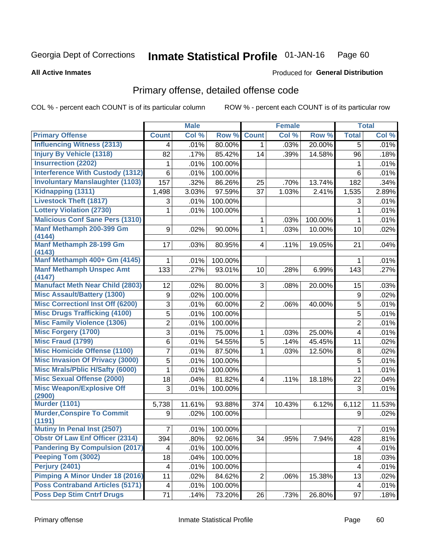#### Inmate Statistical Profile 01-JAN-16 Page 60

#### **All Active Inmates**

### **Produced for General Distribution**

# Primary offense, detailed offense code

COL % - percent each COUNT is of its particular column

|                                            |                         | <b>Male</b> |         |                         | <b>Female</b> |         |                  | <b>Total</b> |
|--------------------------------------------|-------------------------|-------------|---------|-------------------------|---------------|---------|------------------|--------------|
| <b>Primary Offense</b>                     | <b>Count</b>            | Col %       | Row %   | <b>Count</b>            | Col %         | Row %   | <b>Total</b>     | Col %        |
| <b>Influencing Witness (2313)</b>          | 4                       | .01%        | 80.00%  | $\mathbf{1}$            | .03%          | 20.00%  | $\overline{5}$   | .01%         |
| <b>Injury By Vehicle (1318)</b>            | 82                      | .17%        | 85.42%  | 14                      | .39%          | 14.58%  | 96               | .18%         |
| <b>Insurrection (2202)</b>                 | 1                       | .01%        | 100.00% |                         |               |         | 1                | .01%         |
| <b>Interference With Custody (1312)</b>    | 6                       | .01%        | 100.00% |                         |               |         | 6                | .01%         |
| <b>Involuntary Manslaughter (1103)</b>     | 157                     | .32%        | 86.26%  | 25                      | .70%          | 13.74%  | 182              | .34%         |
| Kidnapping (1311)                          | 1,498                   | 3.03%       | 97.59%  | 37                      | 1.03%         | 2.41%   | 1,535            | 2.89%        |
| <b>Livestock Theft (1817)</b>              | 3                       | .01%        | 100.00% |                         |               |         | 3                | .01%         |
| <b>Lottery Violation (2730)</b>            | 1                       | .01%        | 100.00% |                         |               |         | 1                | .01%         |
| <b>Malicious Conf Sane Pers (1310)</b>     |                         |             |         | 1                       | .03%          | 100.00% | 1                | .01%         |
| Manf Methamph 200-399 Gm<br>(4144)         | 9                       | .02%        | 90.00%  | $\mathbf{1}$            | .03%          | 10.00%  | 10               | .02%         |
| Manf Methamph 28-199 Gm                    | 17                      | .03%        | 80.95%  | $\overline{\mathbf{4}}$ | .11%          | 19.05%  | 21               | .04%         |
| (4143)<br>Manf Methamph 400+ Gm (4145)     |                         |             | 100.00% |                         |               |         |                  |              |
| <b>Manf Methamph Unspec Amt</b>            | 1<br>133                | .01%        |         |                         |               |         | 1                | .01%         |
| (4147)                                     |                         | .27%        | 93.01%  | 10                      | .28%          | 6.99%   | 143              | .27%         |
| <b>Manufact Meth Near Child (2803)</b>     | 12                      | .02%        | 80.00%  | 3                       | .08%          | 20.00%  | 15               | .03%         |
| <b>Misc Assault/Battery (1300)</b>         | 9                       | .02%        | 100.00% |                         |               |         | $\boldsymbol{9}$ | .02%         |
| <b>Misc Correctionl Inst Off (6200)</b>    | 3                       | .01%        | 60.00%  | $\overline{2}$          | .06%          | 40.00%  | 5                | .01%         |
| <b>Misc Drugs Trafficking (4100)</b>       | $\overline{5}$          | .01%        | 100.00% |                         |               |         | 5                | .01%         |
| <b>Misc Family Violence (1306)</b>         | $\overline{2}$          | .01%        | 100.00% |                         |               |         | $\overline{2}$   | .01%         |
| <b>Misc Forgery (1700)</b>                 | 3                       | .01%        | 75.00%  | 1                       | .03%          | 25.00%  | $\overline{4}$   | .01%         |
| <b>Misc Fraud (1799)</b>                   | 6                       | .01%        | 54.55%  | 5                       | .14%          | 45.45%  | 11               | .02%         |
| <b>Misc Homicide Offense (1100)</b>        | 7                       | .01%        | 87.50%  | 1                       | .03%          | 12.50%  | 8                | .02%         |
| <b>Misc Invasion Of Privacy (3000)</b>     | 5                       | .01%        | 100.00% |                         |               |         | 5                | .01%         |
| <b>Misc Mrals/Pblic H/Safty (6000)</b>     | 1                       | .01%        | 100.00% |                         |               |         | 1                | .01%         |
| <b>Misc Sexual Offense (2000)</b>          | 18                      | .04%        | 81.82%  | 4                       | .11%          | 18.18%  | 22               | .04%         |
| <b>Misc Weapon/Explosive Off</b><br>(2900) | 3                       | .01%        | 100.00% |                         |               |         | 3                | .01%         |
| <b>Murder (1101)</b>                       | 5,738                   | 11.61%      | 93.88%  | 374                     | 10.43%        | 6.12%   | 6,112            | 11.53%       |
| <b>Murder, Conspire To Commit</b>          | 9                       | .02%        | 100.00% |                         |               |         | 9                | .02%         |
| (1191)                                     |                         |             |         |                         |               |         |                  |              |
| <b>Mutiny In Penal Inst (2507)</b>         | $\overline{7}$          | $.01\%$     | 100.00% |                         |               |         | $\overline{7}$   | .01%         |
| <b>Obstr Of Law Enf Officer (2314)</b>     | 394                     | .80%        | 92.06%  | 34                      | .95%          | 7.94%   | 428              | .81%         |
| <b>Pandering By Compulsion (2017)</b>      | 4                       | .01%        | 100.00% |                         |               |         | 4                | .01%         |
| Peeping Tom (3002)                         | 18                      | .04%        | 100.00% |                         |               |         | 18               | .03%         |
| Perjury (2401)                             | $\overline{\mathbf{4}}$ | .01%        | 100.00% |                         |               |         | 4                | .01%         |
| <b>Pimping A Minor Under 18 (2016)</b>     | 11                      | .02%        | 84.62%  | $\overline{2}$          | .06%          | 15.38%  | 13               | .02%         |
| <b>Poss Contraband Articles (5171)</b>     | $\overline{\mathbf{4}}$ | .01%        | 100.00% |                         |               |         | 4                | .01%         |
| <b>Poss Dep Stim Cntrf Drugs</b>           | 71                      | .14%        | 73.20%  | 26                      | .73%          | 26.80%  | 97               | .18%         |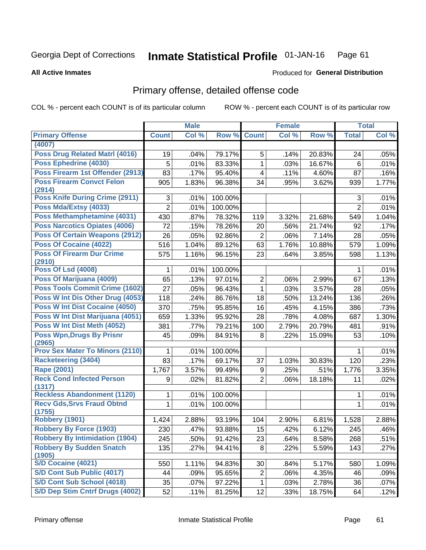#### Inmate Statistical Profile 01-JAN-16 Page 61

### **All Active Inmates**

## **Produced for General Distribution**

# Primary offense, detailed offense code

COL % - percent each COUNT is of its particular column

|                                            |                | <b>Male</b> |         |                | <b>Female</b> |        |                | <b>Total</b> |
|--------------------------------------------|----------------|-------------|---------|----------------|---------------|--------|----------------|--------------|
| <b>Primary Offense</b>                     | <b>Count</b>   | Col %       | Row %   | <b>Count</b>   | Col %         | Row %  | <b>Total</b>   | Col %        |
| (4007)                                     |                |             |         |                |               |        |                |              |
| <b>Poss Drug Related Matrl (4016)</b>      | 19             | .04%        | 79.17%  | 5              | .14%          | 20.83% | 24             | .05%         |
| Poss Ephedrine (4030)                      | 5              | .01%        | 83.33%  | $\mathbf{1}$   | .03%          | 16.67% | 6              | .01%         |
| Poss Firearm 1st Offender (2913)           | 83             | .17%        | 95.40%  | 4              | .11%          | 4.60%  | 87             | .16%         |
| <b>Poss Firearm Convct Felon</b>           | 905            | 1.83%       | 96.38%  | 34             | .95%          | 3.62%  | 939            | 1.77%        |
| (2914)                                     |                |             |         |                |               |        |                |              |
| Poss Knife During Crime (2911)             | 3              | .01%        | 100.00% |                |               |        | $\sqrt{3}$     | .01%         |
| Poss Mda/Extsy (4033)                      | $\overline{2}$ | .01%        | 100.00% |                |               |        | $\overline{2}$ | .01%         |
| Poss Methamphetamine (4031)                | 430            | .87%        | 78.32%  | 119            | 3.32%         | 21.68% | 549            | 1.04%        |
| <b>Poss Narcotics Opiates (4006)</b>       | 72             | .15%        | 78.26%  | 20             | .56%          | 21.74% | 92             | .17%         |
| <b>Poss Of Certain Weapons (2912)</b>      | 26             | .05%        | 92.86%  | $\overline{2}$ | .06%          | 7.14%  | 28             | .05%         |
| Poss Of Cocaine (4022)                     | 516            | 1.04%       | 89.12%  | 63             | 1.76%         | 10.88% | 579            | 1.09%        |
| <b>Poss Of Firearm Dur Crime</b><br>(2910) | 575            | 1.16%       | 96.15%  | 23             | .64%          | 3.85%  | 598            | 1.13%        |
| <b>Poss Of Lsd (4008)</b>                  | 1              | .01%        | 100.00% |                |               |        | 1              | .01%         |
| Poss Of Marijuana (4009)                   | 65             | .13%        | 97.01%  | $\overline{2}$ | .06%          | 2.99%  | 67             | .13%         |
| Poss Tools Commit Crime (1602)             | 27             | .05%        | 96.43%  | $\mathbf{1}$   | .03%          | 3.57%  | 28             | .05%         |
| Poss W Int Dis Other Drug (4053)           | 118            | .24%        | 86.76%  | 18             | .50%          | 13.24% | 136            | .26%         |
| Poss W Int Dist Cocaine (4050)             | 370            | .75%        | 95.85%  | 16             | .45%          | 4.15%  | 386            | .73%         |
| Poss W Int Dist Marijuana (4051)           | 659            | 1.33%       | 95.92%  | 28             | .78%          | 4.08%  | 687            | 1.30%        |
| Poss W Int Dist Meth (4052)                | 381            | .77%        | 79.21%  | 100            | 2.79%         | 20.79% | 481            | .91%         |
| <b>Poss Wpn, Drugs By Prisnr</b>           | 45             | .09%        | 84.91%  | 8              | .22%          | 15.09% | 53             | .10%         |
| (2965)                                     |                |             |         |                |               |        |                |              |
| <b>Prov Sex Mater To Minors (2110)</b>     | 1              | .01%        | 100.00% |                |               |        | 1              | .01%         |
| <b>Racketeering (3404)</b>                 | 83             | .17%        | 69.17%  | 37             | 1.03%         | 30.83% | 120            | .23%         |
| Rape (2001)                                | 1,767          | 3.57%       | 99.49%  | 9              | .25%          | .51%   | 1,776          | 3.35%        |
| <b>Reck Cond Infected Person</b><br>(1317) | 9              | .02%        | 81.82%  | $\overline{2}$ | .06%          | 18.18% | 11             | .02%         |
| <b>Reckless Abandonment (1120)</b>         | 1              | .01%        | 100.00% |                |               |        | 1              | .01%         |
| <b>Recv Gds, Srvs Fraud Obtnd</b>          | 1              | .01%        | 100.00% |                |               |        | $\mathbf{1}$   | .01%         |
| (1755)                                     |                |             |         |                |               |        |                |              |
| Robbery (1901)                             | 1,424          | 2.88%       | 93.19%  | 104            | 2.90%         | 6.81%  | 1,528          | 2.88%        |
| <b>Robbery By Force (1903)</b>             | 230            | .47%        | 93.88%  | 15             | .42%          | 6.12%  | 245            | .46%         |
| <b>Robbery By Intimidation (1904)</b>      | 245            | .50%        | 91.42%  | 23             | .64%          | 8.58%  | 268            | .51%         |
| <b>Robbery By Sudden Snatch</b><br>(1905)  | 135            | .27%        | 94.41%  | 8 <sup>1</sup> | .22%          | 5.59%  | 143            | .27%         |
| S/D Cocaine (4021)                         | 550            | 1.11%       | 94.83%  | 30             | .84%          | 5.17%  | 580            | 1.09%        |
| S/D Cont Sub Public (4017)                 | 44             | .09%        | 95.65%  | $\overline{c}$ | .06%          | 4.35%  | 46             | .09%         |
| S/D Cont Sub School (4018)                 | 35             | .07%        | 97.22%  | $\mathbf{1}$   | .03%          | 2.78%  | 36             | .07%         |
| S/D Dep Stim Cntrf Drugs (4002)            | 52             | .11%        | 81.25%  | 12             | .33%          | 18.75% | 64             | .12%         |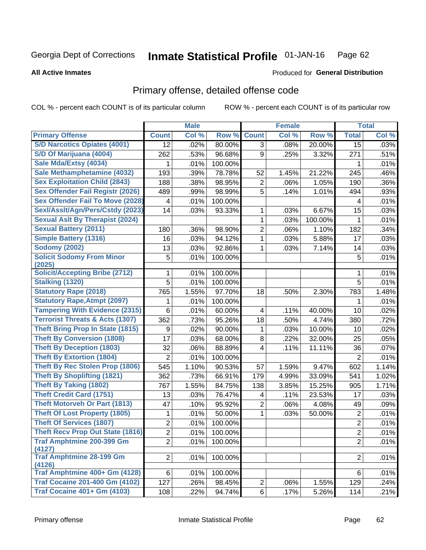#### Inmate Statistical Profile 01-JAN-16 Page 62

### **All Active Inmates**

## **Produced for General Distribution**

# Primary offense, detailed offense code

COL % - percent each COUNT is of its particular column

|                                            |                 | <b>Male</b> |         |                | <b>Female</b> |         |                  | <b>Total</b> |
|--------------------------------------------|-----------------|-------------|---------|----------------|---------------|---------|------------------|--------------|
| <b>Primary Offense</b>                     | <b>Count</b>    | Col %       | Row %   | <b>Count</b>   | Col %         | Row %   | <b>Total</b>     | Col %        |
| <b>S/D Narcotics Opiates (4001)</b>        | 12              | .02%        | 80.00%  | 3              | .08%          | 20.00%  | $\overline{15}$  | .03%         |
| S/D Of Marijuana (4004)                    | 262             | .53%        | 96.68%  | 9              | .25%          | 3.32%   | 271              | .51%         |
| Sale Mda/Extsy (4034)                      | 1               | .01%        | 100.00% |                |               |         | 1                | .01%         |
| Sale Methamphetamine (4032)                | 193             | .39%        | 78.78%  | 52             | 1.45%         | 21.22%  | 245              | .46%         |
| <b>Sex Exploitation Child (2843)</b>       | 188             | .38%        | 98.95%  | $\overline{2}$ | .06%          | 1.05%   | 190              | .36%         |
| <b>Sex Offender Fail Registr (2026)</b>    | 489             | .99%        | 98.99%  | 5              | .14%          | 1.01%   | 494              | .93%         |
| <b>Sex Offender Fail To Move (2028)</b>    | 4               | .01%        | 100.00% |                |               |         | 4                | .01%         |
| Sexl/Asslt/Agn/Pers/Cstdy (2023)           | 14              | .03%        | 93.33%  | 1              | .03%          | 6.67%   | 15               | .03%         |
| <b>Sexual Aslt By Therapist (2024)</b>     |                 |             |         | 1              | .03%          | 100.00% | 1                | .01%         |
| <b>Sexual Battery (2011)</b>               | 180             | .36%        | 98.90%  | 2              | .06%          | 1.10%   | 182              | .34%         |
| <b>Simple Battery (1316)</b>               | 16              | .03%        | 94.12%  | 1              | .03%          | 5.88%   | 17               | .03%         |
| <b>Sodomy (2002)</b>                       | 13              | .03%        | 92.86%  | 1              | .03%          | 7.14%   | 14               | .03%         |
| <b>Solicit Sodomy From Minor</b><br>(2025) | 5               | .01%        | 100.00% |                |               |         | 5                | .01%         |
| <b>Solicit/Accepting Bribe (2712)</b>      | 1               | .01%        | 100.00% |                |               |         | 1                | .01%         |
| Stalking (1320)                            | 5               | .01%        | 100.00% |                |               |         | 5                | .01%         |
| <b>Statutory Rape (2018)</b>               | 765             | 1.55%       | 97.70%  | 18             | .50%          | 2.30%   | 783              | 1.48%        |
| <b>Statutory Rape, Atmpt (2097)</b>        | 1               | .01%        | 100.00% |                |               |         | 1                | .01%         |
| <b>Tampering With Evidence (2315)</b>      | $6\phantom{1}6$ | .01%        | 60.00%  | 4              | .11%          | 40.00%  | 10               | .02%         |
| <b>Terrorist Threats &amp; Acts (1307)</b> | 362             | .73%        | 95.26%  | 18             | .50%          | 4.74%   | 380              | .72%         |
| <b>Theft Bring Prop In State (1815)</b>    | 9               | .02%        | 90.00%  | 1              | .03%          | 10.00%  | 10               | .02%         |
| <b>Theft By Conversion (1808)</b>          | 17              | .03%        | 68.00%  | 8              | .22%          | 32.00%  | 25               | .05%         |
| <b>Theft By Deception (1803)</b>           | 32              | .06%        | 88.89%  | 4              | .11%          | 11.11%  | 36               | .07%         |
| <b>Theft By Extortion (1804)</b>           | $\overline{2}$  | .01%        | 100.00% |                |               |         | $\overline{2}$   | .01%         |
| Theft By Rec Stolen Prop (1806)            | 545             | 1.10%       | 90.53%  | 57             | 1.59%         | 9.47%   | 602              | 1.14%        |
| <b>Theft By Shoplifting (1821)</b>         | 362             | .73%        | 66.91%  | 179            | 4.99%         | 33.09%  | 541              | 1.02%        |
| <b>Theft By Taking (1802)</b>              | 767             | 1.55%       | 84.75%  | 138            | 3.85%         | 15.25%  | 905              | 1.71%        |
| <b>Theft Credit Card (1751)</b>            | 13              | .03%        | 76.47%  | 4              | .11%          | 23.53%  | 17               | .03%         |
| <b>Theft Motorveh Or Part (1813)</b>       | 47              | .10%        | 95.92%  | $\overline{2}$ | .06%          | 4.08%   | 49               | .09%         |
| <b>Theft Of Lost Property (1805)</b>       | 1               | .01%        | 50.00%  | 1              | .03%          | 50.00%  | $\boldsymbol{2}$ | .01%         |
| <b>Theft Of Services (1807)</b>            | $\overline{2}$  | .01%        | 100.00% |                |               |         | $\overline{c}$   | .01%         |
| <b>Theft Recv Prop Out State (1816)</b>    | $\overline{2}$  | .01%        | 100.00% |                |               |         | $\overline{2}$   | .01%         |
| <b>Traf Amphtmine 200-399 Gm</b>           | $\overline{2}$  | .01%        | 100.00% |                |               |         | $\overline{2}$   | .01%         |
| (4127)<br><b>Traf Amphtmine 28-199 Gm</b>  | $\overline{2}$  | .01%        | 100.00% |                |               |         | $\overline{2}$   | .01%         |
| (4126)                                     |                 |             |         |                |               |         |                  |              |
| Traf Amphtmine 400+ Gm (4128)              | 6               | .01%        | 100.00% |                |               |         | 6                | .01%         |
| <b>Traf Cocaine 201-400 Gm (4102)</b>      | 127             | .26%        | 98.45%  | $\overline{2}$ | .06%          | 1.55%   | 129              | .24%         |
| <b>Traf Cocaine 401+ Gm (4103)</b>         | 108             | .22%        | 94.74%  | 6              | .17%          | 5.26%   | 114              | .21%         |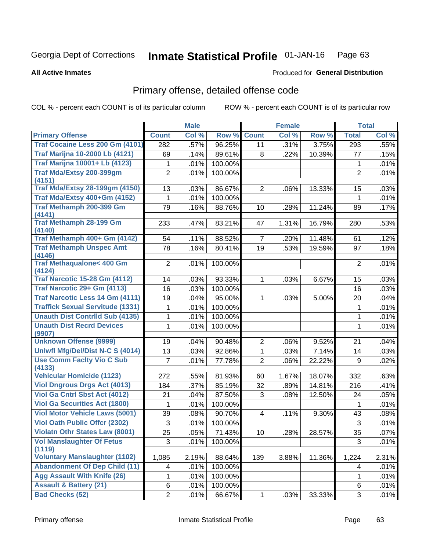#### Inmate Statistical Profile 01-JAN-16 Page 63

#### **All Active Inmates**

## **Produced for General Distribution**

# Primary offense, detailed offense code

COL % - percent each COUNT is of its particular column

|                                          |                 | <b>Male</b> |         |                | <b>Female</b> |        |                 | <b>Total</b> |
|------------------------------------------|-----------------|-------------|---------|----------------|---------------|--------|-----------------|--------------|
| <b>Primary Offense</b>                   | <b>Count</b>    | Col %       | Row %   | <b>Count</b>   | Col %         | Row %  | <b>Total</b>    | Col %        |
| Traf Cocaine Less 200 Gm (4101)          | 282             | .57%        | 96.25%  | 11             | .31%          | 3.75%  | 293             | .55%         |
| <b>Traf Marijna 10-2000 Lb (4121)</b>    | 69              | .14%        | 89.61%  | 8              | .22%          | 10.39% | 77              | .15%         |
| <b>Traf Marijna 10001+ Lb (4123)</b>     | 1               | .01%        | 100.00% |                |               |        | 1               | .01%         |
| Traf Mda/Extsy 200-399gm                 | $\overline{2}$  | .01%        | 100.00% |                |               |        | $\overline{2}$  | .01%         |
| (4151)                                   |                 |             |         |                |               |        |                 |              |
| <b>Traf Mda/Extsy 28-199gm (4150)</b>    | 13              | .03%        | 86.67%  | $\overline{2}$ | .06%          | 13.33% | 15              | .03%         |
| Traf Mda/Extsy 400+Gm (4152)             | 1               | .01%        | 100.00% |                |               |        | 1               | .01%         |
| Traf Methamph 200-399 Gm                 | 79              | .16%        | 88.76%  | 10             | .28%          | 11.24% | 89              | .17%         |
| (4141)<br><b>Traf Methamph 28-199 Gm</b> | 233             | .47%        | 83.21%  | 47             | 1.31%         | 16.79% | 280             | .53%         |
| (4140)                                   |                 |             |         |                |               |        |                 |              |
| Traf Methamph 400+ Gm (4142)             | 54              | .11%        | 88.52%  | $\overline{7}$ | .20%          | 11.48% | 61              | .12%         |
| <b>Traf Methamph Unspec Amt</b>          | 78              | .16%        | 80.41%  | 19             | .53%          | 19.59% | 97              | .18%         |
| (4146)                                   |                 |             |         |                |               |        |                 |              |
| <b>Traf Methaqualone&lt; 400 Gm</b>      | $\overline{2}$  | .01%        | 100.00% |                |               |        | $\overline{2}$  | .01%         |
| (4124)                                   |                 |             |         |                |               |        |                 |              |
| <b>Traf Narcotic 15-28 Gm (4112)</b>     | 14              | .03%        | 93.33%  | 1.             | .03%          | 6.67%  | 15              | .03%         |
| Traf Narcotic 29+ Gm (4113)              | 16              | .03%        | 100.00% |                |               |        | 16              | .03%         |
| <b>Traf Narcotic Less 14 Gm (4111)</b>   | 19              | .04%        | 95.00%  | $\mathbf{1}$   | .03%          | 5.00%  | 20              | .04%         |
| <b>Traffick Sexual Servitude (1331)</b>  | 1               | .01%        | 100.00% |                |               |        | 1               | .01%         |
| <b>Unauth Dist Contrild Sub (4135)</b>   | 1               | .01%        | 100.00% |                |               |        | 1               | .01%         |
| <b>Unauth Dist Recrd Devices</b>         | 1               | .01%        | 100.00% |                |               |        | 1               | .01%         |
| (9907)<br><b>Unknown Offense (9999)</b>  | 19              | .04%        | 90.48%  | $\overline{2}$ | .06%          | 9.52%  | 21              | .04%         |
| Uniwfl Mfg/Del/Dist N-C S (4014)         | 13              | .03%        | 92.86%  | $\mathbf{1}$   | .03%          | 7.14%  | 14              | .03%         |
| <b>Use Comm Facity Vio C Sub</b>         | 7               | .01%        | 77.78%  | $\overline{2}$ | .06%          | 22.22% | $9\,$           | .02%         |
| (4133)                                   |                 |             |         |                |               |        |                 |              |
| <b>Vehicular Homicide (1123)</b>         | 272             | .55%        | 81.93%  | 60             | 1.67%         | 18.07% | 332             | .63%         |
| <b>Viol Dngrous Drgs Act (4013)</b>      | 184             | .37%        | 85.19%  | 32             | .89%          | 14.81% | 216             | .41%         |
| Viol Ga Cntrl Sbst Act (4012)            | 21              | .04%        | 87.50%  | 3              | .08%          | 12.50% | 24              | .05%         |
| <b>Viol Ga Securities Act (1800)</b>     | 1               | .01%        | 100.00% |                |               |        | 1               | .01%         |
| <b>Viol Motor Vehicle Laws (5001)</b>    | 39              | .08%        | 90.70%  | $\overline{4}$ | .11%          | 9.30%  | 43              | .08%         |
| <b>Viol Oath Public Offer (2302)</b>     | 3               | .01%        | 100.00% |                |               |        | 3               | .01%         |
| <b>Violatn Othr States Law (8001)</b>    | $\overline{25}$ | .05%        | 71.43%  | $10\,$         | .28%          | 28.57% | $\overline{35}$ | .07%         |
| <b>Vol Manslaughter Of Fetus</b>         | 3               | .01%        | 100.00% |                |               |        | 3               | .01%         |
| (1119)                                   |                 |             |         |                |               |        |                 |              |
| <b>Voluntary Manslaughter (1102)</b>     | 1,085           | 2.19%       | 88.64%  | 139            | 3.88%         | 11.36% | 1,224           | 2.31%        |
| <b>Abandonment Of Dep Child (11)</b>     | 4               | .01%        | 100.00% |                |               |        | 4               | .01%         |
| <b>Agg Assault With Knife (26)</b>       | 1.              | .01%        | 100.00% |                |               |        | 1               | .01%         |
| <b>Assault &amp; Battery (21)</b>        | 6               | .01%        | 100.00% |                |               |        | 6               | .01%         |
| <b>Bad Checks (52)</b>                   | $\overline{2}$  | .01%        | 66.67%  | $\mathbf{1}$   | .03%          | 33.33% | 3               | .01%         |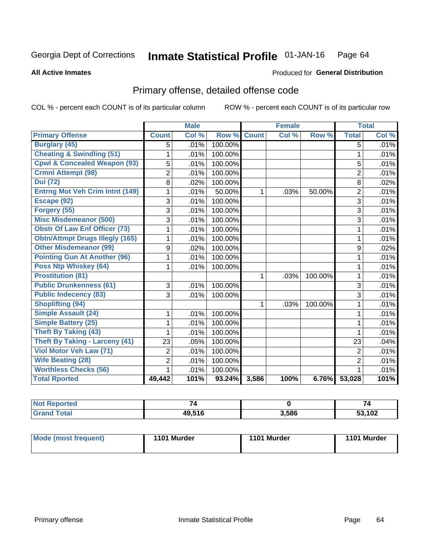#### Inmate Statistical Profile 01-JAN-16 Page 64

### **All Active Inmates**

# **Produced for General Distribution**

# Primary offense, detailed offense code

COL % - percent each COUNT is of its particular column

|                                         |                | <b>Male</b> |         | <b>Female</b> |       |         | <b>Total</b>   |       |
|-----------------------------------------|----------------|-------------|---------|---------------|-------|---------|----------------|-------|
| <b>Primary Offense</b>                  | <b>Count</b>   | Col %       | Row %   | <b>Count</b>  | Col % | Row %   | <b>Total</b>   | Col % |
| <b>Burglary (45)</b>                    | 5              | .01%        | 100.00% |               |       |         | 5              | .01%  |
| <b>Cheating &amp; Swindling (51)</b>    | 1              | .01%        | 100.00% |               |       |         | 1              | .01%  |
| <b>Cpwl &amp; Concealed Weapon (93)</b> | 5              | .01%        | 100.00% |               |       |         | 5              | .01%  |
| <b>Crmnl Attempt (98)</b>               | $\overline{2}$ | .01%        | 100.00% |               |       |         | $\overline{2}$ | .01%  |
| <b>Dui (72)</b>                         | 8              | .02%        | 100.00% |               |       |         | 8              | .02%  |
| <b>Entrng Mot Veh Crim Intnt (149)</b>  | 1              | .01%        | 50.00%  | 1             | .03%  | 50.00%  | $\overline{2}$ | .01%  |
| Escape (92)                             | 3              | .01%        | 100.00% |               |       |         | 3              | .01%  |
| Forgery (55)                            | 3              | .01%        | 100.00% |               |       |         | 3              | .01%  |
| <b>Misc Misdemeanor (500)</b>           | 3              | .01%        | 100.00% |               |       |         | 3              | .01%  |
| <b>Obstr Of Law Enf Officer (73)</b>    | 1              | .01%        | 100.00% |               |       |         | 1              | .01%  |
| <b>Obtn/Attmpt Drugs Illegly (165)</b>  | 1              | .01%        | 100.00% |               |       |         | 1              | .01%  |
| <b>Other Misdemeanor (99)</b>           | 9              | .02%        | 100.00% |               |       |         | 9              | .02%  |
| <b>Pointing Gun At Another (96)</b>     | 1              | .01%        | 100.00% |               |       |         | 1              | .01%  |
| <b>Poss Ntp Whiskey (64)</b>            | 1              | .01%        | 100.00% |               |       |         | 1              | .01%  |
| <b>Prostitution (81)</b>                |                |             |         | 1             | .03%  | 100.00% | 1              | .01%  |
| <b>Public Drunkenness (61)</b>          | 3              | .01%        | 100.00% |               |       |         | 3              | .01%  |
| <b>Public Indecency (83)</b>            | 3              | .01%        | 100.00% |               |       |         | 3              | .01%  |
| <b>Shoplifting (94)</b>                 |                |             |         |               | .03%  | 100.00% | 1              | .01%  |
| Simple Assault (24)                     | 1              | .01%        | 100.00% |               |       |         | 1              | .01%  |
| <b>Simple Battery (25)</b>              | 1              | .01%        | 100.00% |               |       |         | 1              | .01%  |
| <b>Theft By Taking (43)</b>             | 1              | .01%        | 100.00% |               |       |         | 1              | .01%  |
| <b>Theft By Taking - Larceny (41)</b>   | 23             | .05%        | 100.00% |               |       |         | 23             | .04%  |
| <b>Viol Motor Veh Law (71)</b>          | $\overline{2}$ | .01%        | 100.00% |               |       |         | $\overline{2}$ | .01%  |
| <b>Wife Beating (28)</b>                | $\overline{2}$ | .01%        | 100.00% |               |       |         | $\overline{2}$ | .01%  |
| <b>Worthless Checks (56)</b>            | 1              | .01%        | 100.00% |               |       |         | 1              | .01%  |
| <b>Total Rported</b>                    | 49,442         | 101%        | 93.24%  | 3,586         | 100%  | 6.76%   | 53,028         | 101%  |

| N<br>reu<br>. | $\rightarrow$ |       | 74                       |
|---------------|---------------|-------|--------------------------|
|               | 4951F         | 3,586 | $\overline{100}$<br>I VZ |

| Mode (most frequent) | 1101 Murder | 1101 Murder | 1101 Murder |
|----------------------|-------------|-------------|-------------|
|                      |             |             |             |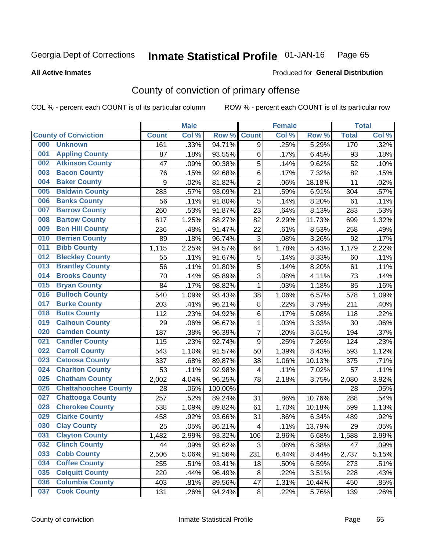#### Inmate Statistical Profile 01-JAN-16 Page 65

**All Active Inmates** 

### Produced for General Distribution

# County of conviction of primary offense

COL % - percent each COUNT is of its particular column

|     |                             |              | <b>Male</b> |         |                          | <b>Female</b> |        |              | <b>Total</b> |
|-----|-----------------------------|--------------|-------------|---------|--------------------------|---------------|--------|--------------|--------------|
|     | <b>County of Conviction</b> | <b>Count</b> | Col %       | Row %   | <b>Count</b>             | Col %         | Row %  | <b>Total</b> | Col %        |
| 000 | <b>Unknown</b>              | 161          | .33%        | 94.71%  | 9                        | .25%          | 5.29%  | 170          | .32%         |
| 001 | <b>Appling County</b>       | 87           | .18%        | 93.55%  | 6                        | .17%          | 6.45%  | 93           | .18%         |
| 002 | <b>Atkinson County</b>      | 47           | .09%        | 90.38%  | 5                        | .14%          | 9.62%  | 52           | .10%         |
| 003 | <b>Bacon County</b>         | 76           | .15%        | 92.68%  | 6                        | .17%          | 7.32%  | 82           | .15%         |
| 004 | <b>Baker County</b>         | 9            | .02%        | 81.82%  | $\overline{2}$           | .06%          | 18.18% | 11           | .02%         |
| 005 | <b>Baldwin County</b>       | 283          | .57%        | 93.09%  | 21                       | .59%          | 6.91%  | 304          | .57%         |
| 006 | <b>Banks County</b>         | 56           | .11%        | 91.80%  | 5                        | .14%          | 8.20%  | 61           | .11%         |
| 007 | <b>Barrow County</b>        | 260          | .53%        | 91.87%  | 23                       | .64%          | 8.13%  | 283          | .53%         |
| 008 | <b>Bartow County</b>        | 617          | 1.25%       | 88.27%  | 82                       | 2.29%         | 11.73% | 699          | 1.32%        |
| 009 | <b>Ben Hill County</b>      | 236          | .48%        | 91.47%  | 22                       | .61%          | 8.53%  | 258          | .49%         |
| 010 | <b>Berrien County</b>       | 89           | .18%        | 96.74%  | 3                        | .08%          | 3.26%  | 92           | .17%         |
| 011 | <b>Bibb County</b>          | 1,115        | 2.25%       | 94.57%  | 64                       | 1.78%         | 5.43%  | 1,179        | 2.22%        |
| 012 | <b>Bleckley County</b>      | 55           | .11%        | 91.67%  | 5                        | .14%          | 8.33%  | 60           | .11%         |
| 013 | <b>Brantley County</b>      | 56           | .11%        | 91.80%  | 5                        | .14%          | 8.20%  | 61           | .11%         |
| 014 | <b>Brooks County</b>        | 70           | .14%        | 95.89%  | $\overline{3}$           | .08%          | 4.11%  | 73           | .14%         |
| 015 | <b>Bryan County</b>         | 84           | .17%        | 98.82%  | $\mathbf 1$              | .03%          | 1.18%  | 85           | .16%         |
| 016 | <b>Bulloch County</b>       | 540          | 1.09%       | 93.43%  | 38                       | 1.06%         | 6.57%  | 578          | 1.09%        |
| 017 | <b>Burke County</b>         | 203          | .41%        | 96.21%  | 8                        | .22%          | 3.79%  | 211          | .40%         |
| 018 | <b>Butts County</b>         | 112          | .23%        | 94.92%  | 6                        | .17%          | 5.08%  | 118          | .22%         |
| 019 | <b>Calhoun County</b>       | 29           | .06%        | 96.67%  | $\mathbf{1}$             | .03%          | 3.33%  | 30           | .06%         |
| 020 | <b>Camden County</b>        | 187          | .38%        | 96.39%  | $\overline{7}$           | .20%          | 3.61%  | 194          | .37%         |
| 021 | <b>Candler County</b>       | 115          | .23%        | 92.74%  | 9                        | .25%          | 7.26%  | 124          | .23%         |
| 022 | <b>Carroll County</b>       | 543          | 1.10%       | 91.57%  | 50                       | 1.39%         | 8.43%  | 593          | 1.12%        |
| 023 | <b>Catoosa County</b>       | 337          | .68%        | 89.87%  | 38                       | 1.06%         | 10.13% | 375          | .71%         |
| 024 | <b>Charlton County</b>      | 53           | .11%        | 92.98%  | 4                        | .11%          | 7.02%  | 57           | .11%         |
| 025 | <b>Chatham County</b>       | 2,002        | 4.04%       | 96.25%  | 78                       | 2.18%         | 3.75%  | 2,080        | 3.92%        |
| 026 | <b>Chattahoochee County</b> | 28           | .06%        | 100.00% |                          |               |        | 28           | .05%         |
| 027 | <b>Chattooga County</b>     | 257          | .52%        | 89.24%  | 31                       | .86%          | 10.76% | 288          | .54%         |
| 028 | <b>Cherokee County</b>      | 538          | 1.09%       | 89.82%  | 61                       | 1.70%         | 10.18% | 599          | 1.13%        |
| 029 | <b>Clarke County</b>        | 458          | .92%        | 93.66%  | 31                       | .86%          | 6.34%  | 489          | .92%         |
| 030 | <b>Clay County</b>          | 25           | .05%        | 86.21%  | $\overline{\mathcal{A}}$ | .11%          | 13.79% | 29           | .05%         |
| 031 | <b>Clayton County</b>       | 1,482        | 2.99%       | 93.32%  | 106                      | 2.96%         | 6.68%  | 1,588        | 2.99%        |
| 032 | <b>Clinch County</b>        | 44           | .09%        | 93.62%  | 3                        | .08%          | 6.38%  | 47           | .09%         |
| 033 | <b>Cobb County</b>          | 2,506        | 5.06%       | 91.56%  | 231                      | 6.44%         | 8.44%  | 2,737        | 5.15%        |
| 034 | <b>Coffee County</b>        | 255          | .51%        | 93.41%  | 18                       | .50%          | 6.59%  | 273          | .51%         |
| 035 | <b>Colquitt County</b>      | 220          | .44%        | 96.49%  | 8                        | .22%          | 3.51%  | 228          | .43%         |
| 036 | <b>Columbia County</b>      | 403          | .81%        | 89.56%  | 47                       | 1.31%         | 10.44% | 450          | .85%         |
| 037 | <b>Cook County</b>          | 131          | .26%        | 94.24%  | 8                        | .22%          | 5.76%  | 139          | .26%         |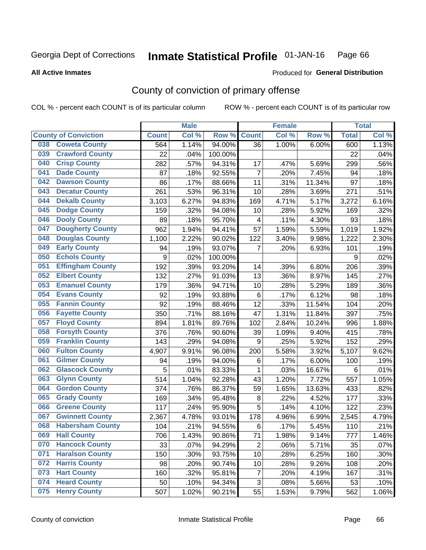#### Inmate Statistical Profile 01-JAN-16 Page 66

### **All Active Inmates**

# **Produced for General Distribution**

# County of conviction of primary offense

COL % - percent each COUNT is of its particular column

|     |                             |              | <b>Male</b> |         |                | <b>Female</b>             |        |                 | <b>Total</b> |
|-----|-----------------------------|--------------|-------------|---------|----------------|---------------------------|--------|-----------------|--------------|
|     | <b>County of Conviction</b> | <b>Count</b> | Col %       | Row %   | <b>Count</b>   | $\overline{\text{Col 9}}$ | Row %  | <b>Total</b>    | Col%         |
| 038 | <b>Coweta County</b>        | 564          | 1.14%       | 94.00%  | 36             | 1.00%                     | 6.00%  | 600             | 1.13%        |
| 039 | <b>Crawford County</b>      | 22           | .04%        | 100.00% |                |                           |        | 22              | .04%         |
| 040 | <b>Crisp County</b>         | 282          | .57%        | 94.31%  | 17             | .47%                      | 5.69%  | 299             | .56%         |
| 041 | <b>Dade County</b>          | 87           | .18%        | 92.55%  | $\overline{7}$ | .20%                      | 7.45%  | 94              | .18%         |
| 042 | <b>Dawson County</b>        | 86           | .17%        | 88.66%  | 11             | .31%                      | 11.34% | 97              | .18%         |
| 043 | <b>Decatur County</b>       | 261          | .53%        | 96.31%  | 10             | .28%                      | 3.69%  | 271             | .51%         |
| 044 | <b>Dekalb County</b>        | 3,103        | 6.27%       | 94.83%  | 169            | 4.71%                     | 5.17%  | 3,272           | 6.16%        |
| 045 | <b>Dodge County</b>         | 159          | .32%        | 94.08%  | 10             | .28%                      | 5.92%  | 169             | .32%         |
| 046 | <b>Dooly County</b>         | 89           | .18%        | 95.70%  | 4              | .11%                      | 4.30%  | 93              | .18%         |
| 047 | <b>Dougherty County</b>     | 962          | 1.94%       | 94.41%  | 57             | 1.59%                     | 5.59%  | 1,019           | 1.92%        |
| 048 | <b>Douglas County</b>       | 1,100        | 2.22%       | 90.02%  | 122            | 3.40%                     | 9.98%  | 1,222           | 2.30%        |
| 049 | <b>Early County</b>         | 94           | .19%        | 93.07%  | 7              | .20%                      | 6.93%  | 101             | .19%         |
| 050 | <b>Echols County</b>        | 9            | .02%        | 100.00% |                |                           |        | 9               | .02%         |
| 051 | <b>Effingham County</b>     | 192          | .39%        | 93.20%  | 14             | .39%                      | 6.80%  | 206             | .39%         |
| 052 | <b>Elbert County</b>        | 132          | .27%        | 91.03%  | 13             | .36%                      | 8.97%  | 145             | .27%         |
| 053 | <b>Emanuel County</b>       | 179          | .36%        | 94.71%  | 10             | .28%                      | 5.29%  | 189             | .36%         |
| 054 | <b>Evans County</b>         | 92           | .19%        | 93.88%  | $\,6\,$        | .17%                      | 6.12%  | 98              | .18%         |
| 055 | <b>Fannin County</b>        | 92           | .19%        | 88.46%  | 12             | .33%                      | 11.54% | 104             | .20%         |
| 056 | <b>Fayette County</b>       | 350          | .71%        | 88.16%  | 47             | 1.31%                     | 11.84% | 397             | .75%         |
| 057 | <b>Floyd County</b>         | 894          | 1.81%       | 89.76%  | 102            | 2.84%                     | 10.24% | 996             | 1.88%        |
| 058 | <b>Forsyth County</b>       | 376          | .76%        | 90.60%  | 39             | 1.09%                     | 9.40%  | 415             | .78%         |
| 059 | <b>Franklin County</b>      | 143          | .29%        | 94.08%  | 9              | .25%                      | 5.92%  | 152             | .29%         |
| 060 | <b>Fulton County</b>        | 4,907        | 9.91%       | 96.08%  | 200            | 5.58%                     | 3.92%  | 5,107           | 9.62%        |
| 061 | <b>Gilmer County</b>        | 94           | .19%        | 94.00%  | 6              | .17%                      | 6.00%  | 100             | .19%         |
| 062 | <b>Glascock County</b>      | 5            | .01%        | 83.33%  | 1              | .03%                      | 16.67% | $6\phantom{1}6$ | .01%         |
| 063 | <b>Glynn County</b>         | 514          | 1.04%       | 92.28%  | 43             | 1.20%                     | 7.72%  | 557             | 1.05%        |
| 064 | <b>Gordon County</b>        | 374          | .76%        | 86.37%  | 59             | 1.65%                     | 13.63% | 433             | .82%         |
| 065 | <b>Grady County</b>         | 169          | .34%        | 95.48%  | 8              | .22%                      | 4.52%  | 177             | .33%         |
| 066 | <b>Greene County</b>        | 117          | .24%        | 95.90%  | 5              | .14%                      | 4.10%  | 122             | .23%         |
| 067 | <b>Gwinnett County</b>      | 2,367        | 4.78%       | 93.01%  | 178            | 4.96%                     | 6.99%  | 2,545           | 4.79%        |
| 068 | <b>Habersham County</b>     | 104          | .21%        | 94.55%  | 6              | .17%                      | 5.45%  | 110             | .21%         |
| 069 | <b>Hall County</b>          | 706          | 1.43%       | 90.86%  | 71             | 1.98%                     | 9.14%  | 777             | 1.46%        |
| 070 | <b>Hancock County</b>       | 33           | .07%        | 94.29%  | $\overline{2}$ | .06%                      | 5.71%  | 35              | .07%         |
| 071 | <b>Haralson County</b>      | 150          | .30%        | 93.75%  | 10             | .28%                      | 6.25%  | 160             | .30%         |
| 072 | <b>Harris County</b>        | 98           | .20%        | 90.74%  | 10             | .28%                      | 9.26%  | 108             | .20%         |
| 073 | <b>Hart County</b>          | 160          | .32%        | 95.81%  | $\overline{7}$ | .20%                      | 4.19%  | 167             | .31%         |
| 074 | <b>Heard County</b>         | 50           | .10%        | 94.34%  | $\sqrt{3}$     | .08%                      | 5.66%  | 53              | .10%         |
| 075 | <b>Henry County</b>         | 507          | 1.02%       | 90.21%  | 55             | 1.53%                     | 9.79%  | 562             | 1.06%        |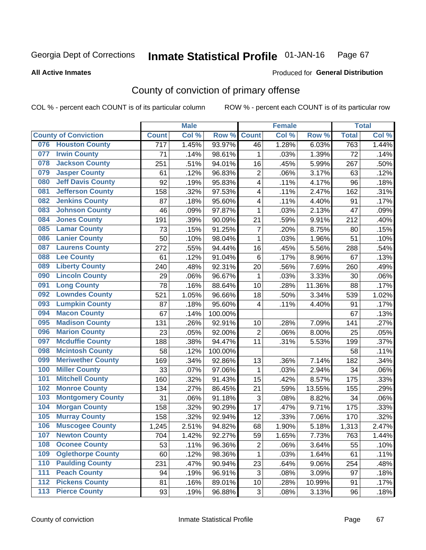#### Inmate Statistical Profile 01-JAN-16 Page 67

#### **All Active Inmates**

# Produced for General Distribution

# County of conviction of primary offense

COL % - percent each COUNT is of its particular column

|                                 |                  | <b>Male</b> |         |                           | <b>Female</b> |        |              | <b>Total</b> |
|---------------------------------|------------------|-------------|---------|---------------------------|---------------|--------|--------------|--------------|
| <b>County of Conviction</b>     | <b>Count</b>     | Col %       | Row %   | <b>Count</b>              | Col %         | Row %  | <b>Total</b> | Col%         |
| <b>Houston County</b><br>076    | $\overline{717}$ | 1.45%       | 93.97%  | 46                        | 1.28%         | 6.03%  | 763          | 1.44%        |
| <b>Irwin County</b><br>077      | 71               | .14%        | 98.61%  | 1                         | .03%          | 1.39%  | 72           | .14%         |
| <b>Jackson County</b><br>078    | 251              | .51%        | 94.01%  | 16                        | .45%          | 5.99%  | 267          | .50%         |
| <b>Jasper County</b><br>079     | 61               | .12%        | 96.83%  | $\overline{2}$            | .06%          | 3.17%  | 63           | .12%         |
| <b>Jeff Davis County</b><br>080 | 92               | .19%        | 95.83%  | 4                         | .11%          | 4.17%  | 96           | .18%         |
| 081<br><b>Jefferson County</b>  | 158              | .32%        | 97.53%  | 4                         | .11%          | 2.47%  | 162          | .31%         |
| <b>Jenkins County</b><br>082    | 87               | .18%        | 95.60%  | 4                         | .11%          | 4.40%  | 91           | .17%         |
| <b>Johnson County</b><br>083    | 46               | .09%        | 97.87%  | 1                         | .03%          | 2.13%  | 47           | .09%         |
| <b>Jones County</b><br>084      | 191              | .39%        | 90.09%  | 21                        | .59%          | 9.91%  | 212          | .40%         |
| <b>Lamar County</b><br>085      | 73               | .15%        | 91.25%  | $\overline{7}$            | .20%          | 8.75%  | 80           | .15%         |
| <b>Lanier County</b><br>086     | 50               | .10%        | 98.04%  | 1                         | .03%          | 1.96%  | 51           | .10%         |
| <b>Laurens County</b><br>087    | 272              | .55%        | 94.44%  | 16                        | .45%          | 5.56%  | 288          | .54%         |
| <b>Lee County</b><br>088        | 61               | .12%        | 91.04%  | 6                         | .17%          | 8.96%  | 67           | .13%         |
| <b>Liberty County</b><br>089    | 240              | .48%        | 92.31%  | 20                        | .56%          | 7.69%  | 260          | .49%         |
| <b>Lincoln County</b><br>090    | 29               | .06%        | 96.67%  | 1                         | .03%          | 3.33%  | 30           | .06%         |
| <b>Long County</b><br>091       | 78               | .16%        | 88.64%  | 10                        | .28%          | 11.36% | 88           | .17%         |
| <b>Lowndes County</b><br>092    | 521              | 1.05%       | 96.66%  | 18                        | .50%          | 3.34%  | 539          | 1.02%        |
| <b>Lumpkin County</b><br>093    | 87               | .18%        | 95.60%  | 4                         | .11%          | 4.40%  | 91           | .17%         |
| <b>Macon County</b><br>094      | 67               | .14%        | 100.00% |                           |               |        | 67           | .13%         |
| <b>Madison County</b><br>095    | 131              | .26%        | 92.91%  | 10                        | .28%          | 7.09%  | 141          | .27%         |
| <b>Marion County</b><br>096     | 23               | .05%        | 92.00%  | $\overline{2}$            | .06%          | 8.00%  | 25           | .05%         |
| <b>Mcduffie County</b><br>097   | 188              | .38%        | 94.47%  | 11                        | .31%          | 5.53%  | 199          | .37%         |
| <b>Mcintosh County</b><br>098   | 58               | .12%        | 100.00% |                           |               |        | 58           | .11%         |
| <b>Meriwether County</b><br>099 | 169              | .34%        | 92.86%  | 13                        | .36%          | 7.14%  | 182          | .34%         |
| <b>Miller County</b><br>100     | 33               | .07%        | 97.06%  | $\mathbf 1$               | .03%          | 2.94%  | 34           | .06%         |
| <b>Mitchell County</b><br>101   | 160              | .32%        | 91.43%  | 15                        | .42%          | 8.57%  | 175          | .33%         |
| <b>Monroe County</b><br>102     | 134              | .27%        | 86.45%  | 21                        | .59%          | 13.55% | 155          | .29%         |
| <b>Montgomery County</b><br>103 | 31               | .06%        | 91.18%  | $\ensuremath{\mathsf{3}}$ | .08%          | 8.82%  | 34           | .06%         |
| <b>Morgan County</b><br>104     | 158              | .32%        | 90.29%  | 17                        | .47%          | 9.71%  | 175          | .33%         |
| <b>Murray County</b><br>105     | 158              | .32%        | 92.94%  | 12                        | .33%          | 7.06%  | 170          | .32%         |
| <b>Muscogee County</b><br>106   | 1,245            | 2.51%       | 94.82%  | 68                        | 1.90%         | 5.18%  | 1,313        | 2.47%        |
| 107<br><b>Newton County</b>     | 704              | 1.42%       | 92.27%  | 59                        | 1.65%         | 7.73%  | 763          | 1.44%        |
| <b>Oconee County</b><br>108     | 53               | .11%        | 96.36%  | $\overline{2}$            | .06%          | 3.64%  | 55           | .10%         |
| <b>Oglethorpe County</b><br>109 | 60               | .12%        | 98.36%  | 1                         | .03%          | 1.64%  | 61           | .11%         |
| <b>Paulding County</b><br>110   | 231              | .47%        | 90.94%  | 23                        | .64%          | 9.06%  | 254          | .48%         |
| <b>Peach County</b><br>111      | 94               | .19%        | 96.91%  | 3                         | .08%          | 3.09%  | 97           | .18%         |
| <b>Pickens County</b><br>$112$  | 81               | .16%        | 89.01%  | 10                        | .28%          | 10.99% | 91           | .17%         |
| <b>Pierce County</b><br>$113$   | 93               | .19%        | 96.88%  | 3                         | .08%          | 3.13%  | 96           | .18%         |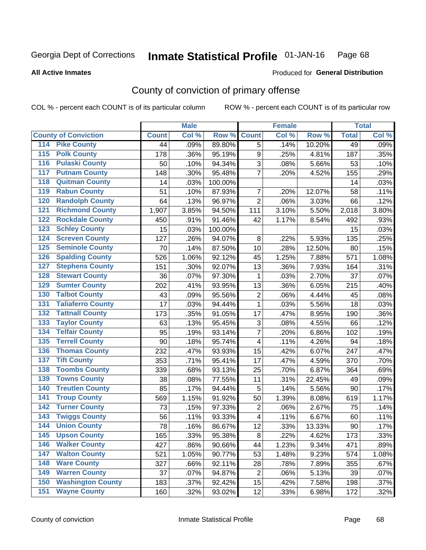#### Inmate Statistical Profile 01-JAN-16 Page 68

**All Active Inmates** 

### Produced for General Distribution

# County of conviction of primary offense

COL % - percent each COUNT is of its particular column

|                                          |              | <b>Male</b> |         |                          | <b>Female</b> |        |              | <b>Total</b> |
|------------------------------------------|--------------|-------------|---------|--------------------------|---------------|--------|--------------|--------------|
| <b>County of Conviction</b>              | <b>Count</b> | Col %       | Row %   | <b>Count</b>             | Col %         | Row %  | <b>Total</b> | Col %        |
| <b>Pike County</b><br>114                | 44           | .09%        | 89.80%  | 5                        | .14%          | 10.20% | 49           | .09%         |
| <b>Polk County</b><br>$\overline{115}$   | 178          | .36%        | 95.19%  | 9                        | .25%          | 4.81%  | 187          | .35%         |
| <b>Pulaski County</b><br>116             | 50           | .10%        | 94.34%  | 3                        | .08%          | 5.66%  | 53           | .10%         |
| <b>Putnam County</b><br>117              | 148          | .30%        | 95.48%  | $\overline{7}$           | .20%          | 4.52%  | 155          | .29%         |
| <b>Quitman County</b><br>118             | 14           | .03%        | 100.00% |                          |               |        | 14           | .03%         |
| <b>Rabun County</b><br>119               | 51           | .10%        | 87.93%  | $\overline{7}$           | .20%          | 12.07% | 58           | .11%         |
| <b>Randolph County</b><br>120            | 64           | .13%        | 96.97%  | $\overline{2}$           | .06%          | 3.03%  | 66           | .12%         |
| <b>Richmond County</b><br>121            | 1,907        | 3.85%       | 94.50%  | 111                      | 3.10%         | 5.50%  | 2,018        | 3.80%        |
| <b>Rockdale County</b><br>122            | 450          | .91%        | 91.46%  | 42                       | 1.17%         | 8.54%  | 492          | .93%         |
| <b>Schley County</b><br>123              | 15           | .03%        | 100.00% |                          |               |        | 15           | .03%         |
| <b>Screven County</b><br>124             | 127          | .26%        | 94.07%  | 8                        | .22%          | 5.93%  | 135          | .25%         |
| <b>Seminole County</b><br>125            | 70           | .14%        | 87.50%  | 10                       | .28%          | 12.50% | 80           | .15%         |
| <b>Spalding County</b><br>126            | 526          | 1.06%       | 92.12%  | 45                       | 1.25%         | 7.88%  | 571          | 1.08%        |
| <b>Stephens County</b><br>127            | 151          | .30%        | 92.07%  | 13                       | .36%          | 7.93%  | 164          | .31%         |
| <b>Stewart County</b><br>128             | 36           | .07%        | 97.30%  | 1                        | .03%          | 2.70%  | 37           | .07%         |
| <b>Sumter County</b><br>129              | 202          | .41%        | 93.95%  | 13                       | .36%          | 6.05%  | 215          | .40%         |
| <b>Talbot County</b><br>130              | 43           | .09%        | 95.56%  | $\overline{2}$           | .06%          | 4.44%  | 45           | .08%         |
| <b>Taliaferro County</b><br>131          | 17           | .03%        | 94.44%  | 1                        | .03%          | 5.56%  | 18           | .03%         |
| <b>Tattnall County</b><br>132            | 173          | .35%        | 91.05%  | 17                       | .47%          | 8.95%  | 190          | .36%         |
| <b>Taylor County</b><br>133              | 63           | .13%        | 95.45%  | 3                        | .08%          | 4.55%  | 66           | .12%         |
| <b>Telfair County</b><br>134             | 95           | .19%        | 93.14%  | $\overline{7}$           | .20%          | 6.86%  | 102          | .19%         |
| <b>Terrell County</b><br>135             | 90           | .18%        | 95.74%  | 4                        | .11%          | 4.26%  | 94           | .18%         |
| <b>Thomas County</b><br>136              | 232          | .47%        | 93.93%  | 15                       | .42%          | 6.07%  | 247          | .47%         |
| <b>Tift County</b><br>137                | 353          | .71%        | 95.41%  | 17                       | .47%          | 4.59%  | 370          | .70%         |
| <b>Toombs County</b><br>138              | 339          | .68%        | 93.13%  | 25                       | .70%          | 6.87%  | 364          | .69%         |
| <b>Towns County</b><br>139               | 38           | .08%        | 77.55%  | 11                       | .31%          | 22.45% | 49           | .09%         |
| <b>Treutlen County</b><br>140            | 85           | .17%        | 94.44%  | 5                        | .14%          | 5.56%  | 90           | .17%         |
| <b>Troup County</b><br>141               | 569          | 1.15%       | 91.92%  | 50                       | 1.39%         | 8.08%  | 619          | 1.17%        |
| <b>Turner County</b><br>142              | 73           | .15%        | 97.33%  | $\overline{2}$           | .06%          | 2.67%  | 75           | .14%         |
| <b>Twiggs County</b><br>$\overline{143}$ | 56           | .11%        | 93.33%  | $\overline{\mathcal{A}}$ | .11%          | 6.67%  | 60           | .11%         |
| <b>Union County</b><br>144               | 78           | .16%        | 86.67%  | 12                       | .33%          | 13.33% | 90           | .17%         |
| 145<br><b>Upson County</b>               | 165          | .33%        | 95.38%  | 8                        | .22%          | 4.62%  | 173          | .33%         |
| <b>Walker County</b><br>146              | 427          | .86%        | 90.66%  | 44                       | 1.23%         | 9.34%  | 471          | .89%         |
| <b>Walton County</b><br>147              | 521          | 1.05%       | 90.77%  | 53                       | 1.48%         | 9.23%  | 574          | 1.08%        |
| <b>Ware County</b><br>148                | 327          | .66%        | 92.11%  | 28                       | .78%          | 7.89%  | 355          | .67%         |
| <b>Warren County</b><br>149              | 37           | .07%        | 94.87%  | $\overline{2}$           | .06%          | 5.13%  | 39           | .07%         |
| <b>Washington County</b><br>150          | 183          | .37%        | 92.42%  | 15                       | .42%          | 7.58%  | 198          | .37%         |
| <b>Wayne County</b><br>151               | 160          | .32%        | 93.02%  | 12                       | .33%          | 6.98%  | 172          | .32%         |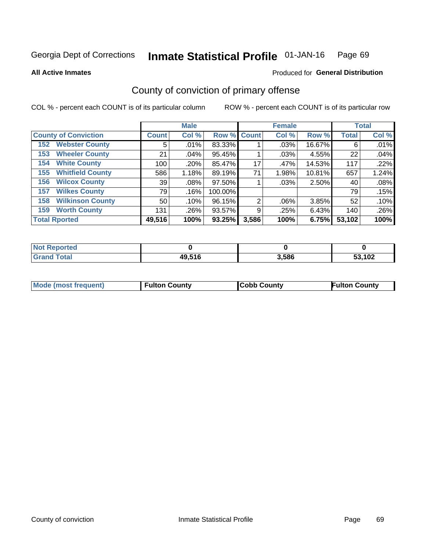#### Inmate Statistical Profile 01-JAN-16 Page 69

**All Active Inmates** 

## **Produced for General Distribution**

# County of conviction of primary offense

COL % - percent each COUNT is of its particular column

|                                |                    | <b>Male</b> |             |                | <b>Female</b> |        |              | <b>Total</b> |
|--------------------------------|--------------------|-------------|-------------|----------------|---------------|--------|--------------|--------------|
| <b>County of Conviction</b>    | Count <sup>1</sup> | Col %       | Row % Count |                | Col %         | Row %  | <b>Total</b> | Col %        |
| <b>Webster County</b><br>152   | 5                  | .01%        | 83.33%      |                | $.03\%$       | 16.67% | 6            | .01%         |
| <b>Wheeler County</b><br>153   | 21                 | .04%        | 95.45%      |                | .03%          | 4.55%  | 22           | .04%         |
| <b>White County</b><br>154     | 100                | .20%        | 85.47%      | 17             | .47%          | 14.53% | 117          | .22%         |
| <b>Whitfield County</b><br>155 | 586                | 1.18%       | 89.19%      | 71             | 1.98%         | 10.81% | 657          | 1.24%        |
| <b>Wilcox County</b><br>156    | 39                 | $.08\%$     | 97.50%      |                | $.03\%$       | 2.50%  | 40           | .08%         |
| <b>Wilkes County</b><br>157    | 79                 | .16%        | 100.00%     |                |               |        | 79           | .15%         |
| <b>Wilkinson County</b><br>158 | 50                 | .10%        | 96.15%      | $\overline{2}$ | .06%          | 3.85%  | 52           | .10%         |
| <b>Worth County</b><br>159     | 131                | .26%        | 93.57%      | 9              | .25%          | 6.43%  | 140          | .26%         |
| <b>Total Rported</b>           | 49,516             | 100%        | 93.25%      | 3,586          | 100%          | 6.75%  | 53,102       | 100%         |

| <b>Not Reported</b> |        |       |        |
|---------------------|--------|-------|--------|
| $\tau$ otar         | 49,516 | 3,586 | 53,102 |

| Mode (most frequent) | <b>Fulton County</b> | <b>Cobb County</b> | <b>Fulton County</b> |
|----------------------|----------------------|--------------------|----------------------|
|                      |                      |                    |                      |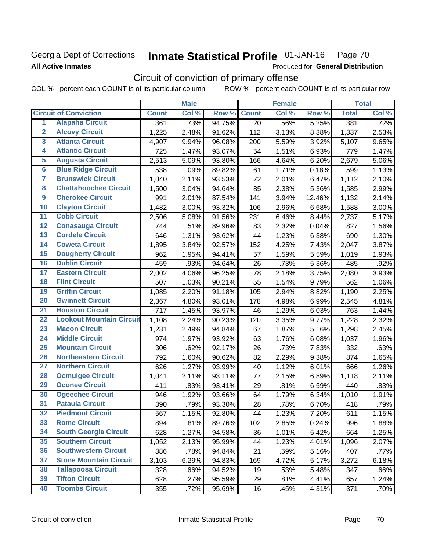## Georgia Dept of Corrections **All Active Inmates**

#### Inmate Statistical Profile 01-JAN-16 Page 70

Produced for General Distribution

# Circuit of conviction of primary offense

COL % - percent each COUNT is of its particular column ROW % - percent each COUNT is of its particular row

|                         |                                 |              | <b>Male</b> |        |              | <b>Female</b> |        |              | <b>Total</b> |
|-------------------------|---------------------------------|--------------|-------------|--------|--------------|---------------|--------|--------------|--------------|
|                         | <b>Circuit of Conviction</b>    | <b>Count</b> | Col %       | Row %  | <b>Count</b> | Col %         | Row %  | <b>Total</b> | Col %        |
| 1                       | <b>Alapaha Circuit</b>          | 361          | .73%        | 94.75% | 20           | .56%          | 5.25%  | 381          | .72%         |
| $\overline{2}$          | <b>Alcovy Circuit</b>           | 1,225        | 2.48%       | 91.62% | 112          | 3.13%         | 8.38%  | 1,337        | 2.53%        |
| $\overline{\mathbf{3}}$ | <b>Atlanta Circuit</b>          | 4,907        | 9.94%       | 96.08% | 200          | 5.59%         | 3.92%  | 5,107        | 9.65%        |
| 4                       | <b>Atlantic Circuit</b>         | 725          | 1.47%       | 93.07% | 54           | 1.51%         | 6.93%  | 779          | 1.47%        |
| 5                       | <b>Augusta Circuit</b>          | 2,513        | 5.09%       | 93.80% | 166          | 4.64%         | 6.20%  | 2,679        | 5.06%        |
| $\overline{\mathbf{6}}$ | <b>Blue Ridge Circuit</b>       | 538          | 1.09%       | 89.82% | 61           | 1.71%         | 10.18% | 599          | 1.13%        |
| $\overline{\mathbf{7}}$ | <b>Brunswick Circuit</b>        | 1,040        | 2.11%       | 93.53% | 72           | 2.01%         | 6.47%  | 1,112        | 2.10%        |
| 8                       | <b>Chattahoochee Circuit</b>    | 1,500        | 3.04%       | 94.64% | 85           | 2.38%         | 5.36%  | 1,585        | 2.99%        |
| $\overline{9}$          | <b>Cherokee Circuit</b>         | 991          | 2.01%       | 87.54% | 141          | 3.94%         | 12.46% | 1,132        | 2.14%        |
| 10                      | <b>Clayton Circuit</b>          | 1,482        | 3.00%       | 93.32% | 106          | 2.96%         | 6.68%  | 1,588        | 3.00%        |
| $\overline{11}$         | <b>Cobb Circuit</b>             | 2,506        | 5.08%       | 91.56% | 231          | 6.46%         | 8.44%  | 2,737        | 5.17%        |
| 12                      | <b>Conasauga Circuit</b>        | 744          | 1.51%       | 89.96% | 83           | 2.32%         | 10.04% | 827          | 1.56%        |
| $\overline{13}$         | <b>Cordele Circuit</b>          | 646          | 1.31%       | 93.62% | 44           | 1.23%         | 6.38%  | 690          | 1.30%        |
| $\overline{14}$         | <b>Coweta Circuit</b>           | 1,895        | 3.84%       | 92.57% | 152          | 4.25%         | 7.43%  | 2,047        | 3.87%        |
| $\overline{15}$         | <b>Dougherty Circuit</b>        | 962          | 1.95%       | 94.41% | 57           | 1.59%         | 5.59%  | 1,019        | 1.93%        |
| 16                      | <b>Dublin Circuit</b>           | 459          | .93%        | 94.64% | 26           | .73%          | 5.36%  | 485          | .92%         |
| $\overline{17}$         | <b>Eastern Circuit</b>          | 2,002        | 4.06%       | 96.25% | 78           | 2.18%         | 3.75%  | 2,080        | 3.93%        |
| 18                      | <b>Flint Circuit</b>            | 507          | 1.03%       | 90.21% | 55           | 1.54%         | 9.79%  | 562          | 1.06%        |
| 19                      | <b>Griffin Circuit</b>          | 1,085        | 2.20%       | 91.18% | 105          | 2.94%         | 8.82%  | 1,190        | 2.25%        |
| 20                      | <b>Gwinnett Circuit</b>         | 2,367        | 4.80%       | 93.01% | 178          | 4.98%         | 6.99%  | 2,545        | 4.81%        |
| $\overline{21}$         | <b>Houston Circuit</b>          | 717          | 1.45%       | 93.97% | 46           | 1.29%         | 6.03%  | 763          | 1.44%        |
| $\overline{22}$         | <b>Lookout Mountain Circuit</b> | 1,108        | 2.24%       | 90.23% | 120          | 3.35%         | 9.77%  | 1,228        | 2.32%        |
| 23                      | <b>Macon Circuit</b>            | 1,231        | 2.49%       | 94.84% | 67           | 1.87%         | 5.16%  | 1,298        | 2.45%        |
| 24                      | <b>Middle Circuit</b>           | 974          | 1.97%       | 93.92% | 63           | 1.76%         | 6.08%  | 1,037        | 1.96%        |
| $\overline{25}$         | <b>Mountain Circuit</b>         | 306          | .62%        | 92.17% | 26           | .73%          | 7.83%  | 332          | .63%         |
| 26                      | <b>Northeastern Circuit</b>     | 792          | 1.60%       | 90.62% | 82           | 2.29%         | 9.38%  | 874          | 1.65%        |
| $\overline{27}$         | <b>Northern Circuit</b>         | 626          | 1.27%       | 93.99% | 40           | 1.12%         | 6.01%  | 666          | 1.26%        |
| 28                      | <b>Ocmulgee Circuit</b>         | 1,041        | 2.11%       | 93.11% | 77           | 2.15%         | 6.89%  | 1,118        | 2.11%        |
| 29                      | <b>Oconee Circuit</b>           | 411          | .83%        | 93.41% | 29           | .81%          | 6.59%  | 440          | .83%         |
| 30                      | <b>Ogeechee Circuit</b>         | 946          | 1.92%       | 93.66% | 64           | 1.79%         | 6.34%  | 1,010        | 1.91%        |
| $\overline{31}$         | <b>Pataula Circuit</b>          | 390          | .79%        | 93.30% | 28           | .78%          | 6.70%  | 418          | .79%         |
| 32                      | <b>Piedmont Circuit</b>         | 567          | 1.15%       | 92.80% | 44           | 1.23%         | 7.20%  | 611          | 1.15%        |
| 33                      | <b>Rome Circuit</b>             | 894          | 1.81%       | 89.76% | 102          | 2.85%         | 10.24% | 996          | 1.88%        |
| 34                      | <b>South Georgia Circuit</b>    | 628          | 1.27%       | 94.58% | 36           | 1.01%         | 5.42%  | 664          | 1.25%        |
| 35                      | <b>Southern Circuit</b>         | 1,052        | 2.13%       | 95.99% | 44           | 1.23%         | 4.01%  | 1,096        | 2.07%        |
| 36                      | <b>Southwestern Circuit</b>     | 386          | .78%        | 94.84% | 21           | .59%          | 5.16%  | 407          | .77%         |
| 37                      | <b>Stone Mountain Circuit</b>   | 3,103        | 6.29%       | 94.83% | 169          | 4.72%         | 5.17%  | 3,272        | 6.18%        |
| 38                      | <b>Tallapoosa Circuit</b>       | 328          | .66%        | 94.52% | 19           | .53%          | 5.48%  | 347          | .66%         |
| 39                      | <b>Tifton Circuit</b>           | 628          | 1.27%       | 95.59% | 29           | .81%          | 4.41%  | 657          | 1.24%        |
| 40                      | <b>Toombs Circuit</b>           | 355          | .72%        | 95.69% | 16           | .45%          | 4.31%  | 371          | .70%         |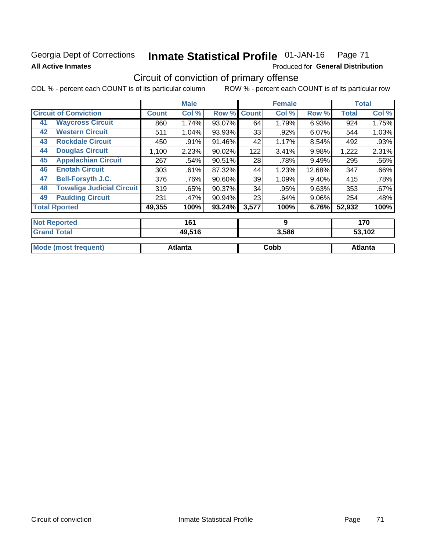## Georgia Dept of Corrections **All Active Inmates**

#### Inmate Statistical Profile 01-JAN-16 Page 71

Produced for General Distribution

# Circuit of conviction of primary offense

COL % - percent each COUNT is of its particular column ROW % - percent each COUNT is of its particular row

|    |                                  |              | <b>Male</b> |           |              | <b>Female</b> |          |              | <b>Total</b> |
|----|----------------------------------|--------------|-------------|-----------|--------------|---------------|----------|--------------|--------------|
|    | <b>Circuit of Conviction</b>     | <b>Count</b> | Col %       | Row %     | <b>Count</b> | Col %         | Row %    | <b>Total</b> | Col %        |
| 41 | <b>Waycross Circuit</b>          | 860          | 1.74%       | 93.07%    | 64           | 1.79%         | 6.93%    | 924          | 1.75%        |
| 42 | <b>Western Circuit</b>           | 511          | 1.04%       | 93.93%    | 33           | .92%          | 6.07%    | 544          | 1.03%        |
| 43 | <b>Rockdale Circuit</b>          | 450          | .91%        | 91.46%    | 42           | 1.17%         | 8.54%    | 492          | .93%         |
| 44 | <b>Douglas Circuit</b>           | 1,100        | 2.23%       | $90.02\%$ | 122          | 3.41%         | 9.98%    | 1,222        | 2.31%        |
| 45 | <b>Appalachian Circuit</b>       | 267          | .54%        | 90.51%    | 28           | .78%          | 9.49%    | 295          | .56%         |
| 46 | <b>Enotah Circuit</b>            | 303          | .61%        | 87.32%    | 44           | 1.23%         | 12.68%   | 347          | .66%         |
| 47 | <b>Bell-Forsyth J.C.</b>         | 376          | .76%        | $90.60\%$ | 39           | 1.09%         | 9.40%    | 415          | .78%         |
| 48 | <b>Towaliga Judicial Circuit</b> | 319          | .65%        | 90.37%    | 34           | .95%          | 9.63%    | 353          | .67%         |
| 49 | <b>Paulding Circuit</b>          | 231          | .47%        | 90.94%    | 23           | .64%          | $9.06\%$ | 254          | .48%         |
|    | <b>Total Rported</b>             | 49,355       | 100%        | 93.24%    | 3,577        | 100%          | 6.76%    | 52,932       | 100%         |
|    | <b>Not Reported</b>              |              | 161         |           |              | 9             |          |              | 170          |
|    | <b>Grand Total</b>               |              | 49,516      |           |              | 3,586         |          |              | 53,102       |

| 49.J I O | ง.วงง | JJ, IUZ |  |
|----------|-------|---------|--|
|          |       |         |  |
| Atlanta  | Cobb  | Atlanta |  |
|          |       |         |  |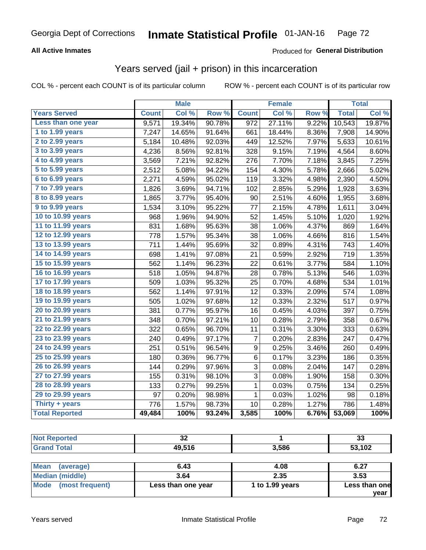# Georgia Dept of Corrections **Inmate Statistical Profile** 01-JAN-16 Page 72

### **All Active Inmates**

## Produced for **General Distribution**

## Years served (jail + prison) in this incarceration

COL % - percent each COUNT is of its particular column ROW % - percent each COUNT is of its particular row

|                        |              | <b>Male</b> |        |              | <b>Female</b> |       |              | <b>Total</b> |
|------------------------|--------------|-------------|--------|--------------|---------------|-------|--------------|--------------|
| <b>Years Served</b>    | <b>Count</b> | Col %       | Row %  | <b>Count</b> | Col %         | Row % | <b>Total</b> | Col %        |
| Less than one year     | 9,571        | 19.34%      | 90.78% | 972          | 27.11%        | 9.22% | 10,543       | 19.87%       |
| 1 to 1.99 years        | 7,247        | 14.65%      | 91.64% | 661          | 18.44%        | 8.36% | 7,908        | 14.90%       |
| 2 to 2.99 years        | 5,184        | 10.48%      | 92.03% | 449          | 12.52%        | 7.97% | 5,633        | 10.61%       |
| 3 to 3.99 years        | 4,236        | 8.56%       | 92.81% | 328          | 9.15%         | 7.19% | 4,564        | 8.60%        |
| 4 to 4.99 years        | 3,569        | 7.21%       | 92.82% | 276          | 7.70%         | 7.18% | 3,845        | 7.25%        |
| 5 to 5.99 years        | 2,512        | 5.08%       | 94.22% | 154          | 4.30%         | 5.78% | 2,666        | 5.02%        |
| 6 to 6.99 years        | 2,271        | 4.59%       | 95.02% | 119          | 3.32%         | 4.98% | 2,390        | 4.50%        |
| $7$ to $7.99$ years    | 1,826        | 3.69%       | 94.71% | 102          | 2.85%         | 5.29% | 1,928        | 3.63%        |
| <b>8 to 8.99 years</b> | 1,865        | 3.77%       | 95.40% | 90           | 2.51%         | 4.60% | 1,955        | 3.68%        |
| 9 to 9.99 years        | 1,534        | 3.10%       | 95.22% | 77           | 2.15%         | 4.78% | 1,611        | 3.04%        |
| 10 to 10.99 years      | 968          | 1.96%       | 94.90% | 52           | 1.45%         | 5.10% | 1,020        | 1.92%        |
| 11 to 11.99 years      | 831          | 1.68%       | 95.63% | 38           | 1.06%         | 4.37% | 869          | 1.64%        |
| 12 to 12.99 years      | 778          | 1.57%       | 95.34% | 38           | 1.06%         | 4.66% | 816          | 1.54%        |
| 13 to 13.99 years      | 711          | 1.44%       | 95.69% | 32           | 0.89%         | 4.31% | 743          | 1.40%        |
| 14 to 14.99 years      | 698          | 1.41%       | 97.08% | 21           | 0.59%         | 2.92% | 719          | 1.35%        |
| 15 to 15.99 years      | 562          | 1.14%       | 96.23% | 22           | 0.61%         | 3.77% | 584          | 1.10%        |
| 16 to 16.99 years      | 518          | 1.05%       | 94.87% | 28           | 0.78%         | 5.13% | 546          | 1.03%        |
| 17 to 17.99 years      | 509          | 1.03%       | 95.32% | 25           | 0.70%         | 4.68% | 534          | 1.01%        |
| 18 to 18.99 years      | 562          | 1.14%       | 97.91% | 12           | 0.33%         | 2.09% | 574          | 1.08%        |
| 19 to 19.99 years      | 505          | 1.02%       | 97.68% | 12           | 0.33%         | 2.32% | 517          | 0.97%        |
| 20 to 20.99 years      | 381          | 0.77%       | 95.97% | 16           | 0.45%         | 4.03% | 397          | 0.75%        |
| 21 to 21.99 years      | 348          | 0.70%       | 97.21% | 10           | 0.28%         | 2.79% | 358          | 0.67%        |
| 22 to 22.99 years      | 322          | 0.65%       | 96.70% | 11           | 0.31%         | 3.30% | 333          | 0.63%        |
| 23 to 23.99 years      | 240          | 0.49%       | 97.17% | 7            | 0.20%         | 2.83% | 247          | 0.47%        |
| 24 to 24.99 years      | 251          | 0.51%       | 96.54% | 9            | 0.25%         | 3.46% | 260          | 0.49%        |
| 25 to 25.99 years      | 180          | 0.36%       | 96.77% | 6            | 0.17%         | 3.23% | 186          | 0.35%        |
| 26 to 26.99 years      | 144          | 0.29%       | 97.96% | 3            | 0.08%         | 2.04% | 147          | 0.28%        |
| 27 to 27.99 years      | 155          | 0.31%       | 98.10% | 3            | 0.08%         | 1.90% | 158          | 0.30%        |
| 28 to 28.99 years      | 133          | 0.27%       | 99.25% | $\mathbf{1}$ | 0.03%         | 0.75% | 134          | 0.25%        |
| 29 to 29.99 years      | 97           | 0.20%       | 98.98% | $\mathbf{1}$ | 0.03%         | 1.02% | 98           | 0.18%        |
| Thirty + years         | 776          | 1.57%       | 98.73% | 10           | 0.28%         | 1.27% | 786          | 1.48%        |
| <b>Total Reported</b>  | 49,484       | 100%        | 93.24% | 3,585        | 100%          | 6.76% | 53,069       | 100%         |

| <b>Not Reported</b>     | 32                 |                 | 33            |  |
|-------------------------|--------------------|-----------------|---------------|--|
| <b>Grand Total</b>      | 49,516             | 3,586           | 53,102        |  |
|                         |                    |                 |               |  |
| Mean<br>(average)       | 6.43               | 4.08            | 6.27          |  |
| Median (middle)         | 3.64               | 2.35            | 3.53          |  |
| Mode<br>(most frequent) | Less than one year | 1 to 1.99 years | Less than one |  |

**year**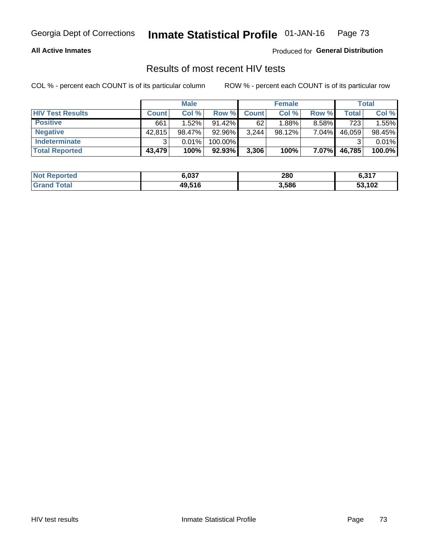### **All Active Inmates**

Produced for **General Distribution**

## Results of most recent HIV tests

|                         | <b>Male</b>  |        |           | <b>Female</b> |           |          | <b>Total</b> |        |
|-------------------------|--------------|--------|-----------|---------------|-----------|----------|--------------|--------|
| <b>HIV Test Results</b> | <b>Count</b> | Col %  | Row %I    | <b>Count</b>  | Col %     | Row %    | Total        | Col %  |
| <b>Positive</b>         | 661          | 1.52%  | $91.42\%$ | 62            | 1.88%     | 8.58%    | 723          | 1.55%  |
| <b>Negative</b>         | 42,815       | 98.47% | 92.96%    | 3,244         | $98.12\%$ | 7.04%    | 46,059       | 98.45% |
| <b>Indeterminate</b>    | ີ            | 0.01%  | 100.00%   |               |           |          |              | 0.01%  |
| <b>Total Reported</b>   | 43,479       | 100%   | $92.93\%$ | 3,306         | 100%      | $7.07\%$ | 46,785       | 100.0% |

| <b>Not Reported</b>     | 6,037  | 280   | 0.217<br>0.311 |
|-------------------------|--------|-------|----------------|
| <b>Total</b><br>' Grand | 49,516 | 3,586 | 53,102         |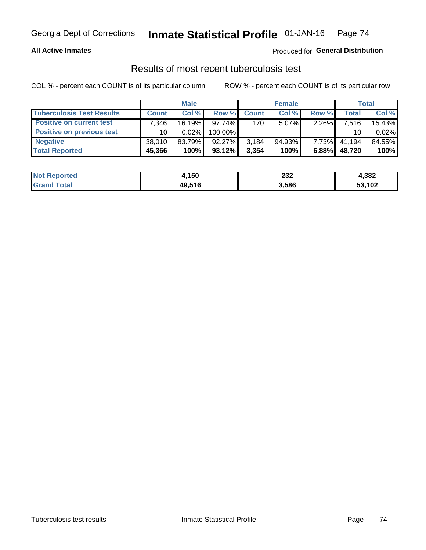### **All Active Inmates**

### Produced for **General Distribution**

### Results of most recent tuberculosis test

|                                  | <b>Male</b>  |        |           | <b>Female</b>    |           |          | Total        |        |
|----------------------------------|--------------|--------|-----------|------------------|-----------|----------|--------------|--------|
| <b>Tuberculosis Test Results</b> | <b>Count</b> | Col %  | Row %     | <b>Count</b>     | Col %     | Row %    | <b>Total</b> | Col %  |
| <b>Positive on current test</b>  | 7,346        | 16.19% | 97.74%    | 170 <sup>1</sup> | $5.07\%$  | 2.26%    | 7,516        | 15.43% |
| <b>Positive on previous test</b> | 10           | 0.02%  | 100.00%   |                  |           |          | 10           | 0.02%  |
| <b>Negative</b>                  | 38.010       | 83.79% | $92.27\%$ | 3,184            | $94.93\%$ | $7.73\%$ | 41.194       | 84.55% |
| <b>Total Reported</b>            | 45,366       | 100%   | $93.12\%$ | 3,354            | 100%      | 6.88%    | 48,720       | 100%   |

| <b>Not Reported</b>    | 4,150  | 232   | 4,382  |
|------------------------|--------|-------|--------|
| <b>Total</b><br>$G2^r$ | 49,516 | 3,586 | 53,102 |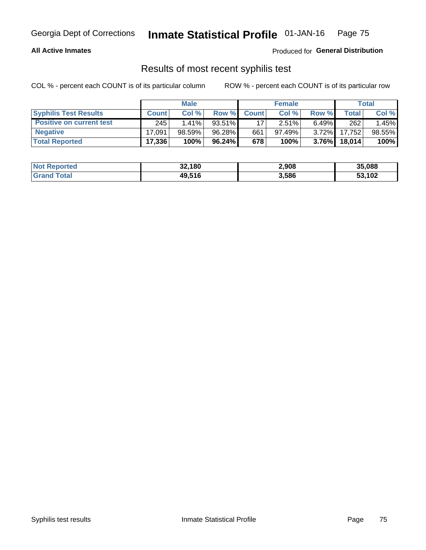### **All Active Inmates**

Produced for **General Distribution**

### Results of most recent syphilis test

|                                 | <b>Male</b>  |           |           | <b>Female</b> |           |          | Total   |        |
|---------------------------------|--------------|-----------|-----------|---------------|-----------|----------|---------|--------|
| <b>Syphilis Test Results</b>    | <b>Count</b> | Col%      | Row %I    | <b>Count</b>  | Col %     | Row %    | Total I | Col %  |
| <b>Positive on current test</b> | 245          | $1.41\%$  | $93.51\%$ |               | 2.51%     | $6.49\%$ | 262     | 1.45%  |
| <b>Negative</b>                 | 17.091       | $98.59\%$ | 96.28%    | 661           | $97.49\%$ | $3.72\%$ | 17,752  | 98.55% |
| <b>Total Reported</b>           | 17,336       | 100%      | 96.24%    | 678           | 100%      | $3.76\%$ | 18,014  | 100%   |

| <b>Not Reported</b> | 32,180 | 2,908 | 35,088 |
|---------------------|--------|-------|--------|
| <b>Grand Total</b>  | 49,516 | 3,586 | 53,102 |